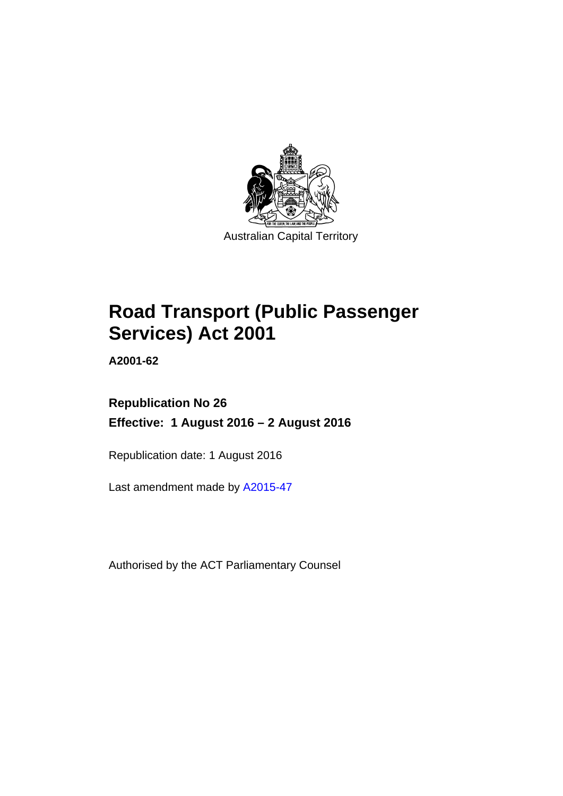

# **Road Transport (Public Passenger Services) Act 2001**

**A2001-62** 

# **Republication No 26 Effective: 1 August 2016 – 2 August 2016**

Republication date: 1 August 2016

Last amendment made by [A2015-47](http://www.legislation.act.gov.au/a/2015-47)

Authorised by the ACT Parliamentary Counsel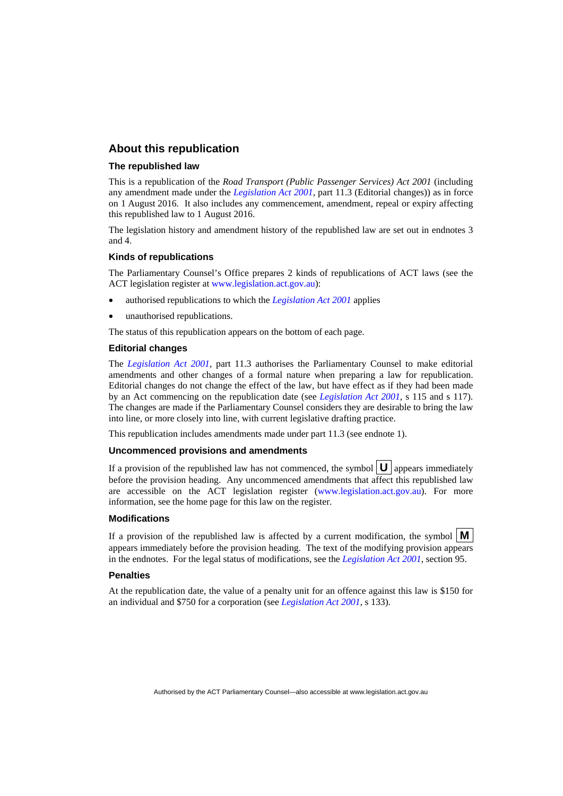## **About this republication**

#### **The republished law**

This is a republication of the *Road Transport (Public Passenger Services) Act 2001* (including any amendment made under the *[Legislation Act 2001](http://www.legislation.act.gov.au/a/2001-14)*, part 11.3 (Editorial changes)) as in force on 1 August 2016*.* It also includes any commencement, amendment, repeal or expiry affecting this republished law to 1 August 2016.

The legislation history and amendment history of the republished law are set out in endnotes 3 and 4.

#### **Kinds of republications**

The Parliamentary Counsel's Office prepares 2 kinds of republications of ACT laws (see the ACT legislation register at [www.legislation.act.gov.au](http://www.legislation.act.gov.au/)):

- authorised republications to which the *[Legislation Act 2001](http://www.legislation.act.gov.au/a/2001-14)* applies
- unauthorised republications.

The status of this republication appears on the bottom of each page.

#### **Editorial changes**

The *[Legislation Act 2001](http://www.legislation.act.gov.au/a/2001-14)*, part 11.3 authorises the Parliamentary Counsel to make editorial amendments and other changes of a formal nature when preparing a law for republication. Editorial changes do not change the effect of the law, but have effect as if they had been made by an Act commencing on the republication date (see *[Legislation Act 2001](http://www.legislation.act.gov.au/a/2001-14)*, s 115 and s 117). The changes are made if the Parliamentary Counsel considers they are desirable to bring the law into line, or more closely into line, with current legislative drafting practice.

This republication includes amendments made under part 11.3 (see endnote 1).

#### **Uncommenced provisions and amendments**

If a provision of the republished law has not commenced, the symbol  $\mathbf{U}$  appears immediately before the provision heading. Any uncommenced amendments that affect this republished law are accessible on the ACT legislation register [\(www.legislation.act.gov.au\)](http://www.legislation.act.gov.au/). For more information, see the home page for this law on the register.

#### **Modifications**

If a provision of the republished law is affected by a current modification, the symbol  $\mathbf{M}$ appears immediately before the provision heading. The text of the modifying provision appears in the endnotes. For the legal status of modifications, see the *[Legislation Act 2001](http://www.legislation.act.gov.au/a/2001-14)*, section 95.

#### **Penalties**

At the republication date, the value of a penalty unit for an offence against this law is \$150 for an individual and \$750 for a corporation (see *[Legislation Act 2001](http://www.legislation.act.gov.au/a/2001-14)*, s 133).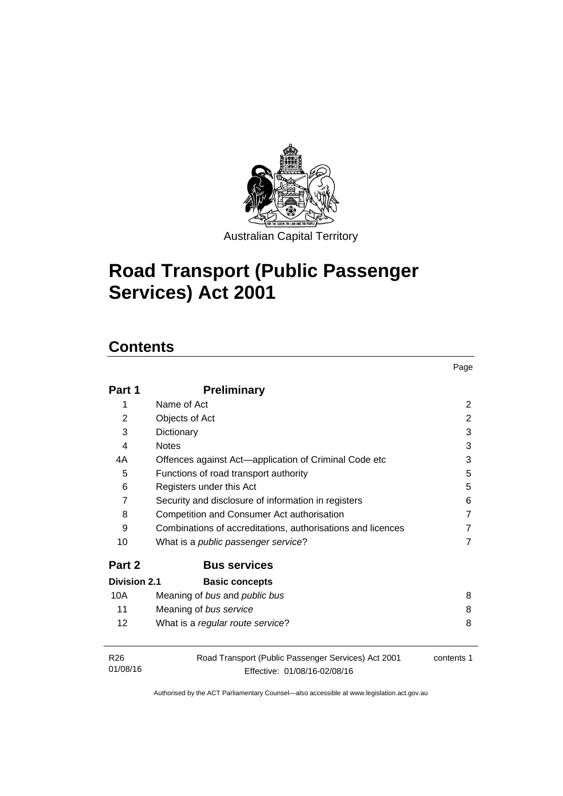

# **Road Transport (Public Passenger Services) Act 2001**

# **Contents**

| Part 1                      | <b>Preliminary</b>                                                                  |            |
|-----------------------------|-------------------------------------------------------------------------------------|------------|
| 1                           | Name of Act                                                                         | 2          |
| $\overline{2}$              | Objects of Act                                                                      | 2          |
| 3                           | Dictionary                                                                          | 3          |
| 4                           | <b>Notes</b>                                                                        | 3          |
| 4A                          | Offences against Act-application of Criminal Code etc                               | 3          |
| 5                           | Functions of road transport authority                                               | 5          |
| 6                           | Registers under this Act                                                            | 5          |
| $\overline{7}$              | Security and disclosure of information in registers                                 | 6          |
| 8                           | Competition and Consumer Act authorisation                                          | 7          |
| 9                           | Combinations of accreditations, authorisations and licences                         | 7          |
| 10                          | What is a <i>public passenger service</i> ?                                         |            |
| Part 2                      | <b>Bus services</b>                                                                 |            |
| Division 2.1                | <b>Basic concepts</b>                                                               |            |
| 10A                         | Meaning of bus and public bus                                                       | 8          |
| 11                          | Meaning of bus service                                                              | 8          |
| $12 \overline{ }$           | What is a regular route service?                                                    | 8          |
| R <sub>26</sub><br>01/08/16 | Road Transport (Public Passenger Services) Act 2001<br>Effective: 01/08/16-02/08/16 | contents 1 |

Page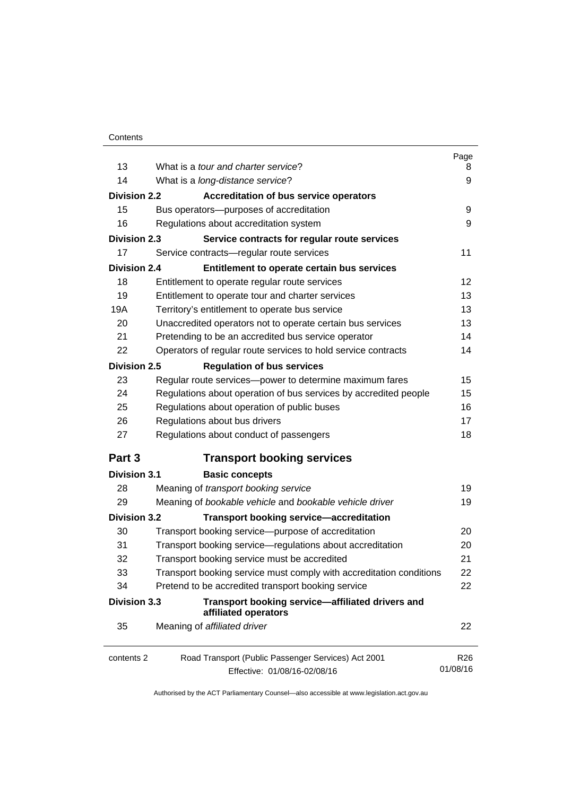|                     |                                                                                     | Page                        |
|---------------------|-------------------------------------------------------------------------------------|-----------------------------|
| 13                  | What is a tour and charter service?                                                 | 8                           |
| 14                  | What is a long-distance service?                                                    | 9                           |
| <b>Division 2.2</b> | Accreditation of bus service operators                                              |                             |
| 15                  | Bus operators-purposes of accreditation                                             | 9                           |
| 16                  | Regulations about accreditation system                                              | 9                           |
| <b>Division 2.3</b> | Service contracts for regular route services                                        |                             |
| 17                  | Service contracts-regular route services                                            | 11                          |
| <b>Division 2.4</b> | Entitlement to operate certain bus services                                         |                             |
| 18                  | Entitlement to operate regular route services                                       | 12                          |
| 19                  | Entitlement to operate tour and charter services                                    | 13                          |
| 19A                 | Territory's entitlement to operate bus service                                      | 13                          |
| 20                  | Unaccredited operators not to operate certain bus services                          | 13                          |
| 21                  | Pretending to be an accredited bus service operator                                 | 14                          |
| 22                  | Operators of regular route services to hold service contracts                       | 14                          |
| <b>Division 2.5</b> | <b>Regulation of bus services</b>                                                   |                             |
| 23                  | Regular route services-power to determine maximum fares                             | 15                          |
| 24                  | Regulations about operation of bus services by accredited people                    | 15                          |
| 25                  | Regulations about operation of public buses                                         | 16                          |
| 26                  | Regulations about bus drivers                                                       | 17                          |
| 27                  | Regulations about conduct of passengers                                             | 18                          |
| Part 3              | <b>Transport booking services</b>                                                   |                             |
| <b>Division 3.1</b> | <b>Basic concepts</b>                                                               |                             |
| 28                  | Meaning of transport booking service                                                | 19                          |
| 29                  | Meaning of bookable vehicle and bookable vehicle driver                             | 19                          |
| <b>Division 3.2</b> | <b>Transport booking service-accreditation</b>                                      |                             |
| 30                  | Transport booking service-purpose of accreditation                                  | 20                          |
| 31                  | Transport booking service-regulations about accreditation                           | 20                          |
| 32                  | Transport booking service must be accredited                                        | 21                          |
| 33                  | Transport booking service must comply with accreditation conditions                 | 22                          |
| 34                  | Pretend to be accredited transport booking service                                  | 22                          |
| <b>Division 3.3</b> | Transport booking service-affiliated drivers and<br>affiliated operators            |                             |
| 35                  | Meaning of affiliated driver                                                        | 22                          |
| contents 2          | Road Transport (Public Passenger Services) Act 2001<br>Effective: 01/08/16-02/08/16 | R <sub>26</sub><br>01/08/16 |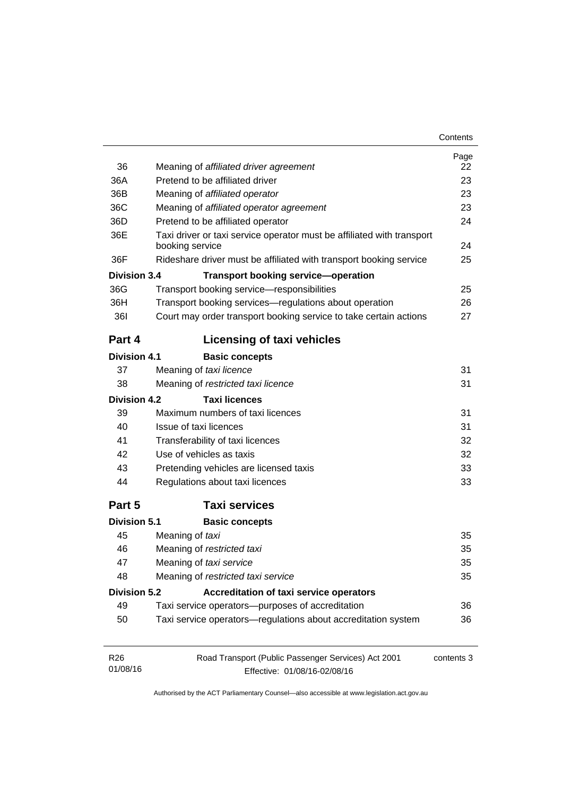| Contents |
|----------|
|----------|

| 36                  | Meaning of affiliated driver agreement                                 | Page<br>22 |  |
|---------------------|------------------------------------------------------------------------|------------|--|
| 36A                 | Pretend to be affiliated driver                                        | 23         |  |
| 36B                 | Meaning of affiliated operator                                         | 23         |  |
| 36C                 | Meaning of affiliated operator agreement                               |            |  |
| 36D                 | Pretend to be affiliated operator                                      | 23<br>24   |  |
| 36E                 | Taxi driver or taxi service operator must be affiliated with transport |            |  |
|                     | booking service                                                        | 24         |  |
| 36F                 | Rideshare driver must be affiliated with transport booking service     | 25         |  |
| <b>Division 3.4</b> | <b>Transport booking service-operation</b>                             |            |  |
| 36G                 | Transport booking service-responsibilities                             | 25         |  |
| 36H                 | Transport booking services-regulations about operation                 | 26         |  |
| <b>361</b>          | Court may order transport booking service to take certain actions      | 27         |  |
| Part 4              | <b>Licensing of taxi vehicles</b>                                      |            |  |
| <b>Division 4.1</b> | <b>Basic concepts</b>                                                  |            |  |
| 37                  | Meaning of taxi licence                                                | 31         |  |
| 38                  | Meaning of restricted taxi licence                                     | 31         |  |
| Division 4.2        | <b>Taxi licences</b>                                                   |            |  |
| 39                  | Maximum numbers of taxi licences                                       | 31         |  |
| 40                  | Issue of taxi licences                                                 | 31         |  |
| 41                  | Transferability of taxi licences                                       | 32         |  |
| 42                  | Use of vehicles as taxis                                               | 32         |  |
| 43                  | Pretending vehicles are licensed taxis                                 | 33         |  |
| 44                  | Regulations about taxi licences                                        | 33         |  |
| Part 5              | <b>Taxi services</b>                                                   |            |  |
| Division 5.1        | <b>Basic concepts</b>                                                  |            |  |
| 45                  | Meaning of taxi                                                        | 35         |  |
| 46                  | Meaning of restricted taxi                                             | 35         |  |
| 47                  | Meaning of taxi service                                                | 35         |  |
| 48                  | Meaning of restricted taxi service                                     | 35         |  |
| <b>Division 5.2</b> | <b>Accreditation of taxi service operators</b>                         |            |  |
| 49                  | Taxi service operators--purposes of accreditation                      | 36         |  |
| 50                  | Taxi service operators-regulations about accreditation system          | 36         |  |
| R <sub>26</sub>     | Road Transport (Public Passenger Services) Act 2001                    | contents 3 |  |
| 01/08/16            | Effective: 01/08/16-02/08/16                                           |            |  |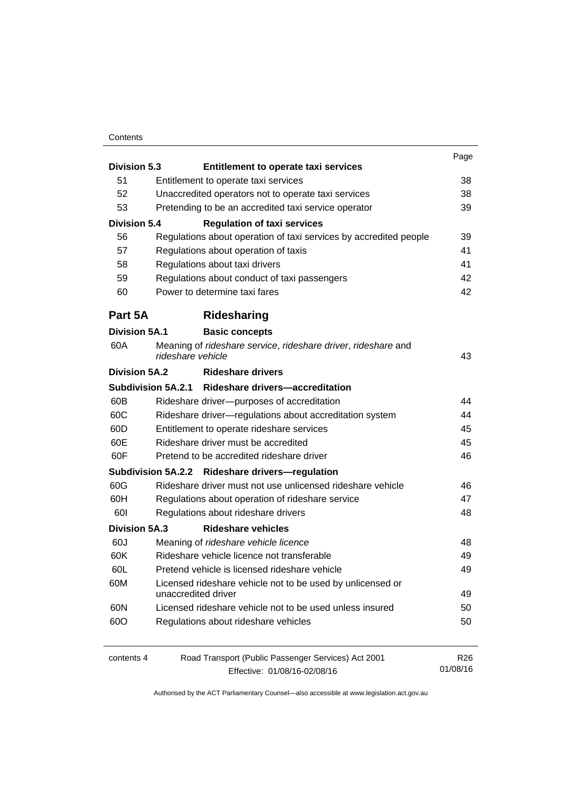#### **Contents**

|                      |                                                            |                                                                                    | Page            |
|----------------------|------------------------------------------------------------|------------------------------------------------------------------------------------|-----------------|
| <b>Division 5.3</b>  |                                                            | Entitlement to operate taxi services                                               |                 |
| 51                   |                                                            | Entitlement to operate taxi services                                               | 38              |
|                      | 52<br>Unaccredited operators not to operate taxi services  |                                                                                    | 38              |
|                      | 53<br>Pretending to be an accredited taxi service operator |                                                                                    | 39              |
| <b>Division 5.4</b>  |                                                            | <b>Regulation of taxi services</b>                                                 |                 |
| 56                   |                                                            | Regulations about operation of taxi services by accredited people                  | 39              |
| 57                   |                                                            | Regulations about operation of taxis<br>Regulations about taxi drivers             | 41              |
| 58                   |                                                            |                                                                                    | 41              |
| 59                   |                                                            | Regulations about conduct of taxi passengers                                       | 42              |
| 60                   |                                                            | Power to determine taxi fares                                                      | 42              |
| Part 5A              |                                                            | Ridesharing                                                                        |                 |
| <b>Division 5A.1</b> |                                                            | <b>Basic concepts</b>                                                              |                 |
| 60A                  |                                                            | Meaning of rideshare service, rideshare driver, rideshare and<br>rideshare vehicle | 43              |
| Division 5A.2        |                                                            | <b>Rideshare drivers</b>                                                           |                 |
|                      |                                                            | Subdivision 5A.2.1 Rideshare drivers-accreditation                                 |                 |
| 60B                  |                                                            | Rideshare driver--purposes of accreditation                                        | 44              |
| 60C                  |                                                            | Rideshare driver-regulations about accreditation system                            | 44              |
| 60D                  |                                                            | Entitlement to operate rideshare services                                          | 45              |
| 60E                  |                                                            | Rideshare driver must be accredited                                                | 45              |
| 60F                  |                                                            | Pretend to be accredited rideshare driver                                          | 46              |
|                      |                                                            | Subdivision 5A.2.2 Rideshare drivers-regulation                                    |                 |
| 60G                  |                                                            | Rideshare driver must not use unlicensed rideshare vehicle                         | 46              |
| 60H                  |                                                            | Regulations about operation of rideshare service                                   | 47              |
| 60I                  |                                                            | Regulations about rideshare drivers                                                | 48              |
| <b>Division 5A.3</b> |                                                            | <b>Rideshare vehicles</b>                                                          |                 |
| 60J                  |                                                            | Meaning of rideshare vehicle licence                                               | 48              |
| 60K                  |                                                            | Rideshare vehicle licence not transferable                                         | 49              |
| 60L                  |                                                            | Pretend vehicle is licensed rideshare vehicle                                      | 49              |
| 60M                  |                                                            | Licensed rideshare vehicle not to be used by unlicensed or<br>unaccredited driver  | 49              |
| 60N                  |                                                            | Licensed rideshare vehicle not to be used unless insured                           | 50              |
| 60O                  |                                                            | Regulations about rideshare vehicles                                               | 50              |
| contents 4           |                                                            | Road Transport (Public Passenger Services) Act 2001                                | R <sub>26</sub> |
|                      |                                                            | Effective: 01/08/16-02/08/16                                                       | 01/08/16        |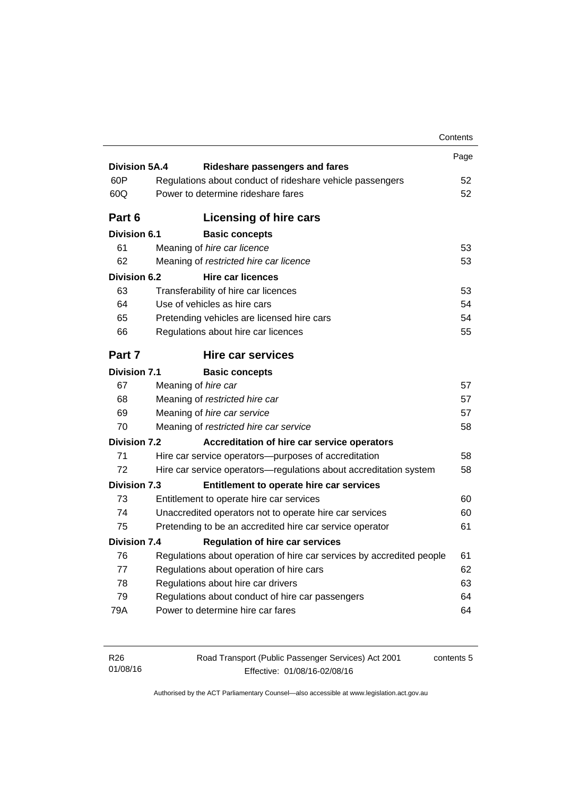|                      |                                      |                                                                       | Contents |
|----------------------|--------------------------------------|-----------------------------------------------------------------------|----------|
|                      |                                      |                                                                       | Page     |
| <b>Division 5A.4</b> |                                      | <b>Rideshare passengers and fares</b>                                 |          |
| 60P                  |                                      | Regulations about conduct of rideshare vehicle passengers             | 52       |
| 60Q                  |                                      | Power to determine rideshare fares                                    | 52       |
| Part 6               |                                      | <b>Licensing of hire cars</b>                                         |          |
| <b>Division 6.1</b>  |                                      | <b>Basic concepts</b>                                                 |          |
| 61                   | Meaning of hire car licence          |                                                                       | 53       |
| 62                   |                                      | Meaning of restricted hire car licence                                | 53       |
| Division 6.2         |                                      | <b>Hire car licences</b>                                              |          |
| 63                   | Transferability of hire car licences |                                                                       | 53       |
| 64                   | Use of vehicles as hire cars         |                                                                       | 54       |
| 65                   |                                      | Pretending vehicles are licensed hire cars                            | 54       |
| 66                   |                                      | Regulations about hire car licences                                   | 55       |
| Part 7               |                                      | Hire car services                                                     |          |
| <b>Division 7.1</b>  |                                      | <b>Basic concepts</b>                                                 |          |
| 67                   | Meaning of hire car                  |                                                                       | 57       |
| 68                   | Meaning of restricted hire car       |                                                                       | 57       |
| 69                   | Meaning of hire car service          |                                                                       | 57       |
| 70                   |                                      | Meaning of restricted hire car service                                | 58       |
| <b>Division 7.2</b>  |                                      | Accreditation of hire car service operators                           |          |
| 71                   |                                      | Hire car service operators—purposes of accreditation                  | 58       |
| 72                   |                                      | Hire car service operators-regulations about accreditation system     | 58       |
| <b>Division 7.3</b>  |                                      | Entitlement to operate hire car services                              |          |
| 73                   |                                      | Entitlement to operate hire car services                              | 60       |
| 74                   |                                      | Unaccredited operators not to operate hire car services               | 60       |
| 75                   |                                      | Pretending to be an accredited hire car service operator              | 61       |
| <b>Division 7.4</b>  |                                      | <b>Regulation of hire car services</b>                                |          |
| 76                   |                                      | Regulations about operation of hire car services by accredited people | 61       |
|                      |                                      | Regulations about operation of hire cars                              | 62       |
| 77                   |                                      |                                                                       |          |
| 78                   | Regulations about hire car drivers   |                                                                       | 63       |
| 79                   |                                      | Regulations about conduct of hire car passengers                      | 64       |

| R26      |  |
|----------|--|
| 01/08/16 |  |

Road Transport (Public Passenger Services) Act 2001 Effective: 01/08/16-02/08/16

contents 5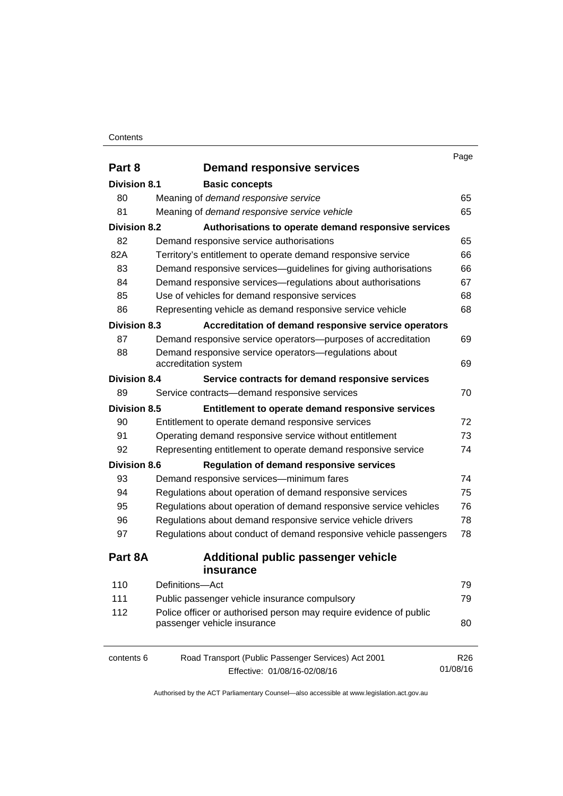#### **Contents**

|                     |                                                                    | Page            |
|---------------------|--------------------------------------------------------------------|-----------------|
| Part 8              | <b>Demand responsive services</b>                                  |                 |
| <b>Division 8.1</b> | <b>Basic concepts</b>                                              |                 |
| 80                  | Meaning of demand responsive service                               | 65              |
| 81                  | Meaning of demand responsive service vehicle                       | 65              |
| <b>Division 8.2</b> | Authorisations to operate demand responsive services               |                 |
| 82                  | Demand responsive service authorisations                           | 65              |
| 82A                 | Territory's entitlement to operate demand responsive service       | 66              |
| 83                  | Demand responsive services-guidelines for giving authorisations    | 66              |
| 84                  | Demand responsive services—regulations about authorisations        | 67              |
| 85                  | Use of vehicles for demand responsive services                     | 68              |
| 86                  | Representing vehicle as demand responsive service vehicle          | 68              |
| <b>Division 8.3</b> | Accreditation of demand responsive service operators               |                 |
| 87                  | Demand responsive service operators--purposes of accreditation     | 69              |
| 88                  | Demand responsive service operators-regulations about              |                 |
|                     | accreditation system                                               | 69              |
| <b>Division 8.4</b> | Service contracts for demand responsive services                   |                 |
| 89                  | Service contracts-demand responsive services                       | 70              |
| <b>Division 8.5</b> | Entitlement to operate demand responsive services                  |                 |
| 90                  | Entitlement to operate demand responsive services                  | 72              |
| 91                  | Operating demand responsive service without entitlement            | 73              |
| 92                  | Representing entitlement to operate demand responsive service      | 74              |
| <b>Division 8.6</b> | <b>Regulation of demand responsive services</b>                    |                 |
| 93                  | Demand responsive services-minimum fares                           | 74              |
| 94                  | Regulations about operation of demand responsive services          | 75              |
| 95                  | Regulations about operation of demand responsive service vehicles  | 76              |
| 96                  | Regulations about demand responsive service vehicle drivers        | 78              |
| 97                  | Regulations about conduct of demand responsive vehicle passengers  | 78              |
| Part 8A             | <b>Additional public passenger vehicle</b>                         |                 |
|                     | insurance                                                          |                 |
| 110                 | Definitions-Act                                                    | 79              |
| 111                 | Public passenger vehicle insurance compulsory                      | 79              |
| 112                 | Police officer or authorised person may require evidence of public |                 |
|                     | passenger vehicle insurance                                        | 80              |
| contents 6          | Road Transport (Public Passenger Services) Act 2001                | R <sub>26</sub> |
|                     | Effective: 01/08/16-02/08/16                                       | 01/08/16        |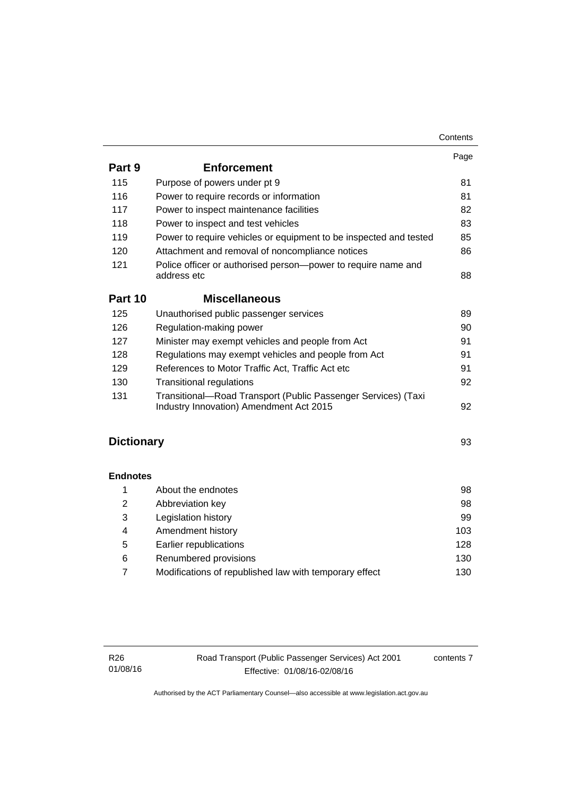|                   |                                                                                                          | Contents |
|-------------------|----------------------------------------------------------------------------------------------------------|----------|
|                   |                                                                                                          | Page     |
| Part 9            | <b>Enforcement</b>                                                                                       |          |
| 115               | Purpose of powers under pt 9                                                                             | 81       |
| 116               | Power to require records or information                                                                  | 81       |
| 117               | Power to inspect maintenance facilities                                                                  | 82       |
| 118               | Power to inspect and test vehicles                                                                       | 83       |
| 119               | Power to require vehicles or equipment to be inspected and tested                                        | 85       |
| 120               | Attachment and removal of noncompliance notices                                                          | 86       |
| 121               | Police officer or authorised person-power to require name and<br>address etc                             | 88       |
| Part 10           | <b>Miscellaneous</b>                                                                                     |          |
| 125               | Unauthorised public passenger services                                                                   | 89       |
| 126               | Regulation-making power                                                                                  | 90       |
| 127               | Minister may exempt vehicles and people from Act                                                         | 91       |
| 128               | Regulations may exempt vehicles and people from Act                                                      | 91       |
| 129               | References to Motor Traffic Act, Traffic Act etc                                                         | 91       |
| 130               | <b>Transitional regulations</b>                                                                          | 92       |
| 131               | Transitional-Road Transport (Public Passenger Services) (Taxi<br>Industry Innovation) Amendment Act 2015 | 92       |
|                   |                                                                                                          |          |
| <b>Dictionary</b> |                                                                                                          | 93       |
| <b>Endnotes</b>   |                                                                                                          |          |
| 1                 | About the endnotes                                                                                       | 98       |
| $\overline{2}$    | Abbreviation key                                                                                         | 98       |
| 3                 | Legislation history                                                                                      | 99       |
| 4                 | Amendment history                                                                                        | 103      |
| 5                 | Earlier republications                                                                                   | 128      |
| 6                 | Renumbered provisions                                                                                    | 130      |

7 [Modifications of republished law with temporary effect 130](#page-139-1)

contents 7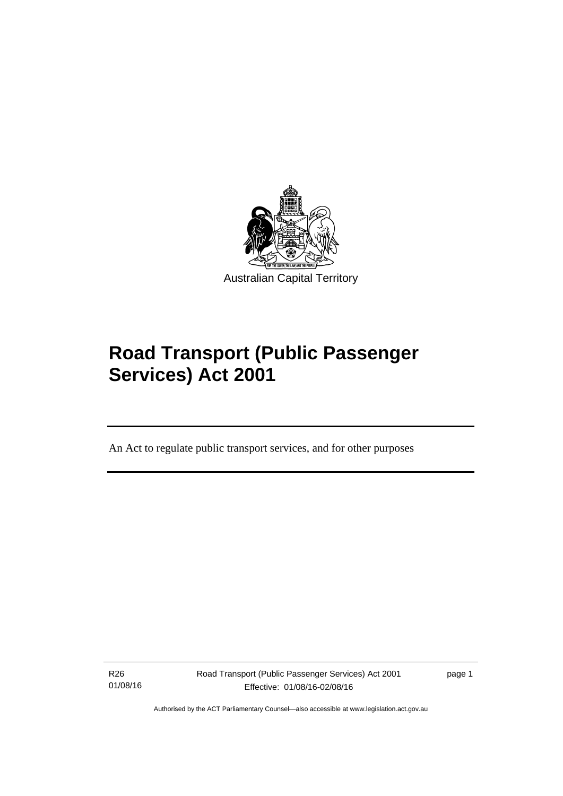

# **Road Transport (Public Passenger Services) Act 2001**

An Act to regulate public transport services, and for other purposes

R26 01/08/16

l

Road Transport (Public Passenger Services) Act 2001 Effective: 01/08/16-02/08/16

page 1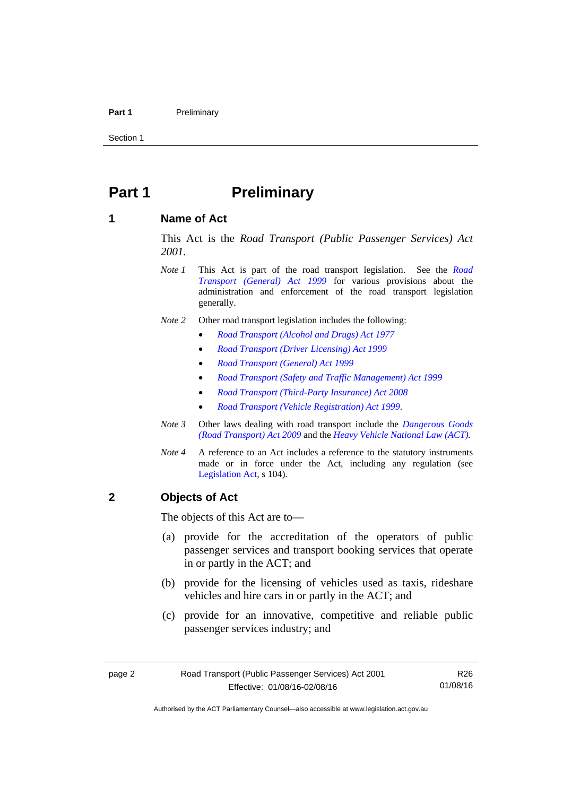#### Part 1 **Preliminary**

Section 1

# <span id="page-11-0"></span>**Part 1** Preliminary

## <span id="page-11-1"></span>**1 Name of Act**

This Act is the *Road Transport (Public Passenger Services) Act 2001.* 

- *Note 1* This Act is part of the road transport legislation. See the *[Road](http://www.legislation.act.gov.au/a/1999-77)  [Transport \(General\) Act 1999](http://www.legislation.act.gov.au/a/1999-77)* for various provisions about the administration and enforcement of the road transport legislation generally.
- *Note 2* Other road transport legislation includes the following:
	- *[Road Transport \(Alcohol and Drugs\) Act 1977](http://www.legislation.act.gov.au/a/1977-17)*
	- *[Road Transport \(Driver Licensing\) Act 1999](http://www.legislation.act.gov.au/a/1999-78)*
	- *[Road Transport \(General\) Act 1999](http://www.legislation.act.gov.au/a/1999-77)*
	- *[Road Transport \(Safety and Traffic Management\) Act 1999](http://www.legislation.act.gov.au/a/1999-80)*
	- *[Road Transport \(Third-Party Insurance\) Act 2008](http://www.legislation.act.gov.au/a/2008-1)*
	- *[Road Transport \(Vehicle Registration\) Act 1999](http://www.legislation.act.gov.au/a/1999-81)*.
- *Note 3* Other laws dealing with road transport include the *[Dangerous Goods](http://www.legislation.act.gov.au/a/2009-34)  [\(Road Transport\) Act 2009](http://www.legislation.act.gov.au/a/2009-34)* and the *[Heavy Vehicle National Law \(ACT\).](http://www.legislation.act.gov.au/a/db_49155/default.asp)*
- *Note 4* A reference to an Act includes a reference to the statutory instruments made or in force under the Act, including any regulation (see [Legislation Act,](http://www.legislation.act.gov.au/a/2001-14) s 104).

# <span id="page-11-2"></span>**2 Objects of Act**

The objects of this Act are to—

- (a) provide for the accreditation of the operators of public passenger services and transport booking services that operate in or partly in the ACT; and
- (b) provide for the licensing of vehicles used as taxis, rideshare vehicles and hire cars in or partly in the ACT; and
- (c) provide for an innovative, competitive and reliable public passenger services industry; and

Authorised by the ACT Parliamentary Counsel—also accessible at www.legislation.act.gov.au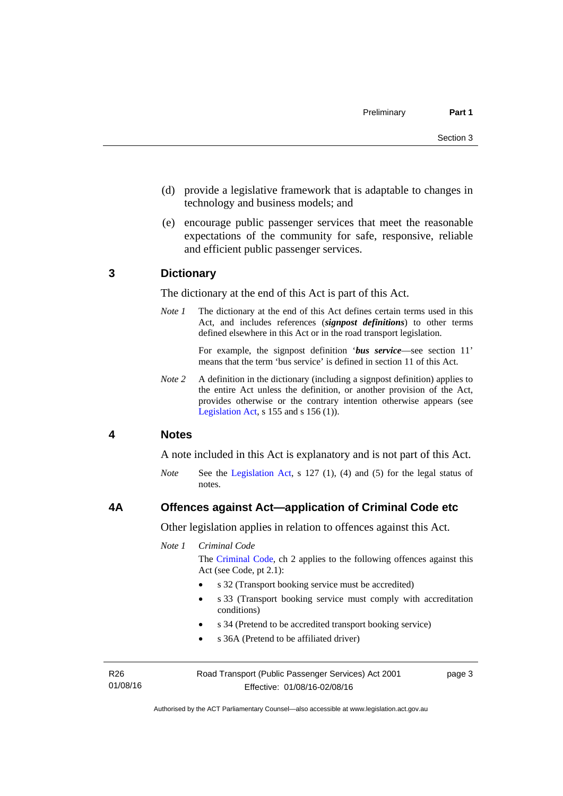- (d) provide a legislative framework that is adaptable to changes in technology and business models; and
- (e) encourage public passenger services that meet the reasonable expectations of the community for safe, responsive, reliable and efficient public passenger services.

## <span id="page-12-0"></span>**3 Dictionary**

The dictionary at the end of this Act is part of this Act.

*Note 1* The dictionary at the end of this Act defines certain terms used in this Act, and includes references (*signpost definitions*) to other terms defined elsewhere in this Act or in the road transport legislation.

> For example, the signpost definition '*bus service*—see section 11' means that the term 'bus service' is defined in section 11 of this Act.

*Note 2* A definition in the dictionary (including a signpost definition) applies to the entire Act unless the definition, or another provision of the Act, provides otherwise or the contrary intention otherwise appears (see [Legislation Act,](http://www.legislation.act.gov.au/a/2001-14) s  $155$  and s  $156$  (1)).

### <span id="page-12-1"></span>**4 Notes**

A note included in this Act is explanatory and is not part of this Act.

*Note* See the [Legislation Act](http://www.legislation.act.gov.au/a/2001-14), s 127 (1), (4) and (5) for the legal status of notes.

#### <span id="page-12-2"></span>**4A Offences against Act—application of Criminal Code etc**

Other legislation applies in relation to offences against this Act.

*Note 1 Criminal Code*

The [Criminal Code](http://www.legislation.act.gov.au/a/2002-51), ch 2 applies to the following offences against this Act (see Code, pt 2.1):

- s 32 (Transport booking service must be accredited)
- s 33 (Transport booking service must comply with accreditation conditions)
- s 34 (Pretend to be accredited transport booking service)
- s 36A (Pretend to be affiliated driver)

R26 01/08/16 Road Transport (Public Passenger Services) Act 2001 Effective: 01/08/16-02/08/16

page 3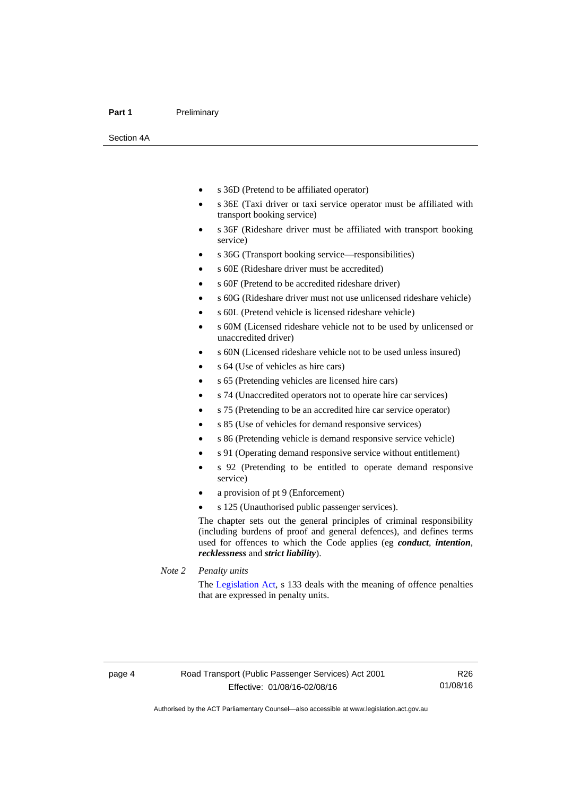#### Part 1 **Preliminary**

Section 4A

- s 36D (Pretend to be affiliated operator)
- s 36E (Taxi driver or taxi service operator must be affiliated with transport booking service)
- s 36F (Rideshare driver must be affiliated with transport booking service)
- s 36G (Transport booking service—responsibilities)
- s 60E (Rideshare driver must be accredited)
- s 60F (Pretend to be accredited rideshare driver)
- s 60G (Rideshare driver must not use unlicensed rideshare vehicle)
- s 60L (Pretend vehicle is licensed rideshare vehicle)
- s 60M (Licensed rideshare vehicle not to be used by unlicensed or unaccredited driver)
- s 60N (Licensed rideshare vehicle not to be used unless insured)
- s 64 (Use of vehicles as hire cars)
- s 65 (Pretending vehicles are licensed hire cars)
- s 74 (Unaccredited operators not to operate hire car services)
- s 75 (Pretending to be an accredited hire car service operator)
- s 85 (Use of vehicles for demand responsive services)
- s 86 (Pretending vehicle is demand responsive service vehicle)
- s 91 (Operating demand responsive service without entitlement)
- s 92 (Pretending to be entitled to operate demand responsive service)
- a provision of pt 9 (Enforcement)
- s 125 (Unauthorised public passenger services).

The chapter sets out the general principles of criminal responsibility (including burdens of proof and general defences), and defines terms used for offences to which the Code applies (eg *conduct*, *intention*, *recklessness* and *strict liability*).

*Note 2 Penalty units* 

The [Legislation Act](http://www.legislation.act.gov.au/a/2001-14), s 133 deals with the meaning of offence penalties that are expressed in penalty units.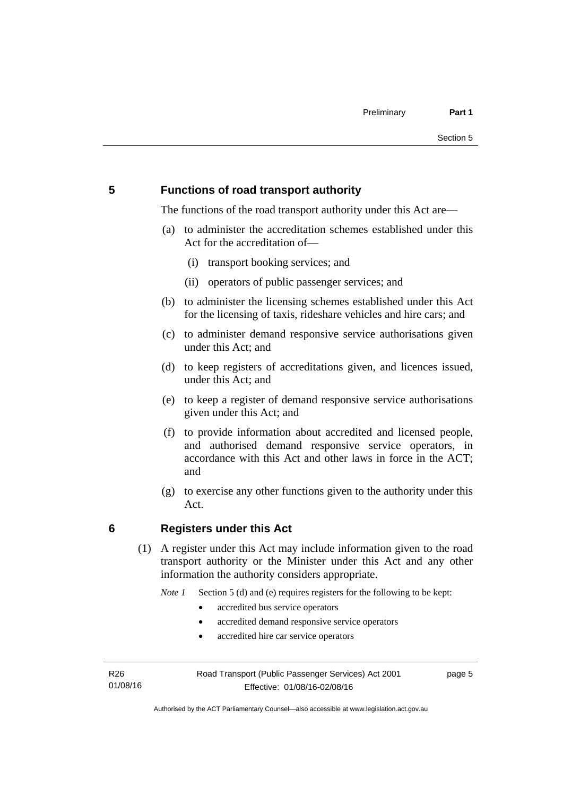# <span id="page-14-0"></span>**5 Functions of road transport authority**

The functions of the road transport authority under this Act are—

- (a) to administer the accreditation schemes established under this Act for the accreditation of—
	- (i) transport booking services; and
	- (ii) operators of public passenger services; and
- (b) to administer the licensing schemes established under this Act for the licensing of taxis, rideshare vehicles and hire cars; and
- (c) to administer demand responsive service authorisations given under this Act; and
- (d) to keep registers of accreditations given, and licences issued, under this Act; and
- (e) to keep a register of demand responsive service authorisations given under this Act; and
- (f) to provide information about accredited and licensed people, and authorised demand responsive service operators, in accordance with this Act and other laws in force in the ACT; and
- (g) to exercise any other functions given to the authority under this Act.

# <span id="page-14-1"></span>**6 Registers under this Act**

(1) A register under this Act may include information given to the road transport authority or the Minister under this Act and any other information the authority considers appropriate.

*Note 1* Section 5 (d) and (e) requires registers for the following to be kept:

- accredited bus service operators
- accredited demand responsive service operators
- accredited hire car service operators

R26 01/08/16 Road Transport (Public Passenger Services) Act 2001 Effective: 01/08/16-02/08/16

page 5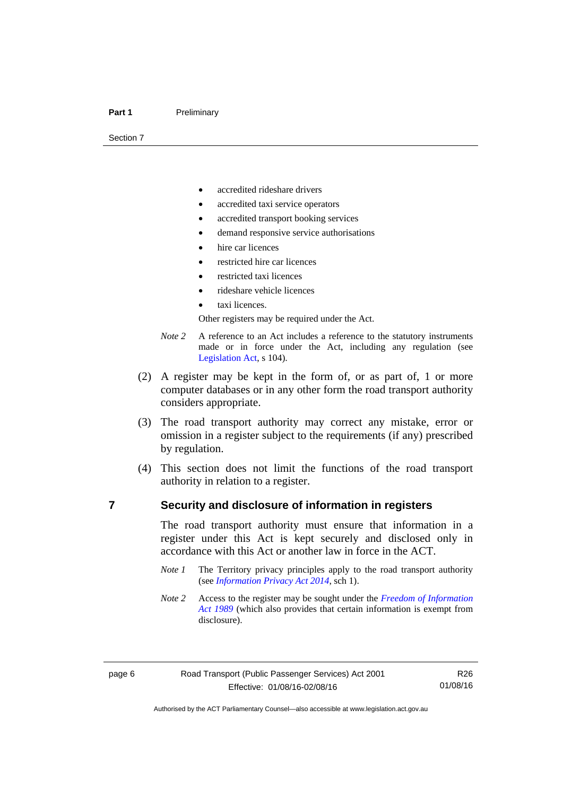#### Part 1 **Preliminary**

Section 7

- accredited rideshare drivers
- accredited taxi service operators
- accredited transport booking services
- demand responsive service authorisations
- hire car licences
- restricted hire car licences
- restricted taxi licences
- rideshare vehicle licences
- taxi licences.

Other registers may be required under the Act.

- *Note 2* A reference to an Act includes a reference to the statutory instruments made or in force under the Act, including any regulation (see [Legislation Act,](http://www.legislation.act.gov.au/a/2001-14) s 104).
- (2) A register may be kept in the form of, or as part of, 1 or more computer databases or in any other form the road transport authority considers appropriate.
- (3) The road transport authority may correct any mistake, error or omission in a register subject to the requirements (if any) prescribed by regulation.
- (4) This section does not limit the functions of the road transport authority in relation to a register.

## <span id="page-15-0"></span>**7 Security and disclosure of information in registers**

The road transport authority must ensure that information in a register under this Act is kept securely and disclosed only in accordance with this Act or another law in force in the ACT.

- *Note 1* The Territory privacy principles apply to the road transport authority (see *[Information Privacy Act 2014](http://www.legislation.act.gov.au/a/2014-24/default.asp)*, sch 1).
- *Note 2* Access to the register may be sought under the *[Freedom of Information](http://www.legislation.act.gov.au/a/alt_a1989-46co)  [Act 1989](http://www.legislation.act.gov.au/a/alt_a1989-46co)* (which also provides that certain information is exempt from disclosure).

R26 01/08/16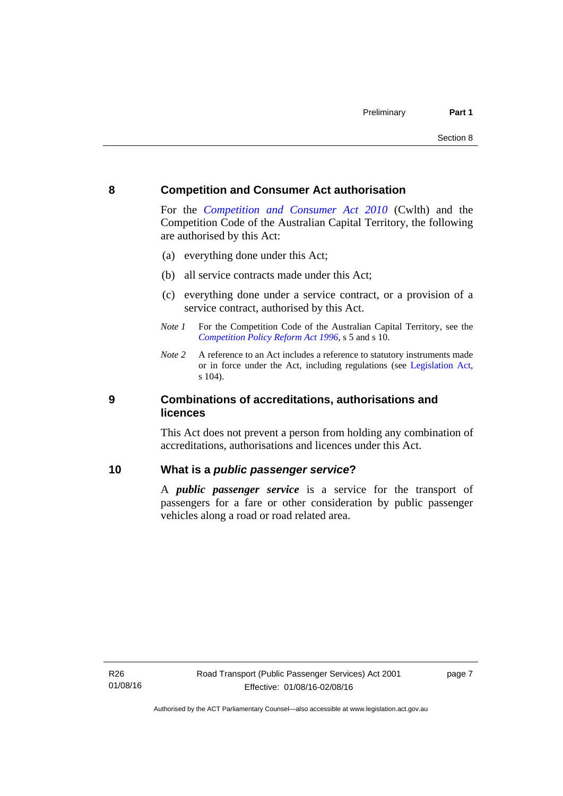## <span id="page-16-0"></span>**8 Competition and Consumer Act authorisation**

For the *[Competition and Consumer Act 2010](http://www.comlaw.gov.au/Details/C2013C00004)* (Cwlth) and the Competition Code of the Australian Capital Territory, the following are authorised by this Act:

- (a) everything done under this Act;
- (b) all service contracts made under this Act;
- (c) everything done under a service contract, or a provision of a service contract, authorised by this Act.
- *Note 1* For the Competition Code of the Australian Capital Territory, see the *[Competition Policy Reform Act 1996](http://www.legislation.act.gov.au/a/1996-21)*, s 5 and s 10.
- *Note 2* A reference to an Act includes a reference to statutory instruments made or in force under the Act, including regulations (see [Legislation Act,](http://www.legislation.act.gov.au/a/2001-14) s 104).

## <span id="page-16-1"></span>**9 Combinations of accreditations, authorisations and licences**

This Act does not prevent a person from holding any combination of accreditations, authorisations and licences under this Act.

## <span id="page-16-2"></span>**10 What is a** *public passenger service***?**

A *public passenger service* is a service for the transport of passengers for a fare or other consideration by public passenger vehicles along a road or road related area.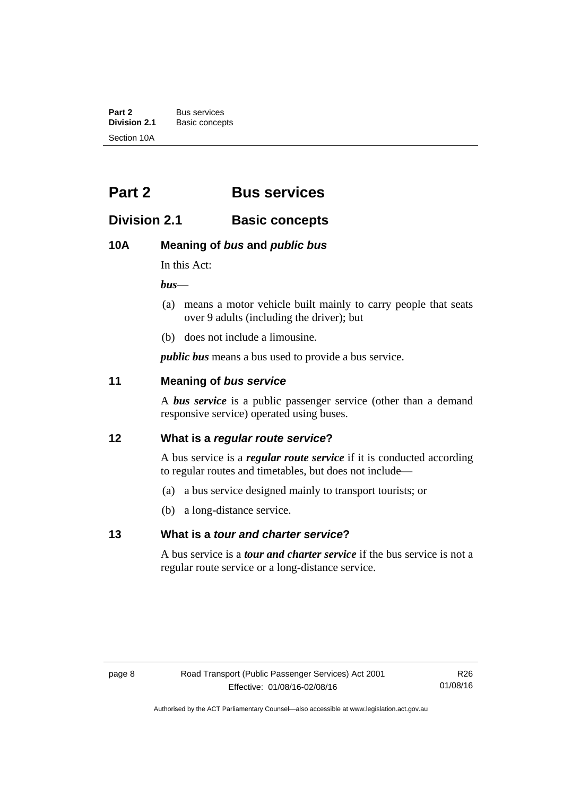**Part 2** Bus services<br> **Division 2.1** Basic concer **Division 2.1** Basic concepts Section 10A

# <span id="page-17-0"></span>**Part 2 Bus services**

# <span id="page-17-1"></span>**Division 2.1 Basic concepts**

# <span id="page-17-2"></span>**10A Meaning of** *bus* **and** *public bus*

In this Act:

*bus*—

- (a) means a motor vehicle built mainly to carry people that seats over 9 adults (including the driver); but
- (b) does not include a limousine.

*public bus* means a bus used to provide a bus service.

# <span id="page-17-3"></span>**11 Meaning of** *bus service*

A *bus service* is a public passenger service (other than a demand responsive service) operated using buses.

# <span id="page-17-4"></span>**12 What is a** *regular route service***?**

A bus service is a *regular route service* if it is conducted according to regular routes and timetables, but does not include—

- (a) a bus service designed mainly to transport tourists; or
- (b) a long-distance service.

# <span id="page-17-5"></span>**13 What is a** *tour and charter service***?**

A bus service is a *tour and charter service* if the bus service is not a regular route service or a long-distance service.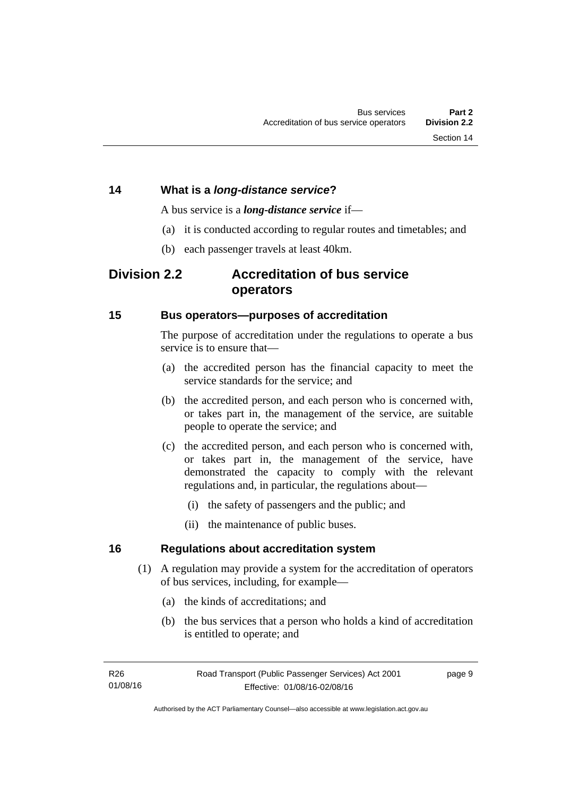# <span id="page-18-0"></span>**14 What is a** *long-distance service***?**

A bus service is a *long-distance service* if—

- (a) it is conducted according to regular routes and timetables; and
- (b) each passenger travels at least 40km.

# <span id="page-18-1"></span>**Division 2.2 Accreditation of bus service operators**

## <span id="page-18-2"></span>**15 Bus operators—purposes of accreditation**

The purpose of accreditation under the regulations to operate a bus service is to ensure that-

- (a) the accredited person has the financial capacity to meet the service standards for the service; and
- (b) the accredited person, and each person who is concerned with, or takes part in, the management of the service, are suitable people to operate the service; and
- (c) the accredited person, and each person who is concerned with, or takes part in, the management of the service, have demonstrated the capacity to comply with the relevant regulations and, in particular, the regulations about—
	- (i) the safety of passengers and the public; and
	- (ii) the maintenance of public buses.

# <span id="page-18-3"></span>**16 Regulations about accreditation system**

- (1) A regulation may provide a system for the accreditation of operators of bus services, including, for example—
	- (a) the kinds of accreditations; and
	- (b) the bus services that a person who holds a kind of accreditation is entitled to operate; and

page 9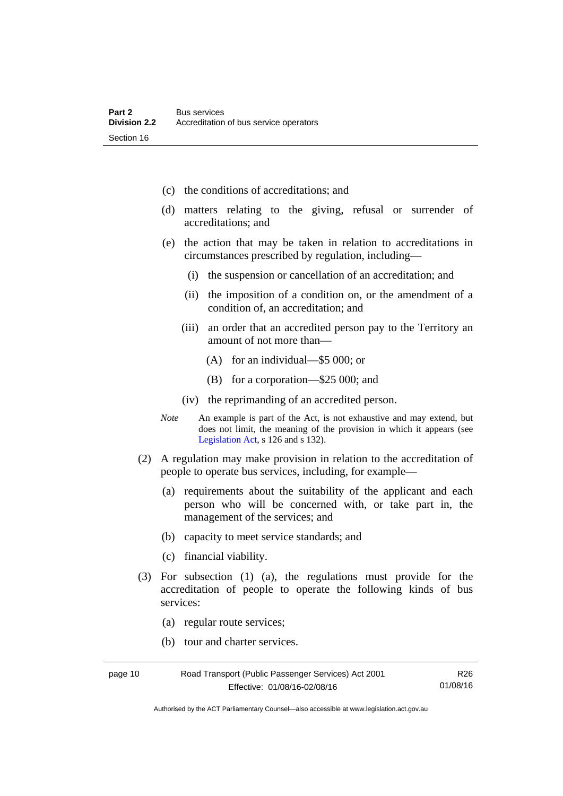- (c) the conditions of accreditations; and
- (d) matters relating to the giving, refusal or surrender of accreditations; and
- (e) the action that may be taken in relation to accreditations in circumstances prescribed by regulation, including—
	- (i) the suspension or cancellation of an accreditation; and
	- (ii) the imposition of a condition on, or the amendment of a condition of, an accreditation; and
	- (iii) an order that an accredited person pay to the Territory an amount of not more than—
		- (A) for an individual—\$5 000; or
		- (B) for a corporation—\$25 000; and
	- (iv) the reprimanding of an accredited person.
- *Note* An example is part of the Act, is not exhaustive and may extend, but does not limit, the meaning of the provision in which it appears (see [Legislation Act,](http://www.legislation.act.gov.au/a/2001-14) s 126 and s 132).
- (2) A regulation may make provision in relation to the accreditation of people to operate bus services, including, for example—
	- (a) requirements about the suitability of the applicant and each person who will be concerned with, or take part in, the management of the services; and
	- (b) capacity to meet service standards; and
	- (c) financial viability.
- (3) For subsection (1) (a), the regulations must provide for the accreditation of people to operate the following kinds of bus services:
	- (a) regular route services;
	- (b) tour and charter services.

| page 10 | Road Transport (Public Passenger Services) Act 2001 | R26      |
|---------|-----------------------------------------------------|----------|
|         | Effective: 01/08/16-02/08/16                        | 01/08/16 |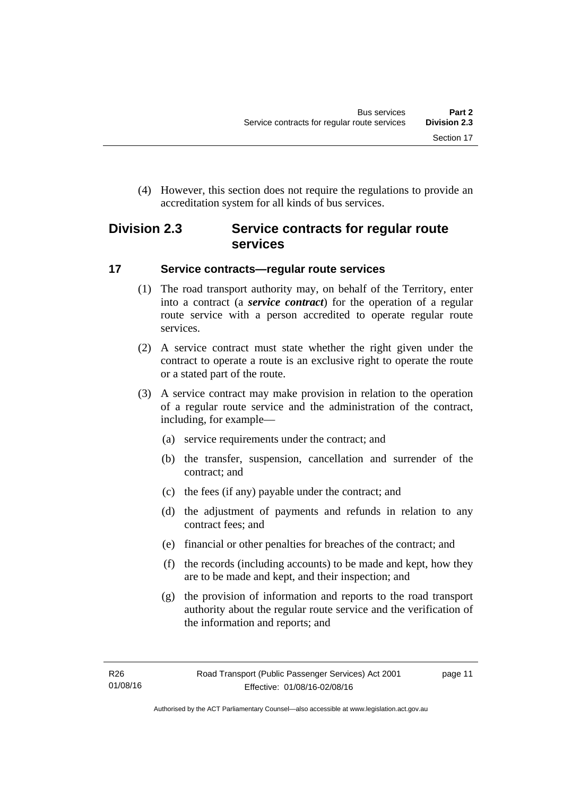(4) However, this section does not require the regulations to provide an accreditation system for all kinds of bus services.

# <span id="page-20-0"></span>**Division 2.3 Service contracts for regular route services**

# <span id="page-20-1"></span>**17 Service contracts—regular route services**

- (1) The road transport authority may, on behalf of the Territory, enter into a contract (a *service contract*) for the operation of a regular route service with a person accredited to operate regular route services.
- (2) A service contract must state whether the right given under the contract to operate a route is an exclusive right to operate the route or a stated part of the route.
- (3) A service contract may make provision in relation to the operation of a regular route service and the administration of the contract, including, for example—
	- (a) service requirements under the contract; and
	- (b) the transfer, suspension, cancellation and surrender of the contract; and
	- (c) the fees (if any) payable under the contract; and
	- (d) the adjustment of payments and refunds in relation to any contract fees; and
	- (e) financial or other penalties for breaches of the contract; and
	- (f) the records (including accounts) to be made and kept, how they are to be made and kept, and their inspection; and
	- (g) the provision of information and reports to the road transport authority about the regular route service and the verification of the information and reports; and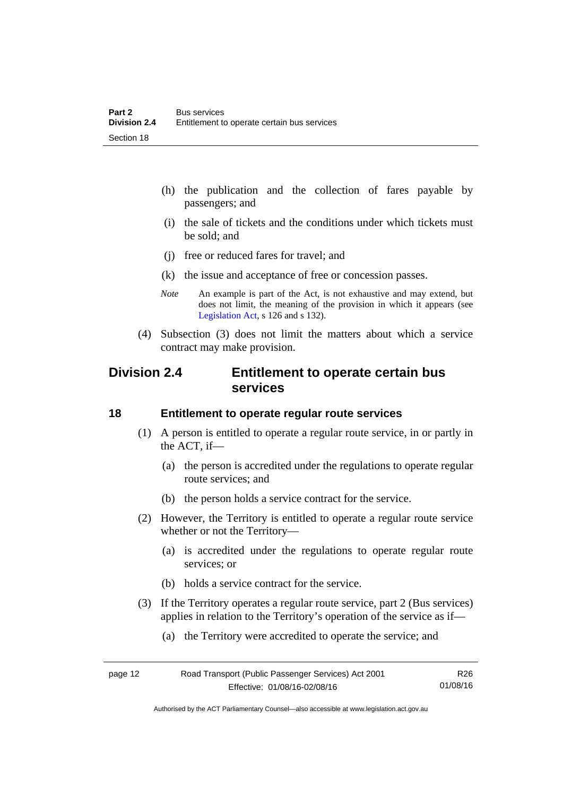- (h) the publication and the collection of fares payable by passengers; and
- (i) the sale of tickets and the conditions under which tickets must be sold; and
- (j) free or reduced fares for travel; and
- (k) the issue and acceptance of free or concession passes.
- *Note* An example is part of the Act, is not exhaustive and may extend, but does not limit, the meaning of the provision in which it appears (see [Legislation Act,](http://www.legislation.act.gov.au/a/2001-14) s 126 and s 132).
- (4) Subsection (3) does not limit the matters about which a service contract may make provision.

# <span id="page-21-0"></span>**Division 2.4 Entitlement to operate certain bus services**

### <span id="page-21-1"></span>**18 Entitlement to operate regular route services**

- (1) A person is entitled to operate a regular route service, in or partly in the ACT, if—
	- (a) the person is accredited under the regulations to operate regular route services; and
	- (b) the person holds a service contract for the service.
- (2) However, the Territory is entitled to operate a regular route service whether or not the Territory—
	- (a) is accredited under the regulations to operate regular route services; or
	- (b) holds a service contract for the service.
- (3) If the Territory operates a regular route service, part 2 (Bus services) applies in relation to the Territory's operation of the service as if—
	- (a) the Territory were accredited to operate the service; and

| page 12 | Road Transport (Public Passenger Services) Act 2001 | R26      |
|---------|-----------------------------------------------------|----------|
|         | Effective: 01/08/16-02/08/16                        | 01/08/16 |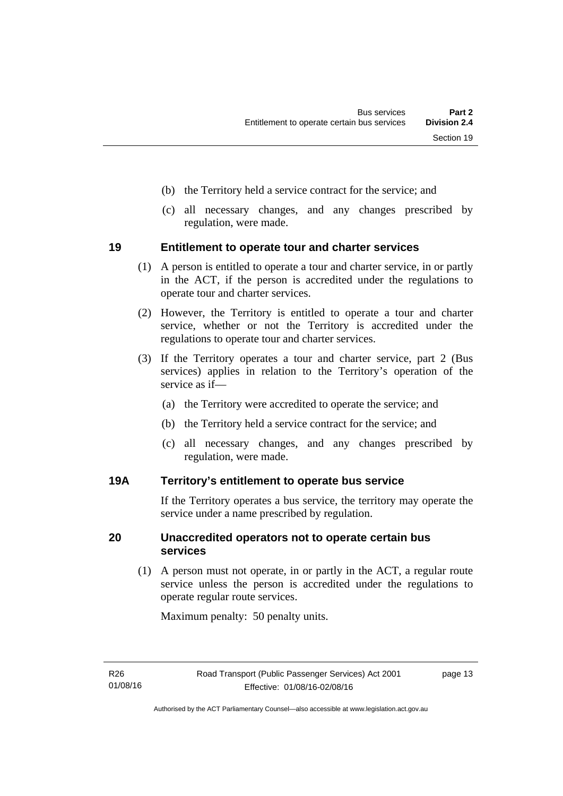- (b) the Territory held a service contract for the service; and
- (c) all necessary changes, and any changes prescribed by regulation, were made.

# <span id="page-22-0"></span>**19 Entitlement to operate tour and charter services**

- (1) A person is entitled to operate a tour and charter service, in or partly in the ACT, if the person is accredited under the regulations to operate tour and charter services.
- (2) However, the Territory is entitled to operate a tour and charter service, whether or not the Territory is accredited under the regulations to operate tour and charter services.
- (3) If the Territory operates a tour and charter service, part 2 (Bus services) applies in relation to the Territory's operation of the service as if—
	- (a) the Territory were accredited to operate the service; and
	- (b) the Territory held a service contract for the service; and
	- (c) all necessary changes, and any changes prescribed by regulation, were made.

# <span id="page-22-1"></span>**19A Territory's entitlement to operate bus service**

If the Territory operates a bus service, the territory may operate the service under a name prescribed by regulation.

# <span id="page-22-2"></span>**20 Unaccredited operators not to operate certain bus services**

(1) A person must not operate, in or partly in the ACT, a regular route service unless the person is accredited under the regulations to operate regular route services.

Maximum penalty: 50 penalty units.

page 13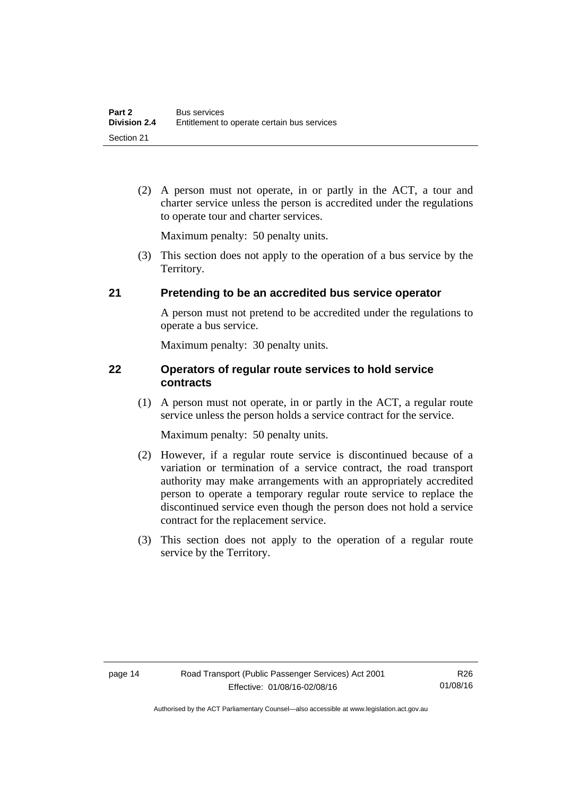(2) A person must not operate, in or partly in the ACT, a tour and charter service unless the person is accredited under the regulations to operate tour and charter services.

Maximum penalty: 50 penalty units.

 (3) This section does not apply to the operation of a bus service by the Territory.

# <span id="page-23-0"></span>**21 Pretending to be an accredited bus service operator**

A person must not pretend to be accredited under the regulations to operate a bus service.

Maximum penalty: 30 penalty units.

# <span id="page-23-1"></span>**22 Operators of regular route services to hold service contracts**

(1) A person must not operate, in or partly in the ACT, a regular route service unless the person holds a service contract for the service.

Maximum penalty: 50 penalty units.

- (2) However, if a regular route service is discontinued because of a variation or termination of a service contract, the road transport authority may make arrangements with an appropriately accredited person to operate a temporary regular route service to replace the discontinued service even though the person does not hold a service contract for the replacement service.
- (3) This section does not apply to the operation of a regular route service by the Territory.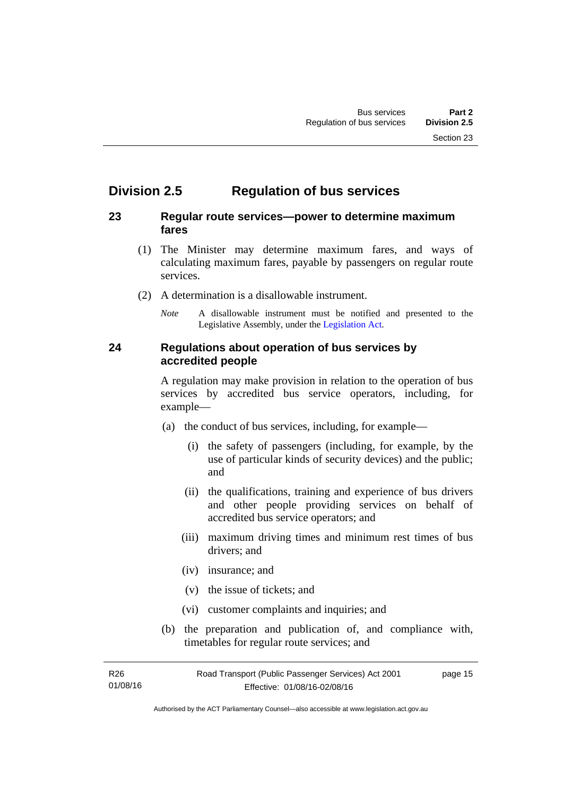# <span id="page-24-0"></span>**Division 2.5 Regulation of bus services**

# <span id="page-24-1"></span>**23 Regular route services—power to determine maximum fares**

- (1) The Minister may determine maximum fares, and ways of calculating maximum fares, payable by passengers on regular route services.
- (2) A determination is a disallowable instrument.
	- *Note* A disallowable instrument must be notified and presented to the Legislative Assembly, under the [Legislation Act.](http://www.legislation.act.gov.au/a/2001-14)

# <span id="page-24-2"></span>**24 Regulations about operation of bus services by accredited people**

A regulation may make provision in relation to the operation of bus services by accredited bus service operators, including, for example—

- (a) the conduct of bus services, including, for example—
	- (i) the safety of passengers (including, for example, by the use of particular kinds of security devices) and the public; and
	- (ii) the qualifications, training and experience of bus drivers and other people providing services on behalf of accredited bus service operators; and
	- (iii) maximum driving times and minimum rest times of bus drivers; and
	- (iv) insurance; and
	- (v) the issue of tickets; and
	- (vi) customer complaints and inquiries; and
- (b) the preparation and publication of, and compliance with, timetables for regular route services; and

R26 01/08/16 Road Transport (Public Passenger Services) Act 2001 Effective: 01/08/16-02/08/16 page 15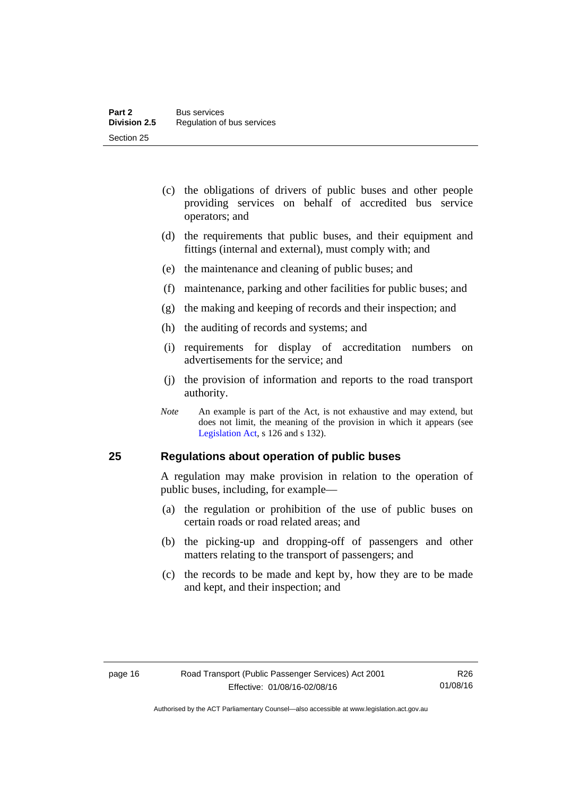- (c) the obligations of drivers of public buses and other people providing services on behalf of accredited bus service operators; and
- (d) the requirements that public buses, and their equipment and fittings (internal and external), must comply with; and
- (e) the maintenance and cleaning of public buses; and
- (f) maintenance, parking and other facilities for public buses; and
- (g) the making and keeping of records and their inspection; and
- (h) the auditing of records and systems; and
- (i) requirements for display of accreditation numbers on advertisements for the service; and
- (j) the provision of information and reports to the road transport authority.
- *Note* An example is part of the Act, is not exhaustive and may extend, but does not limit, the meaning of the provision in which it appears (see [Legislation Act,](http://www.legislation.act.gov.au/a/2001-14) s 126 and s 132).

### <span id="page-25-0"></span>**25 Regulations about operation of public buses**

A regulation may make provision in relation to the operation of public buses, including, for example—

- (a) the regulation or prohibition of the use of public buses on certain roads or road related areas; and
- (b) the picking-up and dropping-off of passengers and other matters relating to the transport of passengers; and
- (c) the records to be made and kept by, how they are to be made and kept, and their inspection; and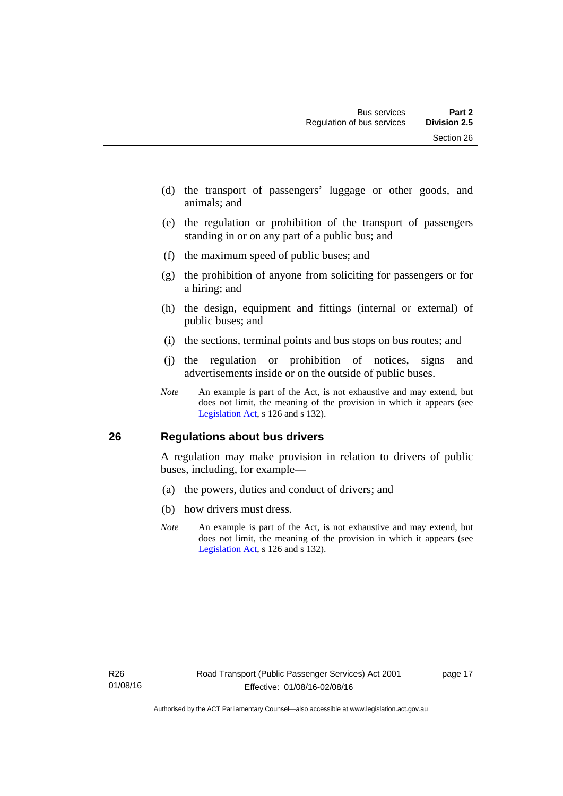- (d) the transport of passengers' luggage or other goods, and animals; and
- (e) the regulation or prohibition of the transport of passengers standing in or on any part of a public bus; and
- (f) the maximum speed of public buses; and
- (g) the prohibition of anyone from soliciting for passengers or for a hiring; and
- (h) the design, equipment and fittings (internal or external) of public buses; and
- (i) the sections, terminal points and bus stops on bus routes; and
- (j) the regulation or prohibition of notices, signs and advertisements inside or on the outside of public buses.
- *Note* An example is part of the Act, is not exhaustive and may extend, but does not limit, the meaning of the provision in which it appears (see [Legislation Act,](http://www.legislation.act.gov.au/a/2001-14) s 126 and s 132).

# <span id="page-26-0"></span>**26 Regulations about bus drivers**

A regulation may make provision in relation to drivers of public buses, including, for example—

- (a) the powers, duties and conduct of drivers; and
- (b) how drivers must dress.
- *Note* An example is part of the Act, is not exhaustive and may extend, but does not limit, the meaning of the provision in which it appears (see [Legislation Act,](http://www.legislation.act.gov.au/a/2001-14) s 126 and s 132).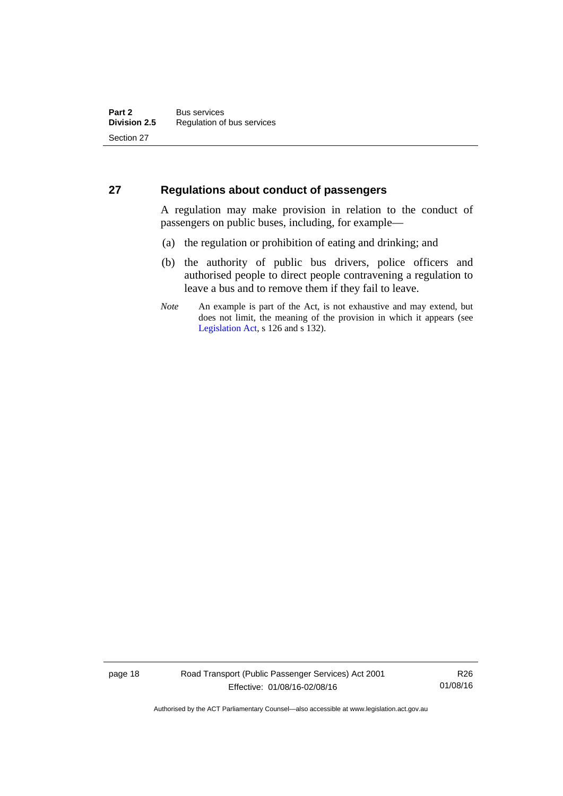# <span id="page-27-0"></span>**27 Regulations about conduct of passengers**

A regulation may make provision in relation to the conduct of passengers on public buses, including, for example—

- (a) the regulation or prohibition of eating and drinking; and
- (b) the authority of public bus drivers, police officers and authorised people to direct people contravening a regulation to leave a bus and to remove them if they fail to leave.
- *Note* An example is part of the Act, is not exhaustive and may extend, but does not limit, the meaning of the provision in which it appears (see [Legislation Act,](http://www.legislation.act.gov.au/a/2001-14) s 126 and s 132).

page 18 Road Transport (Public Passenger Services) Act 2001 Effective: 01/08/16-02/08/16

R26 01/08/16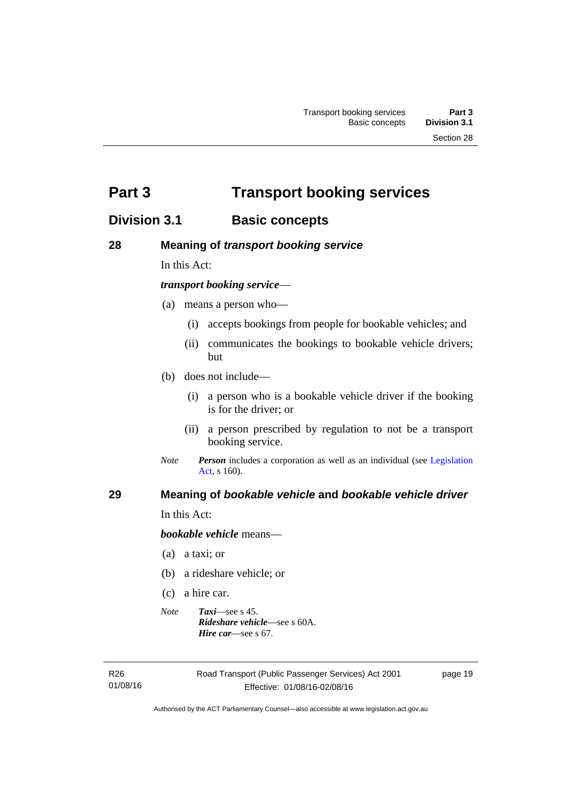<span id="page-28-0"></span>**Part 3 Transport booking services** 

# <span id="page-28-1"></span>**Division 3.1 Basic concepts**

# <span id="page-28-2"></span>**28 Meaning of** *transport booking service*

In this Act:

# *transport booking service*—

- (a) means a person who—
	- (i) accepts bookings from people for bookable vehicles; and
	- (ii) communicates the bookings to bookable vehicle drivers; but
- (b) does not include—
	- (i) a person who is a bookable vehicle driver if the booking is for the driver; or
	- (ii) a person prescribed by regulation to not be a transport booking service.
- *Note Person* includes a corporation as well as an individual (see [Legislation](http://www.legislation.act.gov.au/a/2001-14)  [Act](http://www.legislation.act.gov.au/a/2001-14), s 160).

# <span id="page-28-3"></span>**29 Meaning of** *bookable vehicle* **and** *bookable vehicle driver*

In this Act:

*bookable vehicle* means—

- (a) a taxi; or
- (b) a rideshare vehicle; or
- (c) a hire car.
- *Note Taxi*—see s 45. *Rideshare vehicle*—see s 60A. *Hire car*—see s 67.

R26 01/08/16 page 19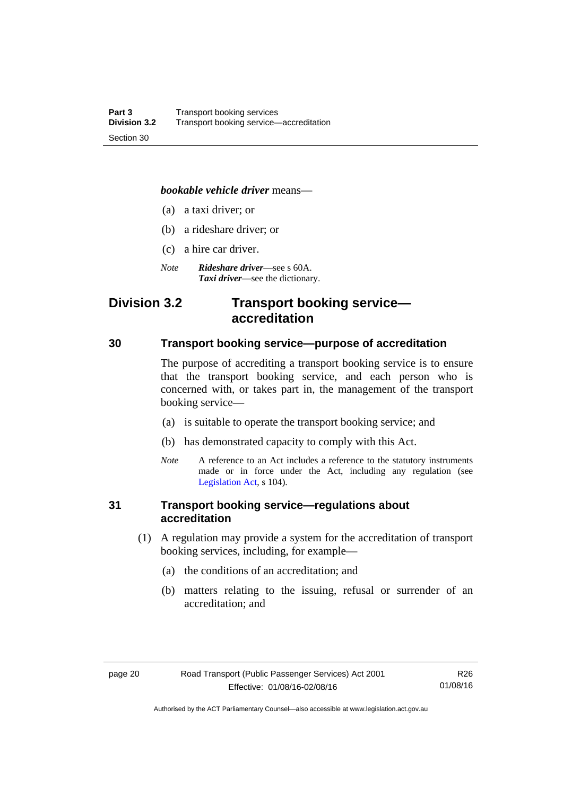#### *bookable vehicle driver* means—

- (a) a taxi driver; or
- (b) a rideshare driver; or
- (c) a hire car driver.
- *Note Rideshare driver*—see s 60A. *Taxi driver*—see the dictionary.

# <span id="page-29-0"></span>**Division 3.2 Transport booking service accreditation**

## <span id="page-29-1"></span>**30 Transport booking service—purpose of accreditation**

The purpose of accrediting a transport booking service is to ensure that the transport booking service, and each person who is concerned with, or takes part in, the management of the transport booking service—

- (a) is suitable to operate the transport booking service; and
- (b) has demonstrated capacity to comply with this Act.
- *Note* A reference to an Act includes a reference to the statutory instruments made or in force under the Act, including any regulation (see [Legislation Act,](http://www.legislation.act.gov.au/a/2001-14) s 104).

# <span id="page-29-2"></span>**31 Transport booking service—regulations about accreditation**

- (1) A regulation may provide a system for the accreditation of transport booking services, including, for example—
	- (a) the conditions of an accreditation; and
	- (b) matters relating to the issuing, refusal or surrender of an accreditation; and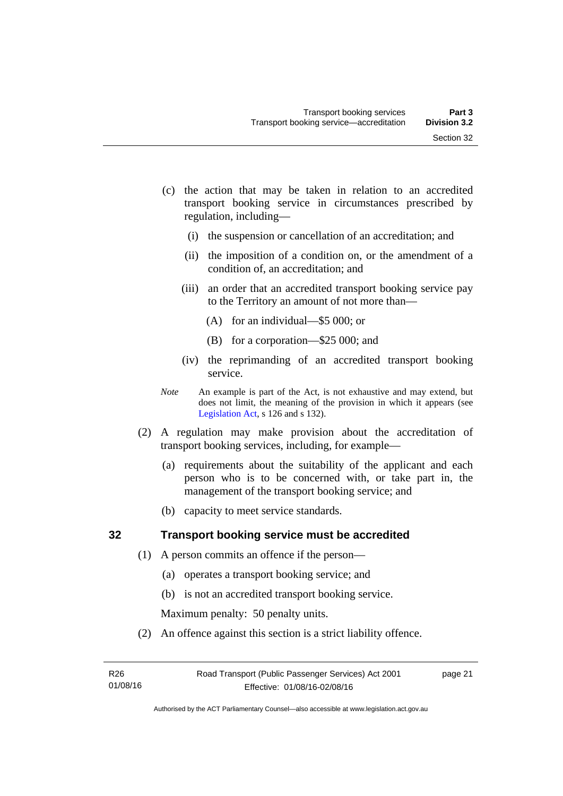- (c) the action that may be taken in relation to an accredited transport booking service in circumstances prescribed by regulation, including—
	- (i) the suspension or cancellation of an accreditation; and
	- (ii) the imposition of a condition on, or the amendment of a condition of, an accreditation; and
	- (iii) an order that an accredited transport booking service pay to the Territory an amount of not more than—
		- (A) for an individual—\$5 000; or
		- (B) for a corporation—\$25 000; and
	- (iv) the reprimanding of an accredited transport booking service.
- *Note* An example is part of the Act, is not exhaustive and may extend, but does not limit, the meaning of the provision in which it appears (see [Legislation Act,](http://www.legislation.act.gov.au/a/2001-14) s 126 and s 132).
- (2) A regulation may make provision about the accreditation of transport booking services, including, for example—
	- (a) requirements about the suitability of the applicant and each person who is to be concerned with, or take part in, the management of the transport booking service; and
	- (b) capacity to meet service standards.

# <span id="page-30-0"></span>**32 Transport booking service must be accredited**

- (1) A person commits an offence if the person—
	- (a) operates a transport booking service; and
	- (b) is not an accredited transport booking service.

Maximum penalty: 50 penalty units.

(2) An offence against this section is a strict liability offence.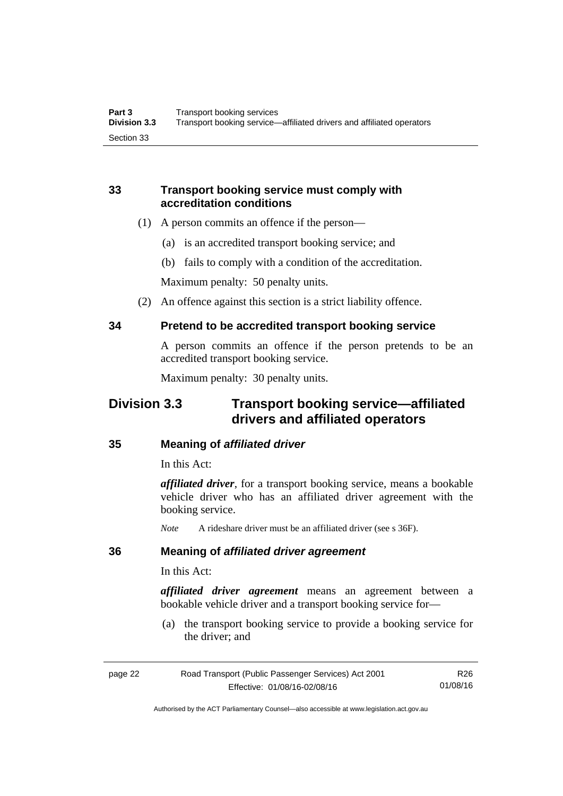# <span id="page-31-0"></span>**33 Transport booking service must comply with accreditation conditions**

- (1) A person commits an offence if the person—
	- (a) is an accredited transport booking service; and
	- (b) fails to comply with a condition of the accreditation.

Maximum penalty: 50 penalty units.

(2) An offence against this section is a strict liability offence.

# <span id="page-31-1"></span>**34 Pretend to be accredited transport booking service**

A person commits an offence if the person pretends to be an accredited transport booking service.

Maximum penalty: 30 penalty units.

# <span id="page-31-2"></span>**Division 3.3 Transport booking service—affiliated drivers and affiliated operators**

# <span id="page-31-3"></span>**35 Meaning of** *affiliated driver*

In this Act:

*affiliated driver*, for a transport booking service, means a bookable vehicle driver who has an affiliated driver agreement with the booking service.

*Note* A rideshare driver must be an affiliated driver (see s 36F).

# <span id="page-31-4"></span>**36 Meaning of** *affiliated driver agreement*

In this Act:

*affiliated driver agreement* means an agreement between a bookable vehicle driver and a transport booking service for—

 (a) the transport booking service to provide a booking service for the driver; and

| page 22 | Road Transport (Public Passenger Services) Act 2001 | R26      |
|---------|-----------------------------------------------------|----------|
|         | Effective: 01/08/16-02/08/16                        | 01/08/16 |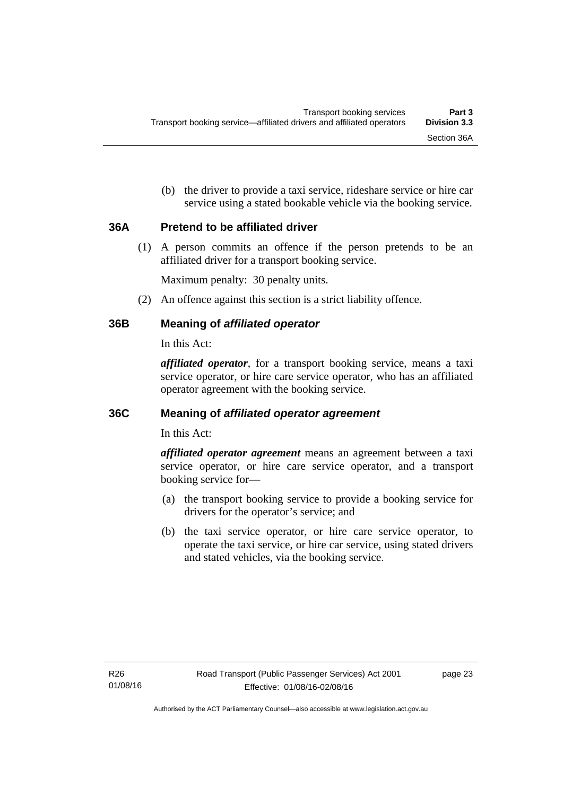(b) the driver to provide a taxi service, rideshare service or hire car service using a stated bookable vehicle via the booking service.

# <span id="page-32-0"></span>**36A Pretend to be affiliated driver**

(1) A person commits an offence if the person pretends to be an affiliated driver for a transport booking service.

Maximum penalty: 30 penalty units.

(2) An offence against this section is a strict liability offence.

# <span id="page-32-1"></span>**36B Meaning of** *affiliated operator*

In this Act:

*affiliated operator*, for a transport booking service, means a taxi service operator, or hire care service operator, who has an affiliated operator agreement with the booking service.

# <span id="page-32-2"></span>**36C Meaning of** *affiliated operator agreement*

In this Act:

*affiliated operator agreement* means an agreement between a taxi service operator, or hire care service operator, and a transport booking service for—

- (a) the transport booking service to provide a booking service for drivers for the operator's service; and
- (b) the taxi service operator, or hire care service operator, to operate the taxi service, or hire car service, using stated drivers and stated vehicles, via the booking service.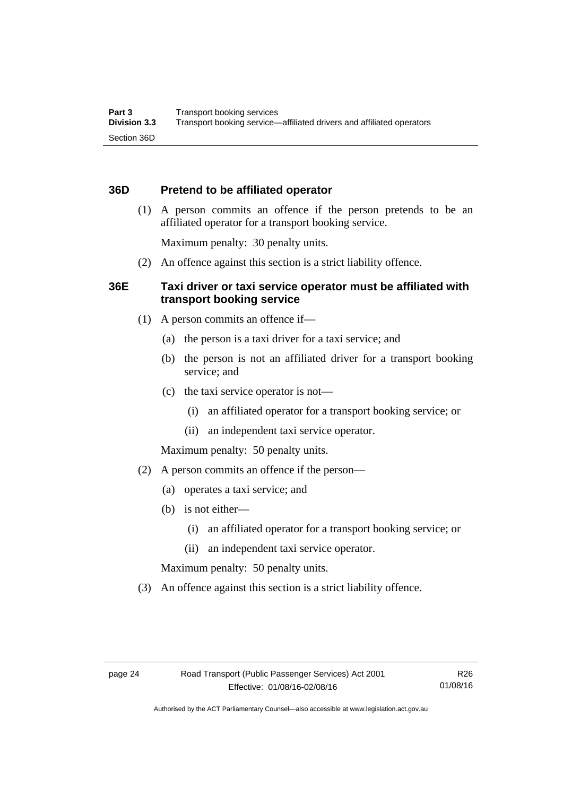# <span id="page-33-0"></span>**36D Pretend to be affiliated operator**

 (1) A person commits an offence if the person pretends to be an affiliated operator for a transport booking service.

Maximum penalty: 30 penalty units.

(2) An offence against this section is a strict liability offence.

# <span id="page-33-1"></span>**36E Taxi driver or taxi service operator must be affiliated with transport booking service**

- (1) A person commits an offence if—
	- (a) the person is a taxi driver for a taxi service; and
	- (b) the person is not an affiliated driver for a transport booking service; and
	- (c) the taxi service operator is not—
		- (i) an affiliated operator for a transport booking service; or
		- (ii) an independent taxi service operator.

Maximum penalty: 50 penalty units.

- (2) A person commits an offence if the person—
	- (a) operates a taxi service; and
	- (b) is not either—
		- (i) an affiliated operator for a transport booking service; or
		- (ii) an independent taxi service operator.

Maximum penalty: 50 penalty units.

(3) An offence against this section is a strict liability offence.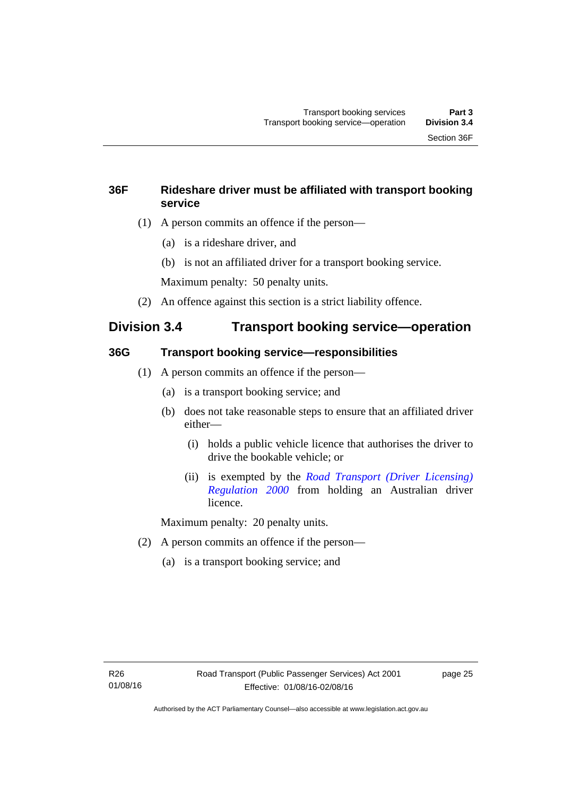# <span id="page-34-0"></span>**36F Rideshare driver must be affiliated with transport booking service**

- (1) A person commits an offence if the person—
	- (a) is a rideshare driver, and
	- (b) is not an affiliated driver for a transport booking service.

Maximum penalty: 50 penalty units.

(2) An offence against this section is a strict liability offence.

# <span id="page-34-1"></span>**Division 3.4 Transport booking service—operation**

# <span id="page-34-2"></span>**36G Transport booking service—responsibilities**

- (1) A person commits an offence if the person—
	- (a) is a transport booking service; and
	- (b) does not take reasonable steps to ensure that an affiliated driver either—
		- (i) holds a public vehicle licence that authorises the driver to drive the bookable vehicle; or
		- (ii) is exempted by the *[Road Transport \(Driver Licensing\)](http://www.legislation.act.gov.au/sl/2000-14)  [Regulation 2000](http://www.legislation.act.gov.au/sl/2000-14)* from holding an Australian driver licence.

Maximum penalty: 20 penalty units.

- (2) A person commits an offence if the person—
	- (a) is a transport booking service; and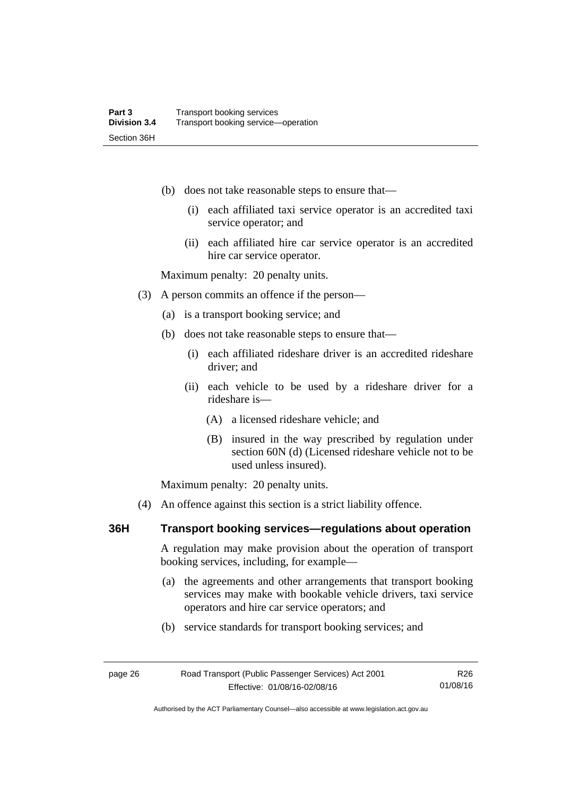- (b) does not take reasonable steps to ensure that—
	- (i) each affiliated taxi service operator is an accredited taxi service operator; and
	- (ii) each affiliated hire car service operator is an accredited hire car service operator.

Maximum penalty: 20 penalty units.

- (3) A person commits an offence if the person—
	- (a) is a transport booking service; and
	- (b) does not take reasonable steps to ensure that—
		- (i) each affiliated rideshare driver is an accredited rideshare driver; and
		- (ii) each vehicle to be used by a rideshare driver for a rideshare is—
			- (A) a licensed rideshare vehicle; and
			- (B) insured in the way prescribed by regulation under section 60N (d) (Licensed rideshare vehicle not to be used unless insured).

Maximum penalty: 20 penalty units.

(4) An offence against this section is a strict liability offence.

# <span id="page-35-0"></span>**36H Transport booking services—regulations about operation**

A regulation may make provision about the operation of transport booking services, including, for example—

- (a) the agreements and other arrangements that transport booking services may make with bookable vehicle drivers, taxi service operators and hire car service operators; and
- (b) service standards for transport booking services; and

| page 26 | Road Transport (Public Passenger Services) Act 2001 | R26      |
|---------|-----------------------------------------------------|----------|
|         | Effective: 01/08/16-02/08/16                        | 01/08/16 |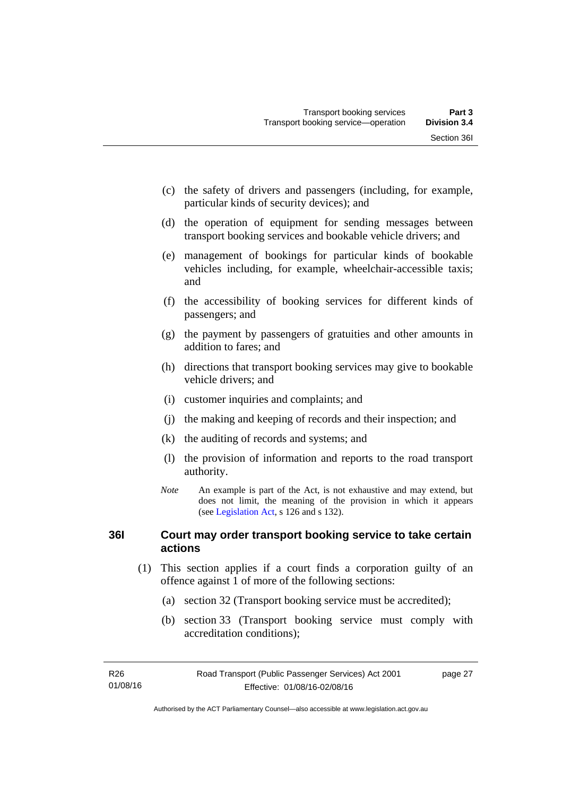- (c) the safety of drivers and passengers (including, for example, particular kinds of security devices); and
- (d) the operation of equipment for sending messages between transport booking services and bookable vehicle drivers; and
- (e) management of bookings for particular kinds of bookable vehicles including, for example, wheelchair-accessible taxis; and
- (f) the accessibility of booking services for different kinds of passengers; and
- (g) the payment by passengers of gratuities and other amounts in addition to fares; and
- (h) directions that transport booking services may give to bookable vehicle drivers; and
- (i) customer inquiries and complaints; and
- (j) the making and keeping of records and their inspection; and
- (k) the auditing of records and systems; and
- (l) the provision of information and reports to the road transport authority.
- *Note* An example is part of the Act, is not exhaustive and may extend, but does not limit, the meaning of the provision in which it appears (see [Legislation Act,](http://www.legislation.act.gov.au/a/2001-14) s 126 and s 132).

# **36I Court may order transport booking service to take certain actions**

- (1) This section applies if a court finds a corporation guilty of an offence against 1 of more of the following sections:
	- (a) section 32 (Transport booking service must be accredited);
	- (b) section 33 (Transport booking service must comply with accreditation conditions);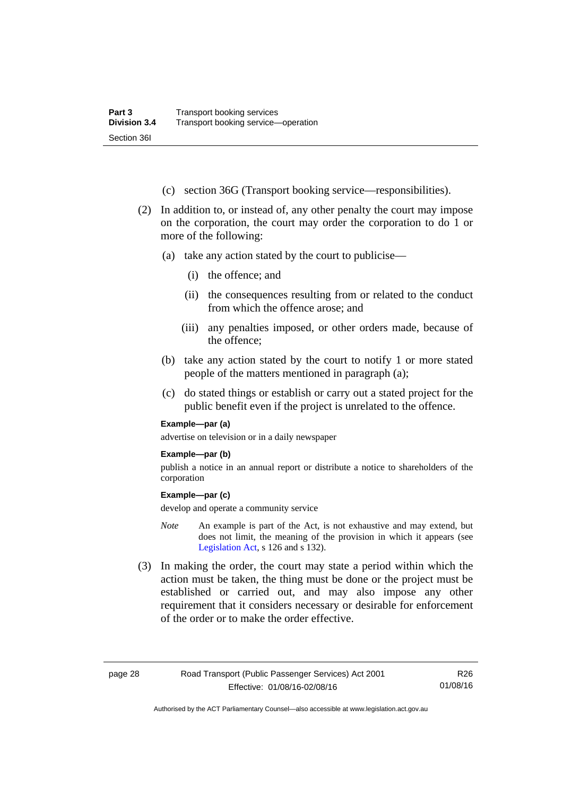- (c) section 36G (Transport booking service—responsibilities).
- (2) In addition to, or instead of, any other penalty the court may impose on the corporation, the court may order the corporation to do 1 or more of the following:
	- (a) take any action stated by the court to publicise—
		- (i) the offence; and
		- (ii) the consequences resulting from or related to the conduct from which the offence arose; and
		- (iii) any penalties imposed, or other orders made, because of the offence;
	- (b) take any action stated by the court to notify 1 or more stated people of the matters mentioned in paragraph (a);
	- (c) do stated things or establish or carry out a stated project for the public benefit even if the project is unrelated to the offence.

#### **Example—par (a)**

advertise on television or in a daily newspaper

#### **Example—par (b)**

publish a notice in an annual report or distribute a notice to shareholders of the corporation

#### **Example—par (c)**

develop and operate a community service

- *Note* An example is part of the Act, is not exhaustive and may extend, but does not limit, the meaning of the provision in which it appears (see [Legislation Act,](http://www.legislation.act.gov.au/a/2001-14) s 126 and s 132).
- (3) In making the order, the court may state a period within which the action must be taken, the thing must be done or the project must be established or carried out, and may also impose any other requirement that it considers necessary or desirable for enforcement of the order or to make the order effective.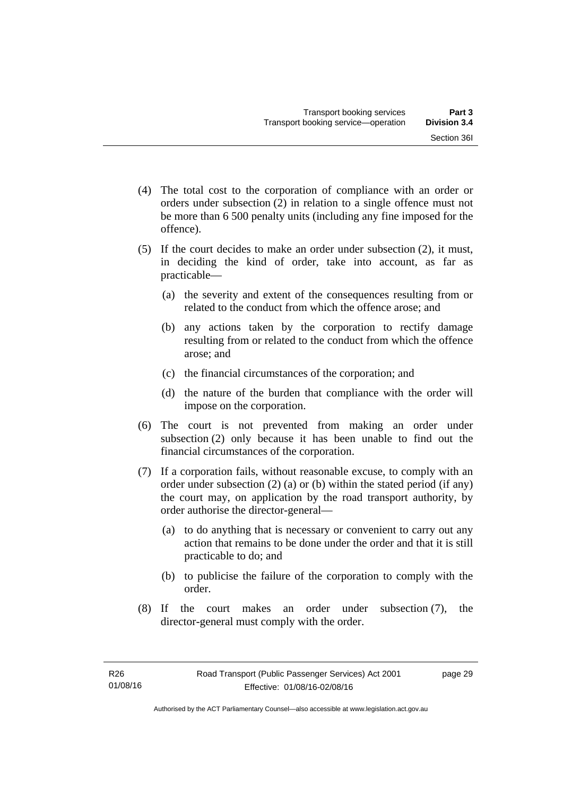- (4) The total cost to the corporation of compliance with an order or orders under subsection (2) in relation to a single offence must not be more than 6 500 penalty units (including any fine imposed for the offence).
- (5) If the court decides to make an order under subsection (2), it must, in deciding the kind of order, take into account, as far as practicable—
	- (a) the severity and extent of the consequences resulting from or related to the conduct from which the offence arose; and
	- (b) any actions taken by the corporation to rectify damage resulting from or related to the conduct from which the offence arose; and
	- (c) the financial circumstances of the corporation; and
	- (d) the nature of the burden that compliance with the order will impose on the corporation.
- (6) The court is not prevented from making an order under subsection (2) only because it has been unable to find out the financial circumstances of the corporation.
- (7) If a corporation fails, without reasonable excuse, to comply with an order under subsection (2) (a) or (b) within the stated period (if any) the court may, on application by the road transport authority, by order authorise the director-general—
	- (a) to do anything that is necessary or convenient to carry out any action that remains to be done under the order and that it is still practicable to do; and
	- (b) to publicise the failure of the corporation to comply with the order.
- (8) If the court makes an order under subsection (7), the director-general must comply with the order.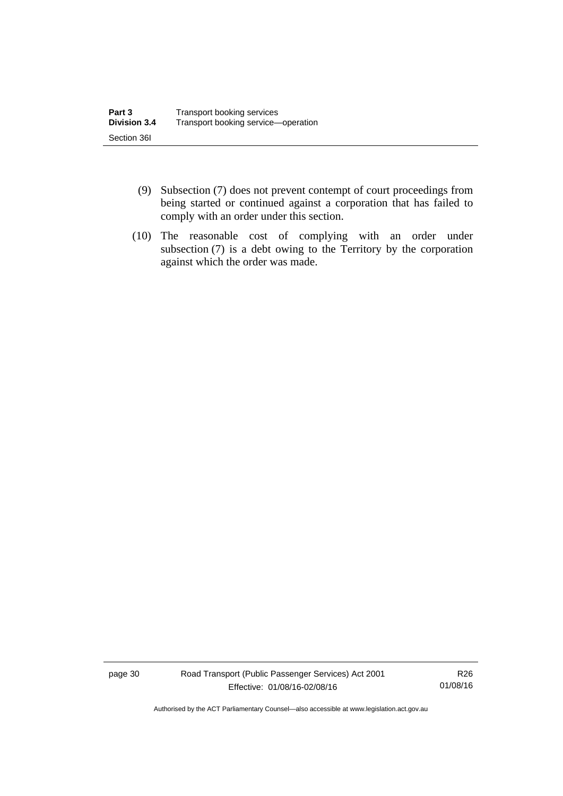- (9) Subsection (7) does not prevent contempt of court proceedings from being started or continued against a corporation that has failed to comply with an order under this section.
- (10) The reasonable cost of complying with an order under subsection (7) is a debt owing to the Territory by the corporation against which the order was made.

page 30 Road Transport (Public Passenger Services) Act 2001 Effective: 01/08/16-02/08/16

R26 01/08/16

Authorised by the ACT Parliamentary Counsel—also accessible at www.legislation.act.gov.au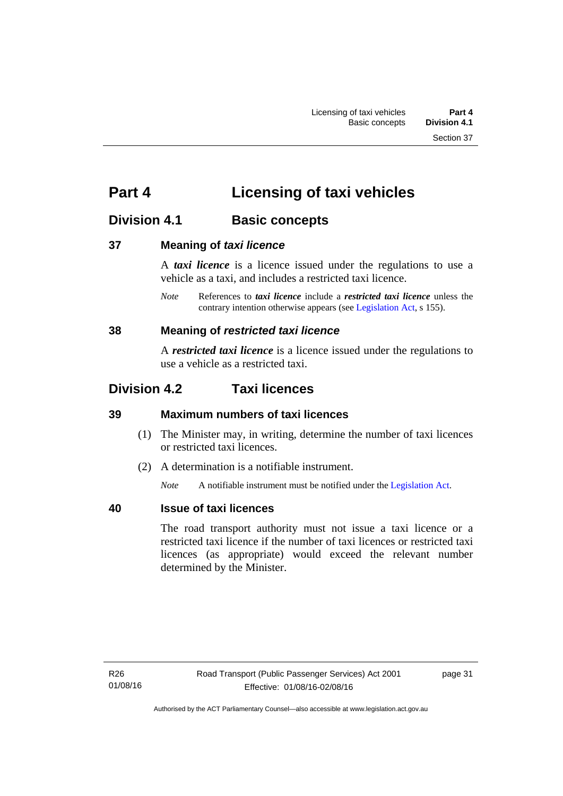# **Part 4 Licensing of taxi vehicles**

# **Division 4.1 Basic concepts**

# **37 Meaning of** *taxi licence*

A *taxi licence* is a licence issued under the regulations to use a vehicle as a taxi, and includes a restricted taxi licence.

*Note* References to *taxi licence* include a *restricted taxi licence* unless the contrary intention otherwise appears (see [Legislation Act,](http://www.legislation.act.gov.au/a/2001-14) s 155).

# **38 Meaning of** *restricted taxi licence*

A *restricted taxi licence* is a licence issued under the regulations to use a vehicle as a restricted taxi.

# **Division 4.2 Taxi licences**

# **39 Maximum numbers of taxi licences**

- (1) The Minister may, in writing, determine the number of taxi licences or restricted taxi licences.
- (2) A determination is a notifiable instrument.

*Note* A notifiable instrument must be notified under the [Legislation Act](http://www.legislation.act.gov.au/a/2001-14).

# **40 Issue of taxi licences**

The road transport authority must not issue a taxi licence or a restricted taxi licence if the number of taxi licences or restricted taxi licences (as appropriate) would exceed the relevant number determined by the Minister.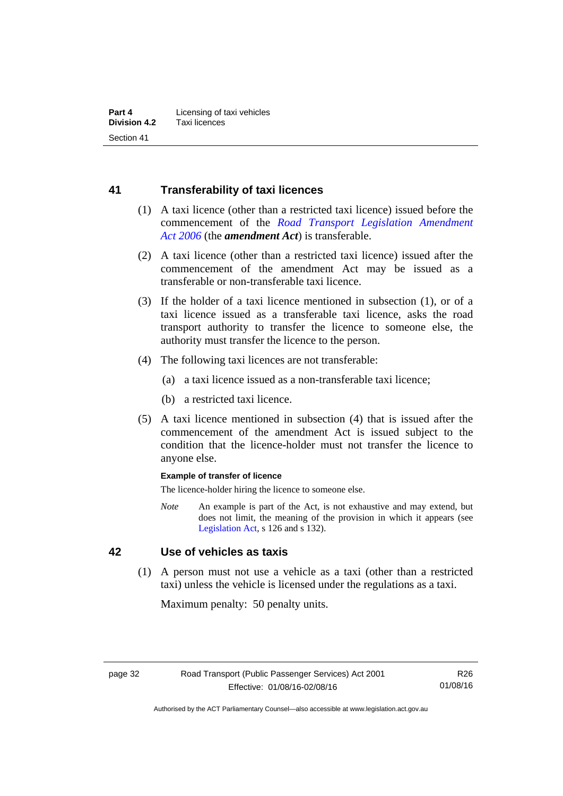# **41 Transferability of taxi licences**

- (1) A taxi licence (other than a restricted taxi licence) issued before the commencement of the *[Road Transport Legislation Amendment](http://www.legislation.act.gov.au/a/2006-26)  [Act 2006](http://www.legislation.act.gov.au/a/2006-26)* (the *amendment Act*) is transferable.
- (2) A taxi licence (other than a restricted taxi licence) issued after the commencement of the amendment Act may be issued as a transferable or non-transferable taxi licence.
- (3) If the holder of a taxi licence mentioned in subsection (1), or of a taxi licence issued as a transferable taxi licence, asks the road transport authority to transfer the licence to someone else, the authority must transfer the licence to the person.
- (4) The following taxi licences are not transferable:
	- (a) a taxi licence issued as a non-transferable taxi licence;
	- (b) a restricted taxi licence.
- (5) A taxi licence mentioned in subsection (4) that is issued after the commencement of the amendment Act is issued subject to the condition that the licence-holder must not transfer the licence to anyone else.

#### **Example of transfer of licence**

The licence-holder hiring the licence to someone else.

*Note* An example is part of the Act, is not exhaustive and may extend, but does not limit, the meaning of the provision in which it appears (see [Legislation Act,](http://www.legislation.act.gov.au/a/2001-14) s 126 and s 132).

# **42 Use of vehicles as taxis**

 (1) A person must not use a vehicle as a taxi (other than a restricted taxi) unless the vehicle is licensed under the regulations as a taxi.

Maximum penalty: 50 penalty units.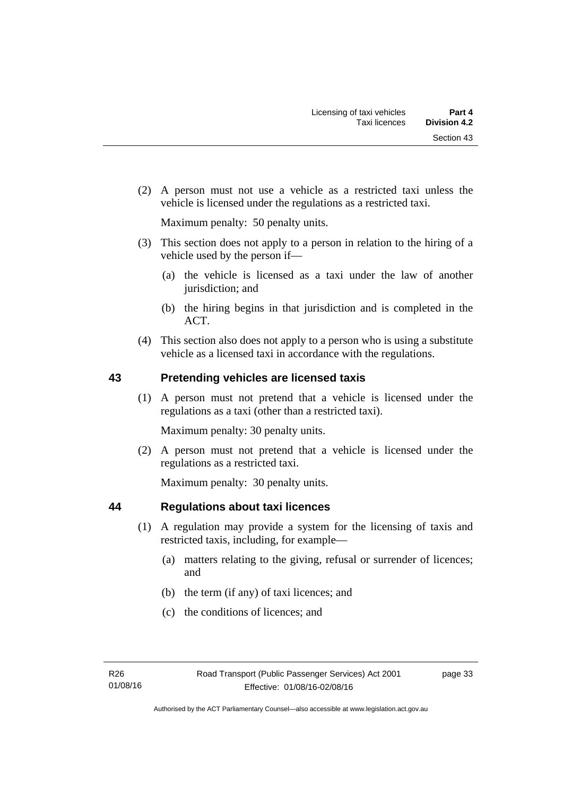(2) A person must not use a vehicle as a restricted taxi unless the vehicle is licensed under the regulations as a restricted taxi.

Maximum penalty: 50 penalty units.

- (3) This section does not apply to a person in relation to the hiring of a vehicle used by the person if—
	- (a) the vehicle is licensed as a taxi under the law of another jurisdiction; and
	- (b) the hiring begins in that jurisdiction and is completed in the ACT.
- (4) This section also does not apply to a person who is using a substitute vehicle as a licensed taxi in accordance with the regulations.

# **43 Pretending vehicles are licensed taxis**

(1) A person must not pretend that a vehicle is licensed under the regulations as a taxi (other than a restricted taxi).

Maximum penalty: 30 penalty units.

 (2) A person must not pretend that a vehicle is licensed under the regulations as a restricted taxi.

Maximum penalty: 30 penalty units.

# **44 Regulations about taxi licences**

- (1) A regulation may provide a system for the licensing of taxis and restricted taxis, including, for example—
	- (a) matters relating to the giving, refusal or surrender of licences; and
	- (b) the term (if any) of taxi licences; and
	- (c) the conditions of licences; and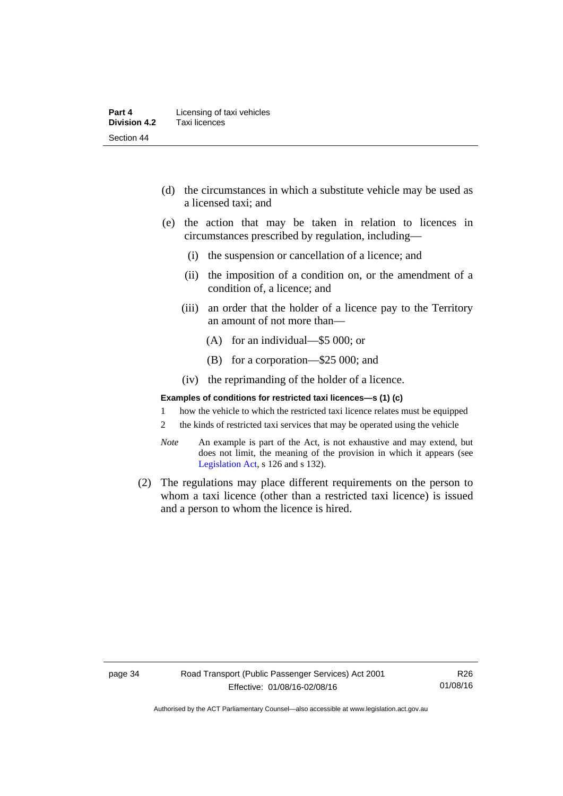- (d) the circumstances in which a substitute vehicle may be used as a licensed taxi; and
- (e) the action that may be taken in relation to licences in circumstances prescribed by regulation, including—
	- (i) the suspension or cancellation of a licence; and
	- (ii) the imposition of a condition on, or the amendment of a condition of, a licence; and
	- (iii) an order that the holder of a licence pay to the Territory an amount of not more than—
		- (A) for an individual—\$5 000; or
		- (B) for a corporation—\$25 000; and
	- (iv) the reprimanding of the holder of a licence.

#### **Examples of conditions for restricted taxi licences—s (1) (c)**

- 1 how the vehicle to which the restricted taxi licence relates must be equipped
- 2 the kinds of restricted taxi services that may be operated using the vehicle
- *Note* An example is part of the Act, is not exhaustive and may extend, but does not limit, the meaning of the provision in which it appears (see [Legislation Act,](http://www.legislation.act.gov.au/a/2001-14) s 126 and s 132).
- (2) The regulations may place different requirements on the person to whom a taxi licence (other than a restricted taxi licence) is issued and a person to whom the licence is hired.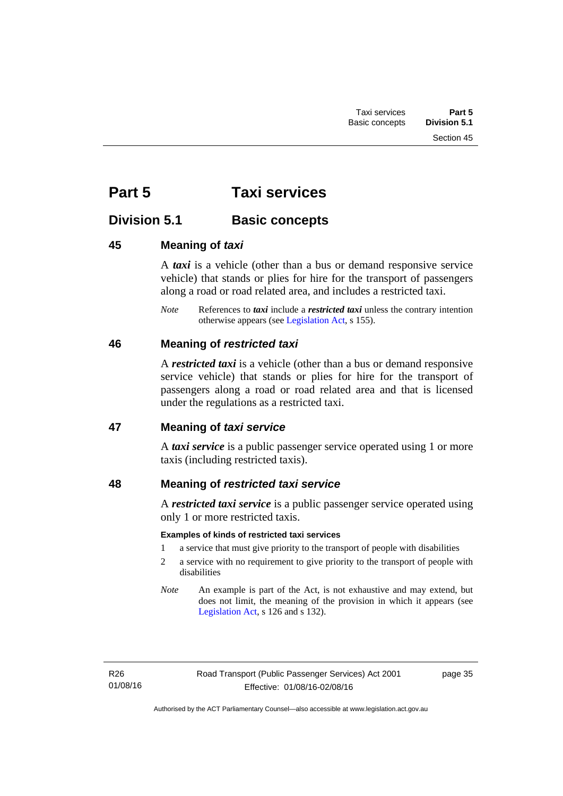# **Part 5 Taxi services**

# **Division 5.1 Basic concepts**

# **45 Meaning of** *taxi*

A *taxi* is a vehicle (other than a bus or demand responsive service vehicle) that stands or plies for hire for the transport of passengers along a road or road related area, and includes a restricted taxi.

*Note* References to *taxi* include a *restricted taxi* unless the contrary intention otherwise appears (see [Legislation Act,](http://www.legislation.act.gov.au/a/2001-14) s 155).

# **46 Meaning of** *restricted taxi*

A *restricted taxi* is a vehicle (other than a bus or demand responsive service vehicle) that stands or plies for hire for the transport of passengers along a road or road related area and that is licensed under the regulations as a restricted taxi.

# **47 Meaning of** *taxi service*

A *taxi service* is a public passenger service operated using 1 or more taxis (including restricted taxis).

# **48 Meaning of** *restricted taxi service*

A *restricted taxi service* is a public passenger service operated using only 1 or more restricted taxis.

# **Examples of kinds of restricted taxi services**

- 1 a service that must give priority to the transport of people with disabilities
- 2 a service with no requirement to give priority to the transport of people with disabilities
- *Note* An example is part of the Act, is not exhaustive and may extend, but does not limit, the meaning of the provision in which it appears (see [Legislation Act,](http://www.legislation.act.gov.au/a/2001-14) s 126 and s 132).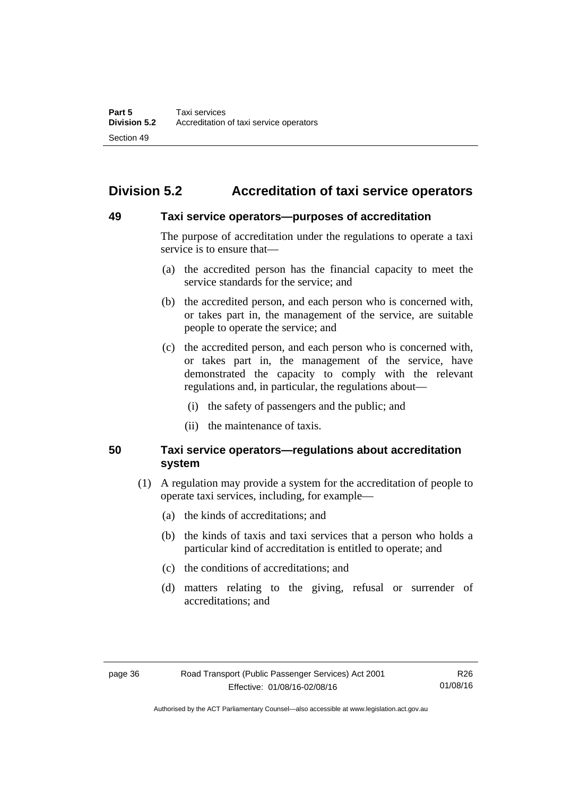# **Division 5.2 Accreditation of taxi service operators**

### **49 Taxi service operators—purposes of accreditation**

The purpose of accreditation under the regulations to operate a taxi service is to ensure that—

- (a) the accredited person has the financial capacity to meet the service standards for the service; and
- (b) the accredited person, and each person who is concerned with, or takes part in, the management of the service, are suitable people to operate the service; and
- (c) the accredited person, and each person who is concerned with, or takes part in, the management of the service, have demonstrated the capacity to comply with the relevant regulations and, in particular, the regulations about—
	- (i) the safety of passengers and the public; and
	- (ii) the maintenance of taxis.

# **50 Taxi service operators—regulations about accreditation system**

- (1) A regulation may provide a system for the accreditation of people to operate taxi services, including, for example—
	- (a) the kinds of accreditations; and
	- (b) the kinds of taxis and taxi services that a person who holds a particular kind of accreditation is entitled to operate; and
	- (c) the conditions of accreditations; and
	- (d) matters relating to the giving, refusal or surrender of accreditations; and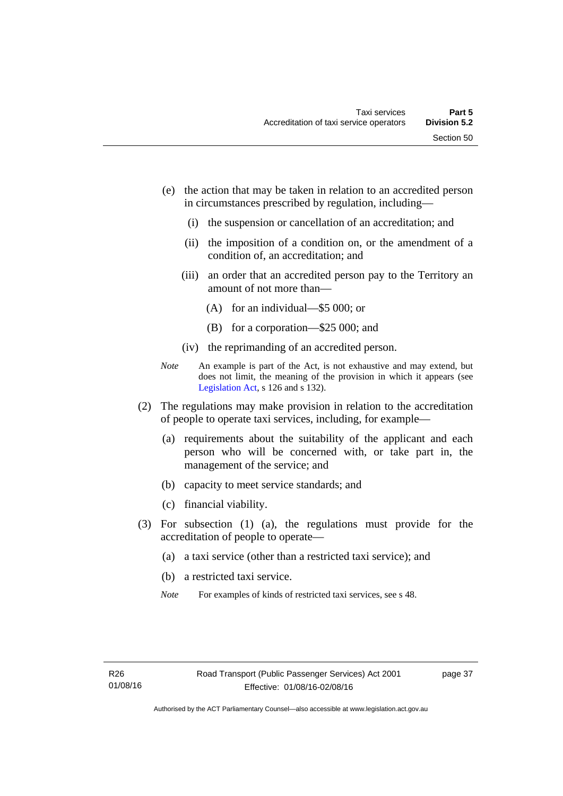- (e) the action that may be taken in relation to an accredited person in circumstances prescribed by regulation, including—
	- (i) the suspension or cancellation of an accreditation; and
	- (ii) the imposition of a condition on, or the amendment of a condition of, an accreditation; and
	- (iii) an order that an accredited person pay to the Territory an amount of not more than—
		- (A) for an individual—\$5 000; or
		- (B) for a corporation—\$25 000; and
	- (iv) the reprimanding of an accredited person.
- *Note* An example is part of the Act, is not exhaustive and may extend, but does not limit, the meaning of the provision in which it appears (see [Legislation Act,](http://www.legislation.act.gov.au/a/2001-14) s 126 and s 132).
- (2) The regulations may make provision in relation to the accreditation of people to operate taxi services, including, for example—
	- (a) requirements about the suitability of the applicant and each person who will be concerned with, or take part in, the management of the service; and
	- (b) capacity to meet service standards; and
	- (c) financial viability.
- (3) For subsection (1) (a), the regulations must provide for the accreditation of people to operate—
	- (a) a taxi service (other than a restricted taxi service); and
	- (b) a restricted taxi service.
	- *Note* For examples of kinds of restricted taxi services, see s 48.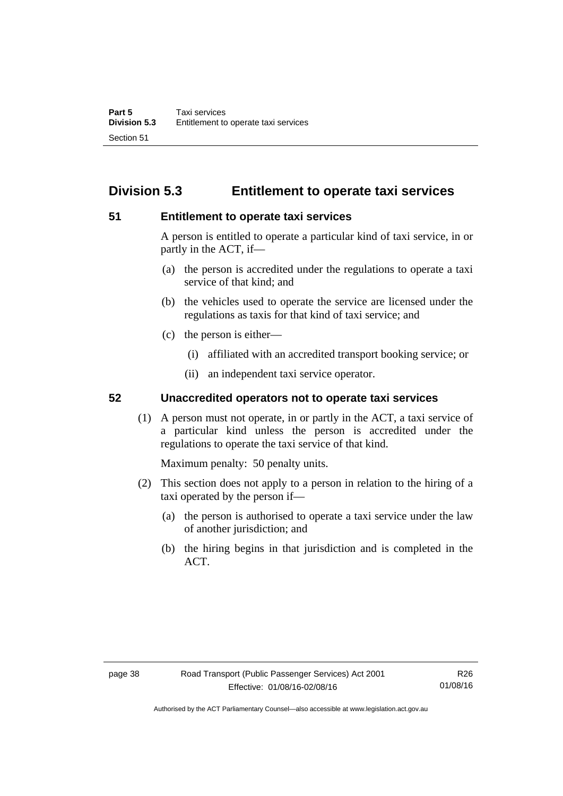# **Division 5.3 Entitlement to operate taxi services**

### **51 Entitlement to operate taxi services**

A person is entitled to operate a particular kind of taxi service, in or partly in the ACT, if—

- (a) the person is accredited under the regulations to operate a taxi service of that kind; and
- (b) the vehicles used to operate the service are licensed under the regulations as taxis for that kind of taxi service; and
- (c) the person is either—
	- (i) affiliated with an accredited transport booking service; or
	- (ii) an independent taxi service operator.

# **52 Unaccredited operators not to operate taxi services**

(1) A person must not operate, in or partly in the ACT, a taxi service of a particular kind unless the person is accredited under the regulations to operate the taxi service of that kind.

Maximum penalty: 50 penalty units.

- (2) This section does not apply to a person in relation to the hiring of a taxi operated by the person if—
	- (a) the person is authorised to operate a taxi service under the law of another jurisdiction; and
	- (b) the hiring begins in that jurisdiction and is completed in the ACT.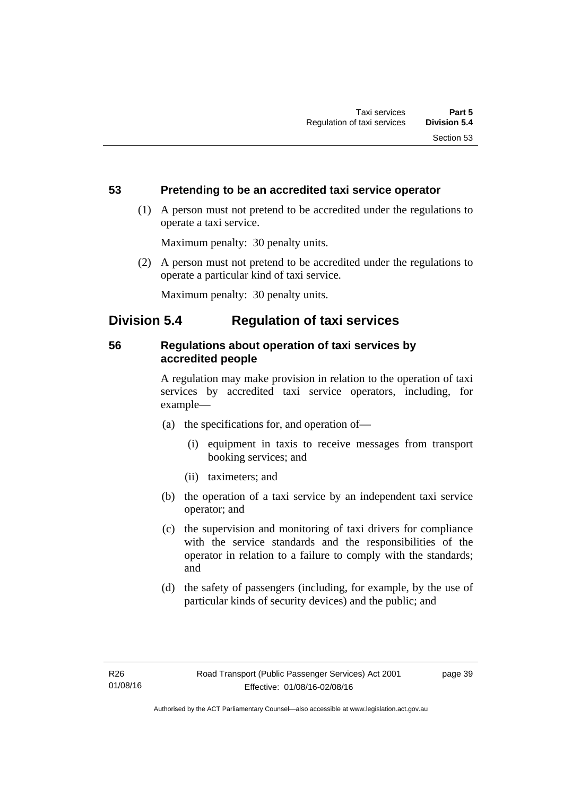# **53 Pretending to be an accredited taxi service operator**

 (1) A person must not pretend to be accredited under the regulations to operate a taxi service.

Maximum penalty: 30 penalty units.

 (2) A person must not pretend to be accredited under the regulations to operate a particular kind of taxi service.

Maximum penalty: 30 penalty units.

# **Division 5.4 Regulation of taxi services**

# **56 Regulations about operation of taxi services by accredited people**

A regulation may make provision in relation to the operation of taxi services by accredited taxi service operators, including, for example—

- (a) the specifications for, and operation of—
	- (i) equipment in taxis to receive messages from transport booking services; and
	- (ii) taximeters; and
- (b) the operation of a taxi service by an independent taxi service operator; and
- (c) the supervision and monitoring of taxi drivers for compliance with the service standards and the responsibilities of the operator in relation to a failure to comply with the standards; and
- (d) the safety of passengers (including, for example, by the use of particular kinds of security devices) and the public; and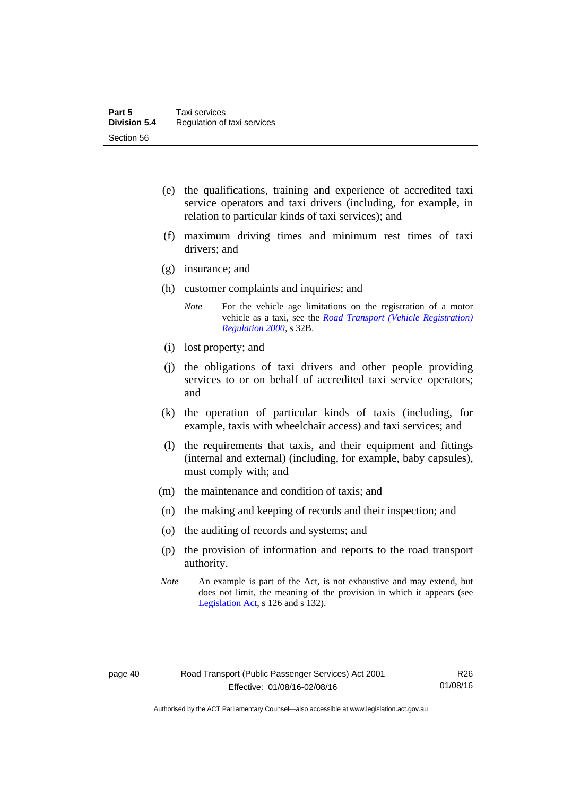- (e) the qualifications, training and experience of accredited taxi service operators and taxi drivers (including, for example, in relation to particular kinds of taxi services); and
- (f) maximum driving times and minimum rest times of taxi drivers; and
- (g) insurance; and
- (h) customer complaints and inquiries; and
	- *Note* For the vehicle age limitations on the registration of a motor vehicle as a taxi, see the *[Road Transport \(Vehicle Registration\)](http://www.legislation.act.gov.au/sl/2000-12)  [Regulation 2000](http://www.legislation.act.gov.au/sl/2000-12)*, s 32B.
- (i) lost property; and
- (j) the obligations of taxi drivers and other people providing services to or on behalf of accredited taxi service operators; and
- (k) the operation of particular kinds of taxis (including, for example, taxis with wheelchair access) and taxi services; and
- (l) the requirements that taxis, and their equipment and fittings (internal and external) (including, for example, baby capsules), must comply with; and
- (m) the maintenance and condition of taxis; and
- (n) the making and keeping of records and their inspection; and
- (o) the auditing of records and systems; and
- (p) the provision of information and reports to the road transport authority.
- *Note* An example is part of the Act, is not exhaustive and may extend, but does not limit, the meaning of the provision in which it appears (see [Legislation Act,](http://www.legislation.act.gov.au/a/2001-14) s 126 and s 132).

Authorised by the ACT Parliamentary Counsel—also accessible at www.legislation.act.gov.au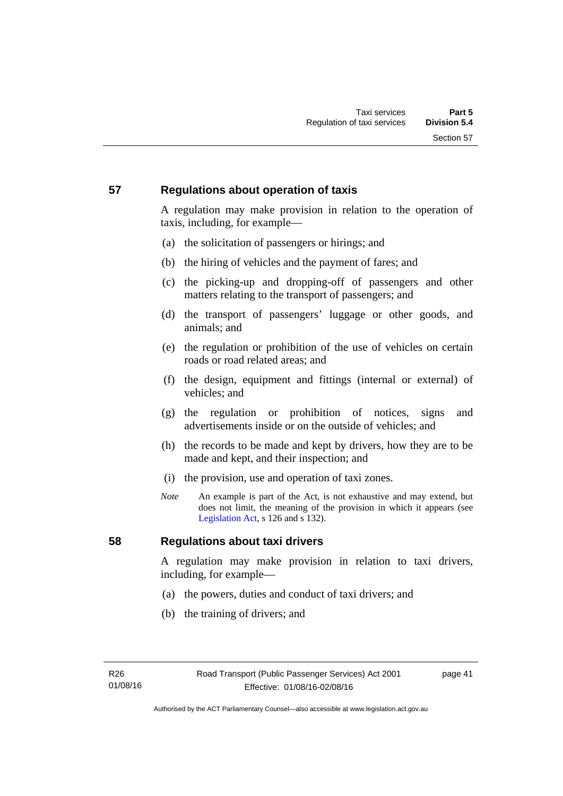# **57 Regulations about operation of taxis**

A regulation may make provision in relation to the operation of taxis, including, for example—

- (a) the solicitation of passengers or hirings; and
- (b) the hiring of vehicles and the payment of fares; and
- (c) the picking-up and dropping-off of passengers and other matters relating to the transport of passengers; and
- (d) the transport of passengers' luggage or other goods, and animals; and
- (e) the regulation or prohibition of the use of vehicles on certain roads or road related areas; and
- (f) the design, equipment and fittings (internal or external) of vehicles; and
- (g) the regulation or prohibition of notices, signs and advertisements inside or on the outside of vehicles; and
- (h) the records to be made and kept by drivers, how they are to be made and kept, and their inspection; and
- (i) the provision, use and operation of taxi zones.
- *Note* An example is part of the Act, is not exhaustive and may extend, but does not limit, the meaning of the provision in which it appears (see [Legislation Act,](http://www.legislation.act.gov.au/a/2001-14) s 126 and s 132).

# **58 Regulations about taxi drivers**

A regulation may make provision in relation to taxi drivers, including, for example—

- (a) the powers, duties and conduct of taxi drivers; and
- (b) the training of drivers; and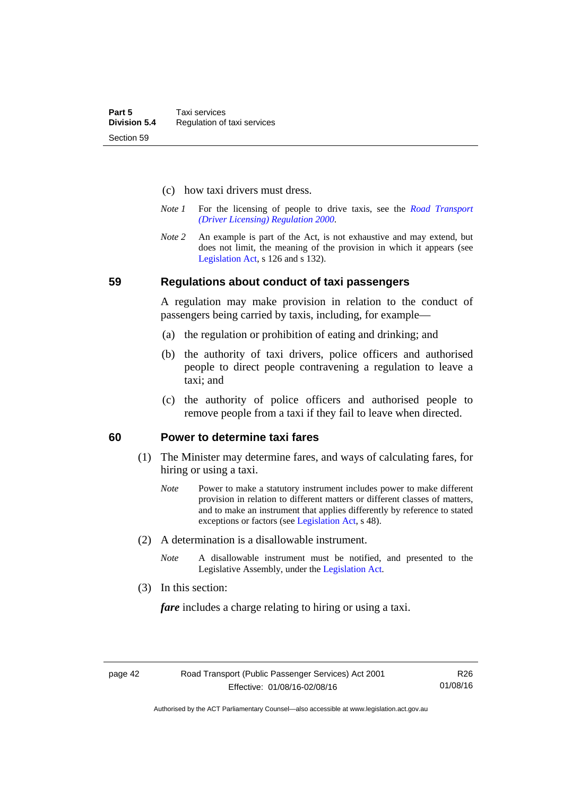- (c) how taxi drivers must dress.
- *Note 1* For the licensing of people to drive taxis, see the *[Road Transport](http://www.legislation.act.gov.au/sl/2000-14)  [\(Driver Licensing\) Regulation 2000](http://www.legislation.act.gov.au/sl/2000-14)*.
- *Note 2* An example is part of the Act, is not exhaustive and may extend, but does not limit, the meaning of the provision in which it appears (see [Legislation Act,](http://www.legislation.act.gov.au/a/2001-14) s 126 and s 132).

#### **59 Regulations about conduct of taxi passengers**

A regulation may make provision in relation to the conduct of passengers being carried by taxis, including, for example—

- (a) the regulation or prohibition of eating and drinking; and
- (b) the authority of taxi drivers, police officers and authorised people to direct people contravening a regulation to leave a taxi; and
- (c) the authority of police officers and authorised people to remove people from a taxi if they fail to leave when directed.

### **60 Power to determine taxi fares**

- (1) The Minister may determine fares, and ways of calculating fares, for hiring or using a taxi.
	- *Note* Power to make a statutory instrument includes power to make different provision in relation to different matters or different classes of matters, and to make an instrument that applies differently by reference to stated exceptions or factors (see [Legislation Act](http://www.legislation.act.gov.au/a/2001-14), s 48).
- (2) A determination is a disallowable instrument.
	- *Note* A disallowable instrument must be notified, and presented to the Legislative Assembly, under the [Legislation Act.](http://www.legislation.act.gov.au/a/2001-14)
- (3) In this section:

*fare* includes a charge relating to hiring or using a taxi.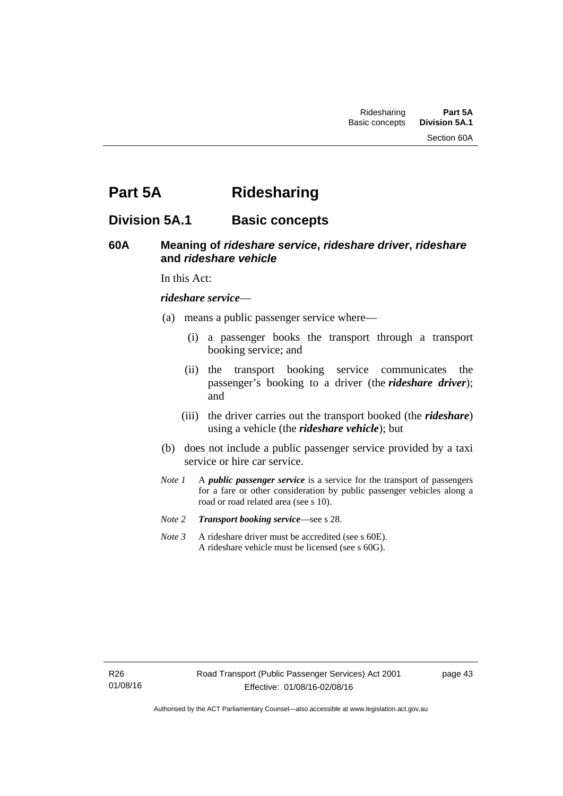Section 60A

# **Part 5A Ridesharing**

# **Division 5A.1 Basic concepts**

# **60A Meaning of** *rideshare service***,** *rideshare driver***,** *rideshare* **and** *rideshare vehicle*

In this Act:

#### *rideshare service*—

- (a) means a public passenger service where—
	- (i) a passenger books the transport through a transport booking service; and
	- (ii) the transport booking service communicates the passenger's booking to a driver (the *rideshare driver*); and
	- (iii) the driver carries out the transport booked (the *rideshare*) using a vehicle (the *rideshare vehicle*); but
- (b) does not include a public passenger service provided by a taxi service or hire car service.
- *Note 1* A *public passenger service* is a service for the transport of passengers for a fare or other consideration by public passenger vehicles along a road or road related area (see s 10).
- *Note 2 Transport booking service*—see s 28.
- *Note 3* A rideshare driver must be accredited (see s 60E). A rideshare vehicle must be licensed (see s 60G).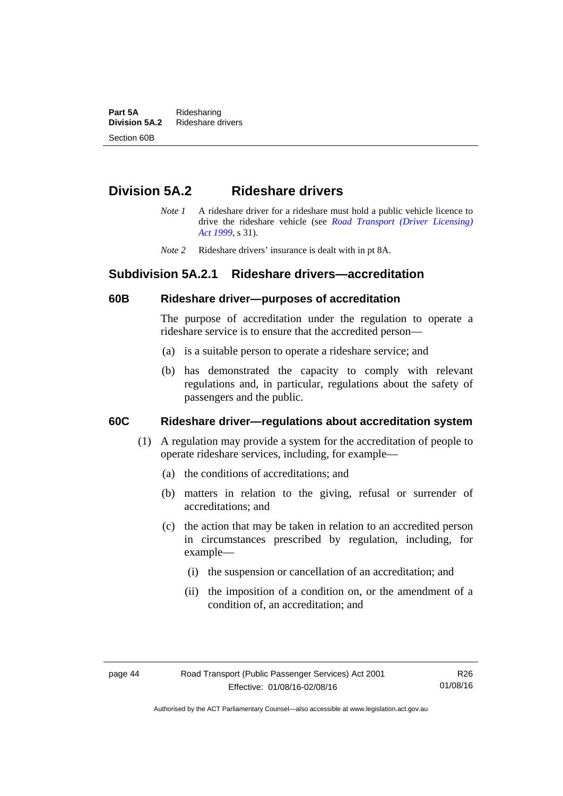**Part 5A** Ridesharing<br>**Division 5A.2** Rideshare d **Division 5A.2** Rideshare drivers Section 60B

# **Division 5A.2 Rideshare drivers**

- *Note 1* A rideshare driver for a rideshare must hold a public vehicle licence to drive the rideshare vehicle (see *[Road Transport \(Driver Licensing\)](http://www.legislation.act.gov.au/a/1999-78)  [Act 1999](http://www.legislation.act.gov.au/a/1999-78)*, s 31).
- *Note 2* Rideshare drivers' insurance is dealt with in pt 8A.

# **Subdivision 5A.2.1 Rideshare drivers—accreditation**

### **60B Rideshare driver—purposes of accreditation**

The purpose of accreditation under the regulation to operate a rideshare service is to ensure that the accredited person—

- (a) is a suitable person to operate a rideshare service; and
- (b) has demonstrated the capacity to comply with relevant regulations and, in particular, regulations about the safety of passengers and the public.

# **60C Rideshare driver—regulations about accreditation system**

- (1) A regulation may provide a system for the accreditation of people to operate rideshare services, including, for example—
	- (a) the conditions of accreditations; and
	- (b) matters in relation to the giving, refusal or surrender of accreditations; and
	- (c) the action that may be taken in relation to an accredited person in circumstances prescribed by regulation, including, for example—
		- (i) the suspension or cancellation of an accreditation; and
		- (ii) the imposition of a condition on, or the amendment of a condition of, an accreditation; and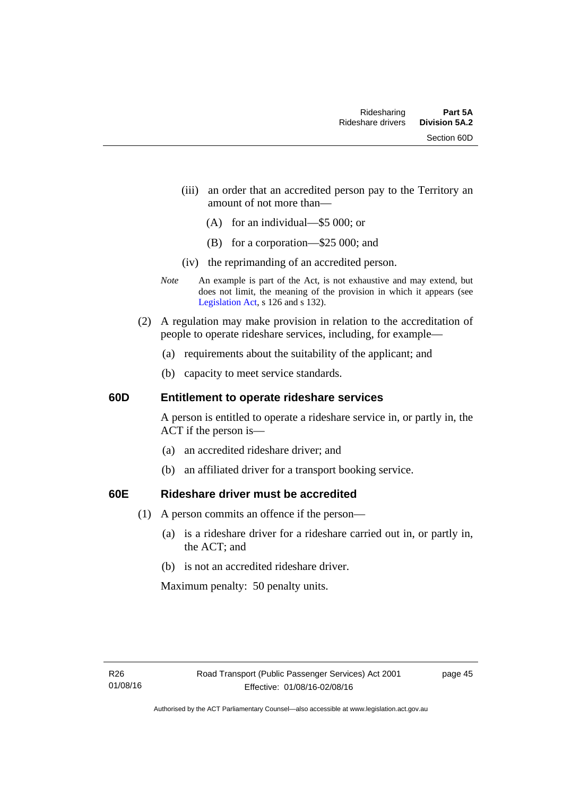- (iii) an order that an accredited person pay to the Territory an amount of not more than—
	- (A) for an individual—\$5 000; or
	- (B) for a corporation—\$25 000; and
- (iv) the reprimanding of an accredited person.
- *Note* An example is part of the Act, is not exhaustive and may extend, but does not limit, the meaning of the provision in which it appears (see [Legislation Act,](http://www.legislation.act.gov.au/a/2001-14) s 126 and s 132).
- (2) A regulation may make provision in relation to the accreditation of people to operate rideshare services, including, for example—
	- (a) requirements about the suitability of the applicant; and
	- (b) capacity to meet service standards.

### **60D Entitlement to operate rideshare services**

A person is entitled to operate a rideshare service in, or partly in, the ACT if the person is—

- (a) an accredited rideshare driver; and
- (b) an affiliated driver for a transport booking service.

# **60E Rideshare driver must be accredited**

- (1) A person commits an offence if the person—
	- (a) is a rideshare driver for a rideshare carried out in, or partly in, the ACT; and
	- (b) is not an accredited rideshare driver.

Maximum penalty: 50 penalty units.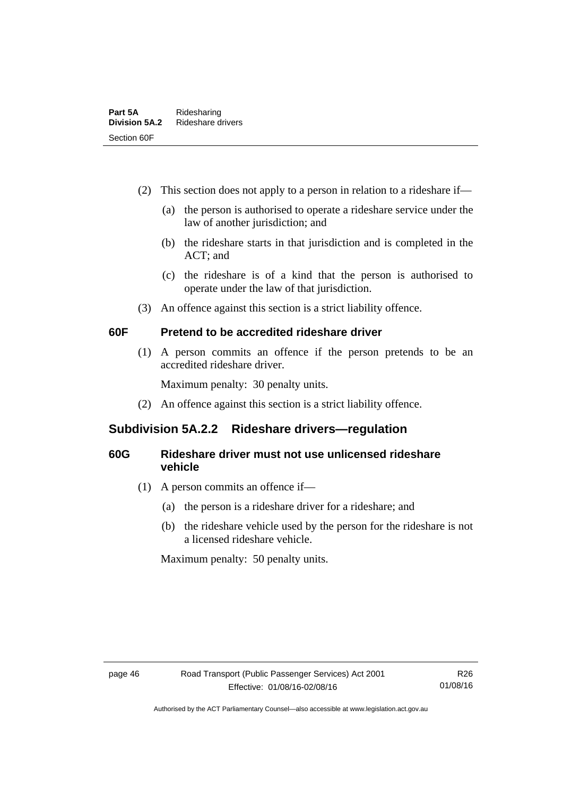- (2) This section does not apply to a person in relation to a rideshare if—
	- (a) the person is authorised to operate a rideshare service under the law of another jurisdiction; and
	- (b) the rideshare starts in that jurisdiction and is completed in the ACT; and
	- (c) the rideshare is of a kind that the person is authorised to operate under the law of that jurisdiction.
- (3) An offence against this section is a strict liability offence.

# **60F Pretend to be accredited rideshare driver**

(1) A person commits an offence if the person pretends to be an accredited rideshare driver.

Maximum penalty: 30 penalty units.

(2) An offence against this section is a strict liability offence.

# **Subdivision 5A.2.2 Rideshare drivers—regulation**

# **60G Rideshare driver must not use unlicensed rideshare vehicle**

- (1) A person commits an offence if—
	- (a) the person is a rideshare driver for a rideshare; and
	- (b) the rideshare vehicle used by the person for the rideshare is not a licensed rideshare vehicle.

Maximum penalty: 50 penalty units.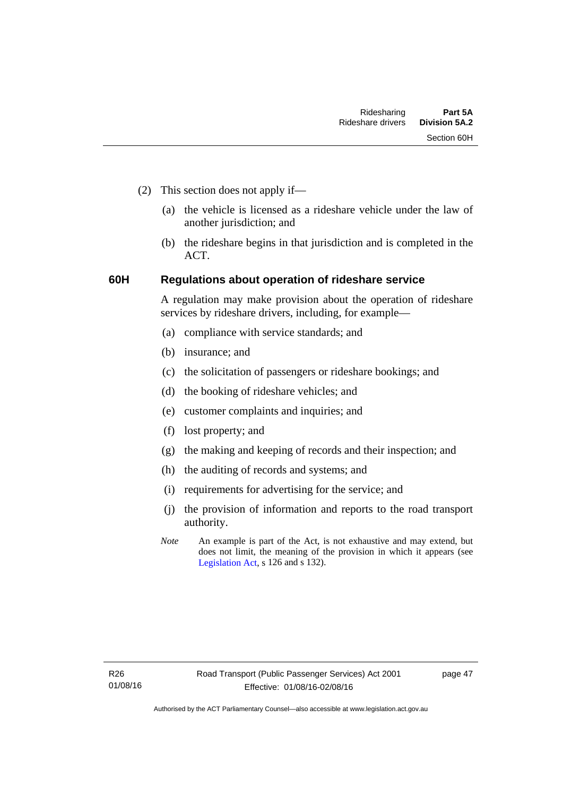- (2) This section does not apply if—
	- (a) the vehicle is licensed as a rideshare vehicle under the law of another jurisdiction; and
	- (b) the rideshare begins in that jurisdiction and is completed in the ACT.

# **60H Regulations about operation of rideshare service**

A regulation may make provision about the operation of rideshare services by rideshare drivers, including, for example—

- (a) compliance with service standards; and
- (b) insurance; and
- (c) the solicitation of passengers or rideshare bookings; and
- (d) the booking of rideshare vehicles; and
- (e) customer complaints and inquiries; and
- (f) lost property; and
- (g) the making and keeping of records and their inspection; and
- (h) the auditing of records and systems; and
- (i) requirements for advertising for the service; and
- (j) the provision of information and reports to the road transport authority.
- *Note* An example is part of the Act, is not exhaustive and may extend, but does not limit, the meaning of the provision in which it appears (see [Legislation Act,](http://www.legislation.act.gov.au/a/2001-14) s 126 and s 132).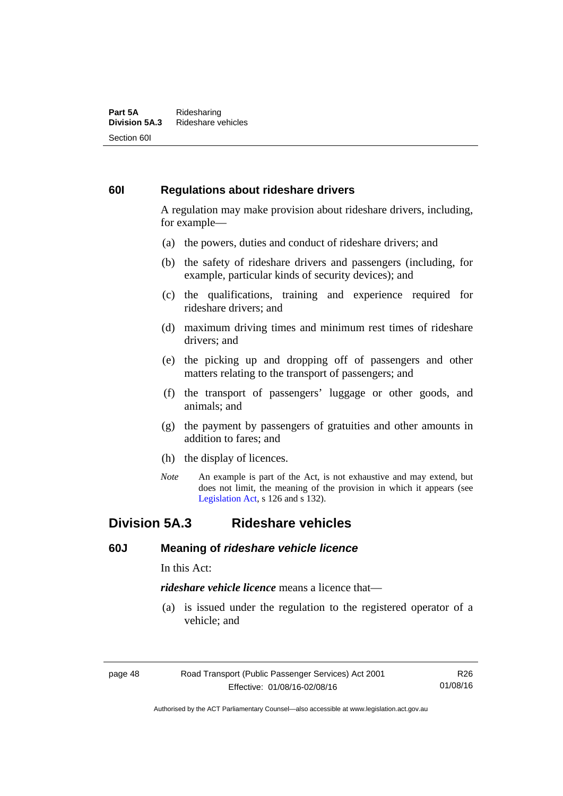#### **Part 5A** Ridesharing<br>**Division 5A.3** Rideshare ve **Division 5A.3** Rideshare vehicles Section 60I

# **60I Regulations about rideshare drivers**

A regulation may make provision about rideshare drivers, including, for example—

- (a) the powers, duties and conduct of rideshare drivers; and
- (b) the safety of rideshare drivers and passengers (including, for example, particular kinds of security devices); and
- (c) the qualifications, training and experience required for rideshare drivers; and
- (d) maximum driving times and minimum rest times of rideshare drivers; and
- (e) the picking up and dropping off of passengers and other matters relating to the transport of passengers; and
- (f) the transport of passengers' luggage or other goods, and animals; and
- (g) the payment by passengers of gratuities and other amounts in addition to fares; and
- (h) the display of licences.
- *Note* An example is part of the Act, is not exhaustive and may extend, but does not limit, the meaning of the provision in which it appears (see [Legislation Act,](http://www.legislation.act.gov.au/a/2001-14) s 126 and s 132).

# **Division 5A.3 Rideshare vehicles**

### **60J Meaning of** *rideshare vehicle licence*

In this Act:

*rideshare vehicle licence* means a licence that—

 (a) is issued under the regulation to the registered operator of a vehicle; and

R26 01/08/16

Authorised by the ACT Parliamentary Counsel—also accessible at www.legislation.act.gov.au

page 48 Road Transport (Public Passenger Services) Act 2001 Effective: 01/08/16-02/08/16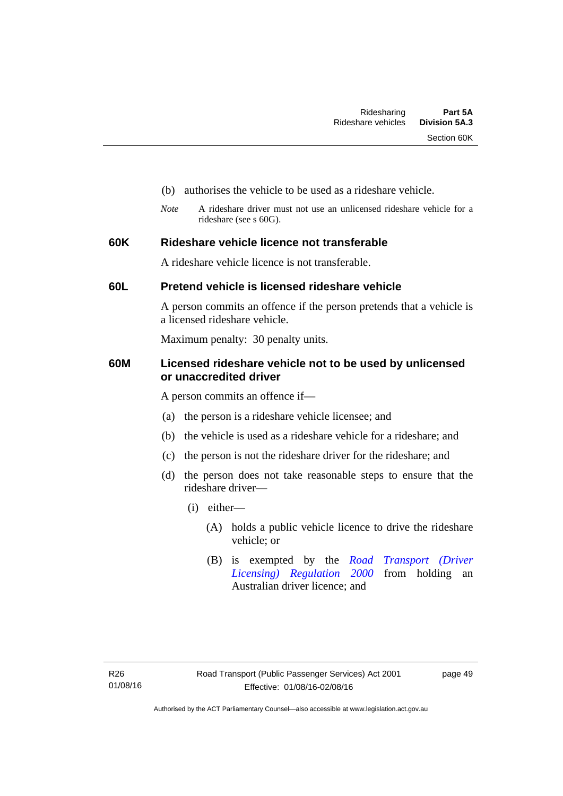- (b) authorises the vehicle to be used as a rideshare vehicle.
- *Note* A rideshare driver must not use an unlicensed rideshare vehicle for a rideshare (see s 60G).

# **60K Rideshare vehicle licence not transferable**

A rideshare vehicle licence is not transferable.

# **60L Pretend vehicle is licensed rideshare vehicle**

A person commits an offence if the person pretends that a vehicle is a licensed rideshare vehicle.

Maximum penalty: 30 penalty units.

# **60M Licensed rideshare vehicle not to be used by unlicensed or unaccredited driver**

A person commits an offence if—

- (a) the person is a rideshare vehicle licensee; and
- (b) the vehicle is used as a rideshare vehicle for a rideshare; and
- (c) the person is not the rideshare driver for the rideshare; and
- (d) the person does not take reasonable steps to ensure that the rideshare driver—
	- (i) either—
		- (A) holds a public vehicle licence to drive the rideshare vehicle; or
		- (B) is exempted by the *[Road Transport \(Driver](http://www.legislation.act.gov.au/sl/2000-14/default.asp)  [Licensing\) Regulation 2000](http://www.legislation.act.gov.au/sl/2000-14/default.asp)* from holding an Australian driver licence; and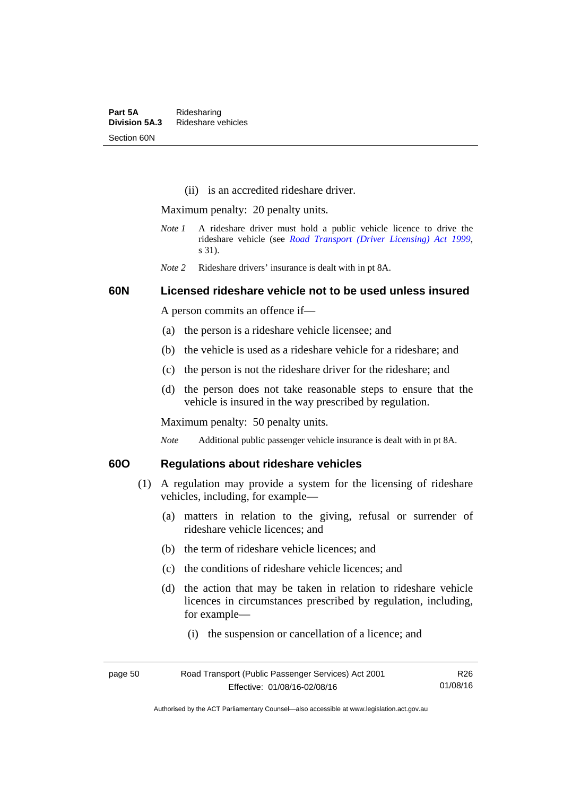(ii) is an accredited rideshare driver.

Maximum penalty: 20 penalty units.

- *Note 1* A rideshare driver must hold a public vehicle licence to drive the rideshare vehicle (see *[Road Transport \(Driver Licensing\) Act 1999](http://www.legislation.act.gov.au/a/1999-78)*, s 31).
- *Note 2* Rideshare drivers' insurance is dealt with in pt 8A.

# **60N Licensed rideshare vehicle not to be used unless insured**

A person commits an offence if—

- (a) the person is a rideshare vehicle licensee; and
- (b) the vehicle is used as a rideshare vehicle for a rideshare; and
- (c) the person is not the rideshare driver for the rideshare; and
- (d) the person does not take reasonable steps to ensure that the vehicle is insured in the way prescribed by regulation.

Maximum penalty: 50 penalty units.

*Note* Additional public passenger vehicle insurance is dealt with in pt 8A.

# **60O Regulations about rideshare vehicles**

- (1) A regulation may provide a system for the licensing of rideshare vehicles, including, for example—
	- (a) matters in relation to the giving, refusal or surrender of rideshare vehicle licences; and
	- (b) the term of rideshare vehicle licences; and
	- (c) the conditions of rideshare vehicle licences; and
	- (d) the action that may be taken in relation to rideshare vehicle licences in circumstances prescribed by regulation, including, for example—
		- (i) the suspension or cancellation of a licence; and

| page 50 | Road Transport (Public Passenger Services) Act 2001 | R26      |
|---------|-----------------------------------------------------|----------|
|         | Effective: 01/08/16-02/08/16                        | 01/08/16 |

Authorised by the ACT Parliamentary Counsel—also accessible at www.legislation.act.gov.au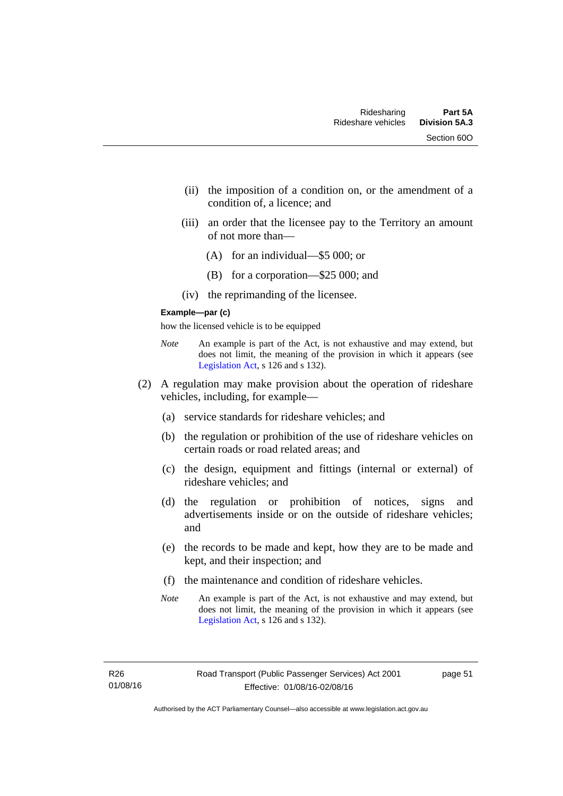- (ii) the imposition of a condition on, or the amendment of a condition of, a licence; and
- (iii) an order that the licensee pay to the Territory an amount of not more than—
	- (A) for an individual—\$5 000; or
	- (B) for a corporation—\$25 000; and
- (iv) the reprimanding of the licensee.

#### **Example—par (c)**

how the licensed vehicle is to be equipped

- *Note* An example is part of the Act, is not exhaustive and may extend, but does not limit, the meaning of the provision in which it appears (see [Legislation Act,](http://www.legislation.act.gov.au/a/2001-14) s 126 and s 132).
- (2) A regulation may make provision about the operation of rideshare vehicles, including, for example—
	- (a) service standards for rideshare vehicles; and
	- (b) the regulation or prohibition of the use of rideshare vehicles on certain roads or road related areas; and
	- (c) the design, equipment and fittings (internal or external) of rideshare vehicles; and
	- (d) the regulation or prohibition of notices, signs and advertisements inside or on the outside of rideshare vehicles; and
	- (e) the records to be made and kept, how they are to be made and kept, and their inspection; and
	- (f) the maintenance and condition of rideshare vehicles.
	- *Note* An example is part of the Act, is not exhaustive and may extend, but does not limit, the meaning of the provision in which it appears (see [Legislation Act,](http://www.legislation.act.gov.au/a/2001-14) s 126 and s 132).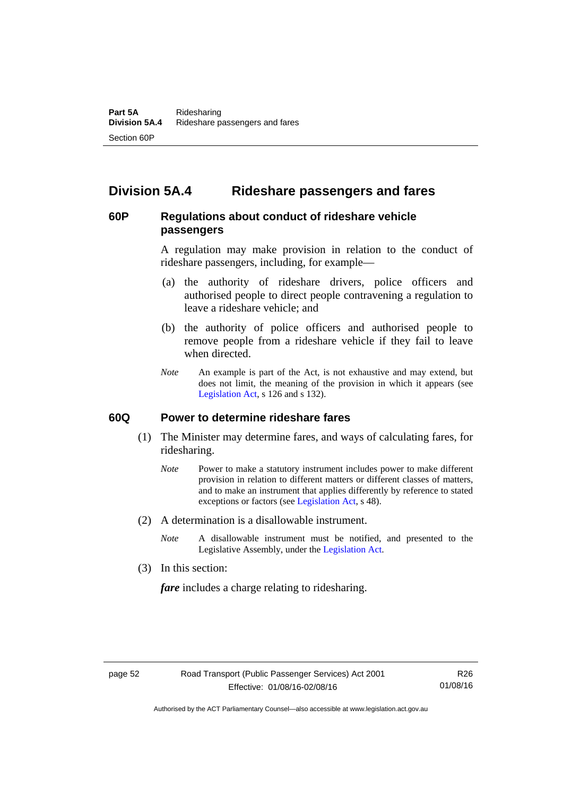# **Division 5A.4 Rideshare passengers and fares**

# **60P Regulations about conduct of rideshare vehicle passengers**

A regulation may make provision in relation to the conduct of rideshare passengers, including, for example—

- (a) the authority of rideshare drivers, police officers and authorised people to direct people contravening a regulation to leave a rideshare vehicle; and
- (b) the authority of police officers and authorised people to remove people from a rideshare vehicle if they fail to leave when directed.
- *Note* An example is part of the Act, is not exhaustive and may extend, but does not limit, the meaning of the provision in which it appears (see [Legislation Act,](http://www.legislation.act.gov.au/a/2001-14) s 126 and s 132).

#### **60Q Power to determine rideshare fares**

- (1) The Minister may determine fares, and ways of calculating fares, for ridesharing.
	- *Note* Power to make a statutory instrument includes power to make different provision in relation to different matters or different classes of matters, and to make an instrument that applies differently by reference to stated exceptions or factors (see [Legislation Act](http://www.legislation.act.gov.au/a/2001-14), s 48).
- (2) A determination is a disallowable instrument.
	- *Note* A disallowable instrument must be notified, and presented to the Legislative Assembly, under the [Legislation Act.](http://www.legislation.act.gov.au/a/2001-14)
- (3) In this section:

*fare* includes a charge relating to ridesharing.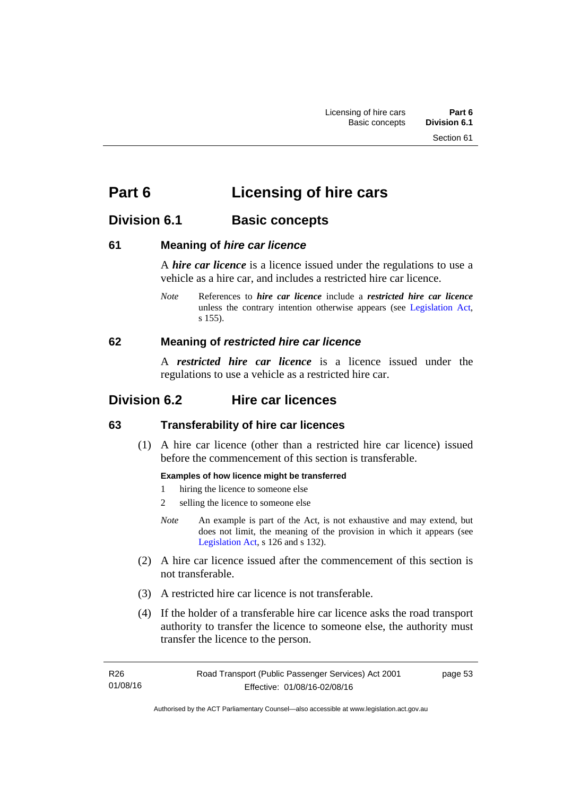# **Part 6 Licensing of hire cars**

# **Division 6.1 Basic concepts**

# **61 Meaning of** *hire car licence*

A *hire car licence* is a licence issued under the regulations to use a vehicle as a hire car, and includes a restricted hire car licence.

*Note* References to *hire car licence* include a *restricted hire car licence* unless the contrary intention otherwise appears (see [Legislation Act,](http://www.legislation.act.gov.au/a/2001-14) s 155).

# **62 Meaning of** *restricted hire car licence*

A *restricted hire car licence* is a licence issued under the regulations to use a vehicle as a restricted hire car.

# **Division 6.2 Hire car licences**

# **63 Transferability of hire car licences**

 (1) A hire car licence (other than a restricted hire car licence) issued before the commencement of this section is transferable.

# **Examples of how licence might be transferred**

- 1 hiring the licence to someone else
- 2 selling the licence to someone else
- *Note* An example is part of the Act, is not exhaustive and may extend, but does not limit, the meaning of the provision in which it appears (see [Legislation Act,](http://www.legislation.act.gov.au/a/2001-14) s 126 and s 132).
- (2) A hire car licence issued after the commencement of this section is not transferable.
- (3) A restricted hire car licence is not transferable.
- (4) If the holder of a transferable hire car licence asks the road transport authority to transfer the licence to someone else, the authority must transfer the licence to the person.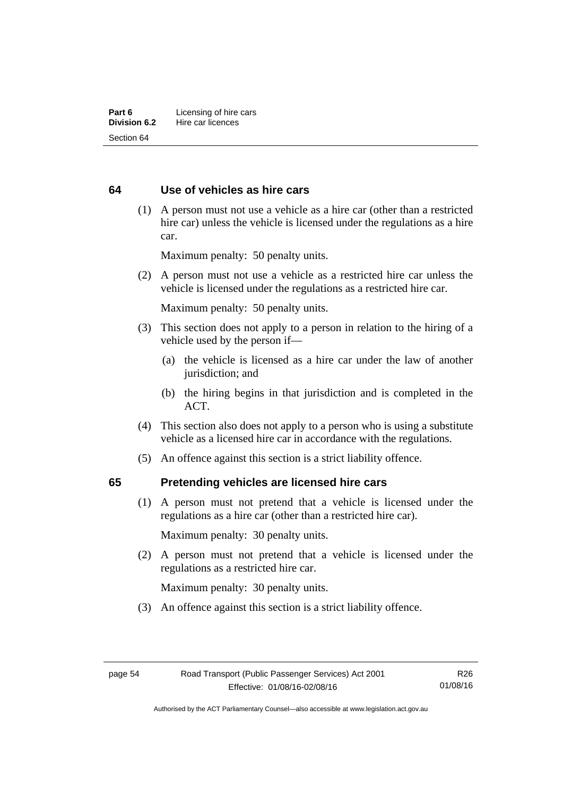# **64 Use of vehicles as hire cars**

 (1) A person must not use a vehicle as a hire car (other than a restricted hire car) unless the vehicle is licensed under the regulations as a hire car.

Maximum penalty: 50 penalty units.

 (2) A person must not use a vehicle as a restricted hire car unless the vehicle is licensed under the regulations as a restricted hire car.

Maximum penalty: 50 penalty units.

- (3) This section does not apply to a person in relation to the hiring of a vehicle used by the person if—
	- (a) the vehicle is licensed as a hire car under the law of another jurisdiction; and
	- (b) the hiring begins in that jurisdiction and is completed in the ACT.
- (4) This section also does not apply to a person who is using a substitute vehicle as a licensed hire car in accordance with the regulations.
- (5) An offence against this section is a strict liability offence.

#### **65 Pretending vehicles are licensed hire cars**

(1) A person must not pretend that a vehicle is licensed under the regulations as a hire car (other than a restricted hire car).

Maximum penalty: 30 penalty units.

 (2) A person must not pretend that a vehicle is licensed under the regulations as a restricted hire car.

Maximum penalty: 30 penalty units.

(3) An offence against this section is a strict liability offence.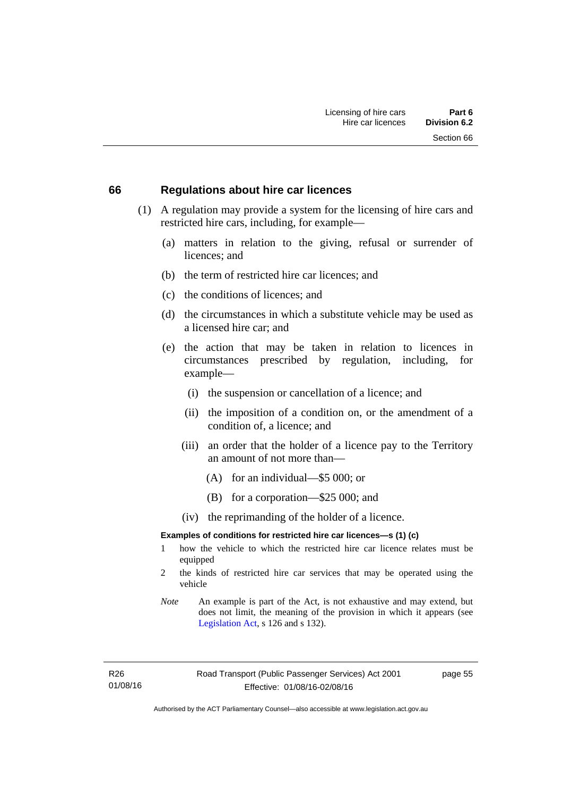#### **66 Regulations about hire car licences**

- (1) A regulation may provide a system for the licensing of hire cars and restricted hire cars, including, for example—
	- (a) matters in relation to the giving, refusal or surrender of licences; and
	- (b) the term of restricted hire car licences; and
	- (c) the conditions of licences; and
	- (d) the circumstances in which a substitute vehicle may be used as a licensed hire car; and
	- (e) the action that may be taken in relation to licences in circumstances prescribed by regulation, including, for example—
		- (i) the suspension or cancellation of a licence; and
		- (ii) the imposition of a condition on, or the amendment of a condition of, a licence; and
		- (iii) an order that the holder of a licence pay to the Territory an amount of not more than—
			- (A) for an individual—\$5 000; or
			- (B) for a corporation—\$25 000; and
		- (iv) the reprimanding of the holder of a licence.

#### **Examples of conditions for restricted hire car licences—s (1) (c)**

- 1 how the vehicle to which the restricted hire car licence relates must be equipped
- 2 the kinds of restricted hire car services that may be operated using the vehicle
- *Note* An example is part of the Act, is not exhaustive and may extend, but does not limit, the meaning of the provision in which it appears (see [Legislation Act,](http://www.legislation.act.gov.au/a/2001-14) s 126 and s 132).

R26 01/08/16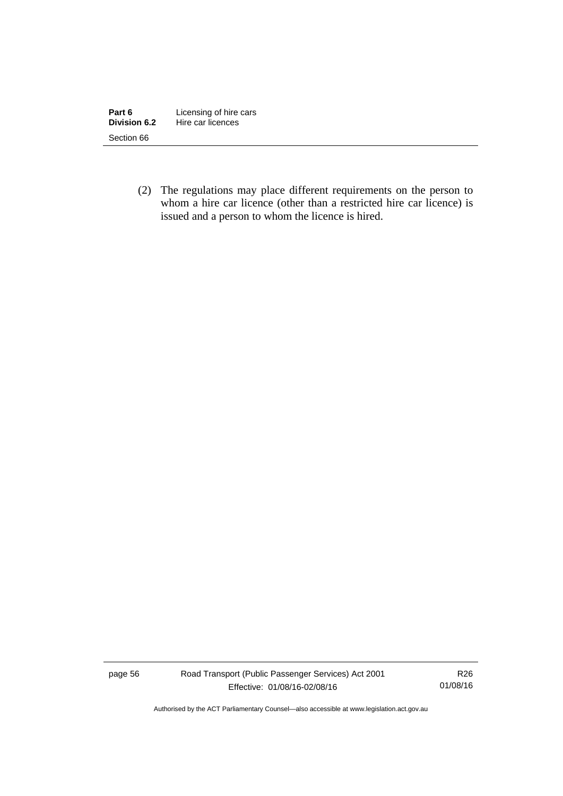| Part 6       | Licensing of hire cars |
|--------------|------------------------|
| Division 6.2 | Hire car licences      |
| Section 66   |                        |

 (2) The regulations may place different requirements on the person to whom a hire car licence (other than a restricted hire car licence) is issued and a person to whom the licence is hired.

page 56 Road Transport (Public Passenger Services) Act 2001 Effective: 01/08/16-02/08/16

R26 01/08/16

Authorised by the ACT Parliamentary Counsel—also accessible at www.legislation.act.gov.au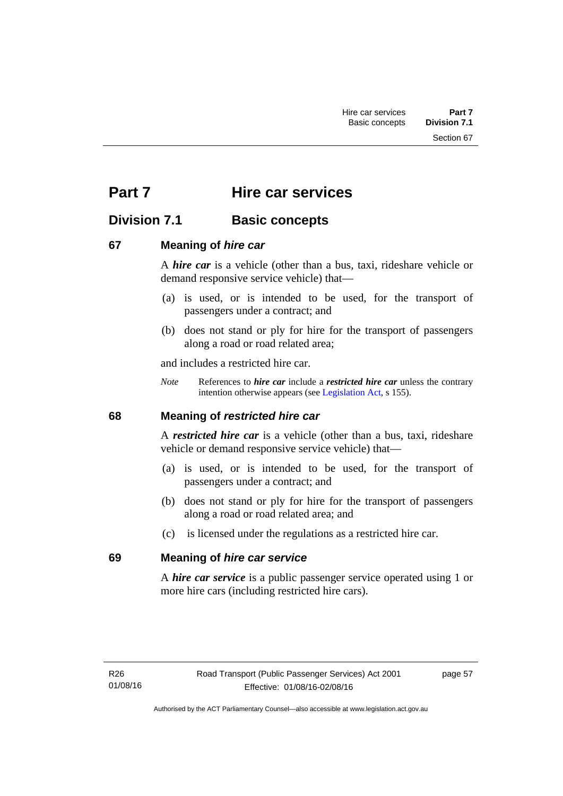Section 67

# **Part 7 Hire car services**

# **Division 7.1 Basic concepts**

# **67 Meaning of** *hire car*

A *hire car* is a vehicle (other than a bus, taxi, rideshare vehicle or demand responsive service vehicle) that—

- (a) is used, or is intended to be used, for the transport of passengers under a contract; and
- (b) does not stand or ply for hire for the transport of passengers along a road or road related area;

and includes a restricted hire car.

*Note* References to *hire car* include a *restricted hire car* unless the contrary intention otherwise appears (see [Legislation Act](http://www.legislation.act.gov.au/a/2001-14), s 155).

# **68 Meaning of** *restricted hire car*

A *restricted hire car* is a vehicle (other than a bus, taxi, rideshare vehicle or demand responsive service vehicle) that—

- (a) is used, or is intended to be used, for the transport of passengers under a contract; and
- (b) does not stand or ply for hire for the transport of passengers along a road or road related area; and
- (c) is licensed under the regulations as a restricted hire car.

# **69 Meaning of** *hire car service*

A *hire car service* is a public passenger service operated using 1 or more hire cars (including restricted hire cars).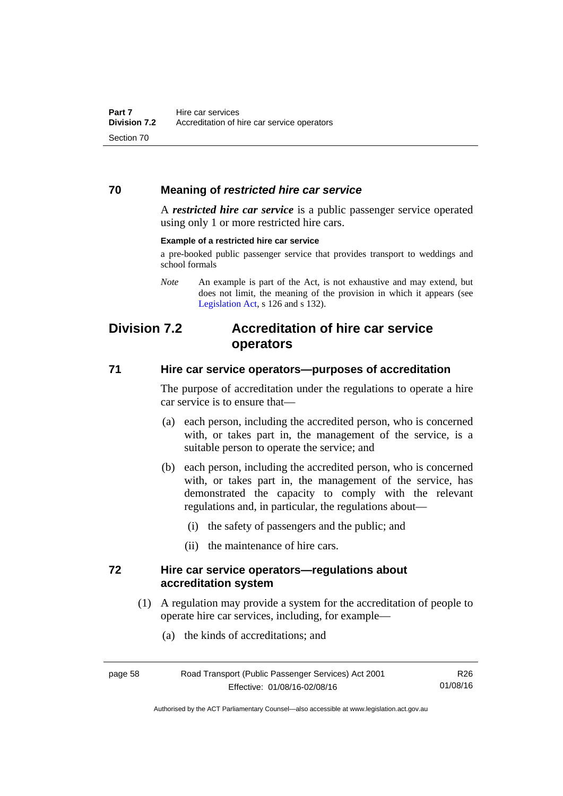# **70 Meaning of** *restricted hire car service*

A *restricted hire car service* is a public passenger service operated using only 1 or more restricted hire cars.

#### **Example of a restricted hire car service**

a pre-booked public passenger service that provides transport to weddings and school formals

# **Division 7.2 Accreditation of hire car service operators**

### **71 Hire car service operators—purposes of accreditation**

The purpose of accreditation under the regulations to operate a hire car service is to ensure that—

- (a) each person, including the accredited person, who is concerned with, or takes part in, the management of the service, is a suitable person to operate the service; and
- (b) each person, including the accredited person, who is concerned with, or takes part in, the management of the service, has demonstrated the capacity to comply with the relevant regulations and, in particular, the regulations about—
	- (i) the safety of passengers and the public; and
	- (ii) the maintenance of hire cars.

### **72 Hire car service operators—regulations about accreditation system**

- (1) A regulation may provide a system for the accreditation of people to operate hire car services, including, for example—
	- (a) the kinds of accreditations; and

| page 58 | Road Transport (Public Passenger Services) Act 2001 | R26      |
|---------|-----------------------------------------------------|----------|
|         | Effective: 01/08/16-02/08/16                        | 01/08/16 |

Authorised by the ACT Parliamentary Counsel—also accessible at www.legislation.act.gov.au

*Note* An example is part of the Act, is not exhaustive and may extend, but does not limit, the meaning of the provision in which it appears (see [Legislation Act,](http://www.legislation.act.gov.au/a/2001-14) s 126 and s 132).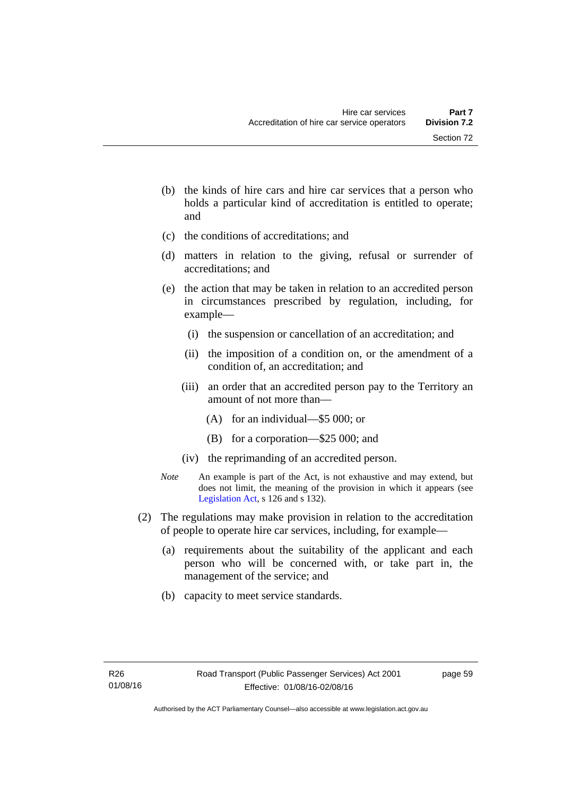- (b) the kinds of hire cars and hire car services that a person who holds a particular kind of accreditation is entitled to operate; and
- (c) the conditions of accreditations; and
- (d) matters in relation to the giving, refusal or surrender of accreditations; and
- (e) the action that may be taken in relation to an accredited person in circumstances prescribed by regulation, including, for example—
	- (i) the suspension or cancellation of an accreditation; and
	- (ii) the imposition of a condition on, or the amendment of a condition of, an accreditation; and
	- (iii) an order that an accredited person pay to the Territory an amount of not more than—
		- (A) for an individual—\$5 000; or
		- (B) for a corporation—\$25 000; and
	- (iv) the reprimanding of an accredited person.
- *Note* An example is part of the Act, is not exhaustive and may extend, but does not limit, the meaning of the provision in which it appears (see [Legislation Act,](http://www.legislation.act.gov.au/a/2001-14) s 126 and s 132).
- (2) The regulations may make provision in relation to the accreditation of people to operate hire car services, including, for example—
	- (a) requirements about the suitability of the applicant and each person who will be concerned with, or take part in, the management of the service; and
	- (b) capacity to meet service standards.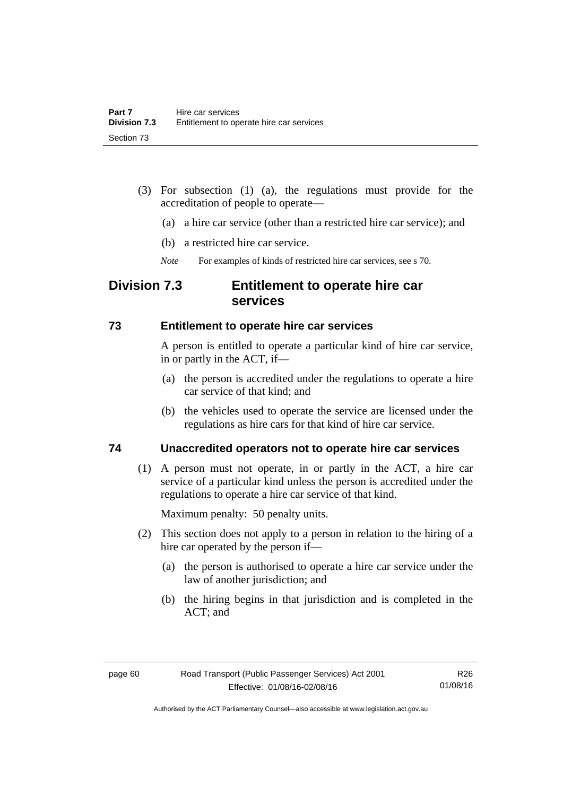- (3) For subsection (1) (a), the regulations must provide for the accreditation of people to operate—
	- (a) a hire car service (other than a restricted hire car service); and
	- (b) a restricted hire car service.
	- *Note* For examples of kinds of restricted hire car services, see s 70.

# **Division 7.3 Entitlement to operate hire car services**

### **73 Entitlement to operate hire car services**

A person is entitled to operate a particular kind of hire car service, in or partly in the ACT, if—

- (a) the person is accredited under the regulations to operate a hire car service of that kind; and
- (b) the vehicles used to operate the service are licensed under the regulations as hire cars for that kind of hire car service.

# **74 Unaccredited operators not to operate hire car services**

(1) A person must not operate, in or partly in the ACT, a hire car service of a particular kind unless the person is accredited under the regulations to operate a hire car service of that kind.

Maximum penalty: 50 penalty units.

- (2) This section does not apply to a person in relation to the hiring of a hire car operated by the person if—
	- (a) the person is authorised to operate a hire car service under the law of another jurisdiction; and
	- (b) the hiring begins in that jurisdiction and is completed in the ACT; and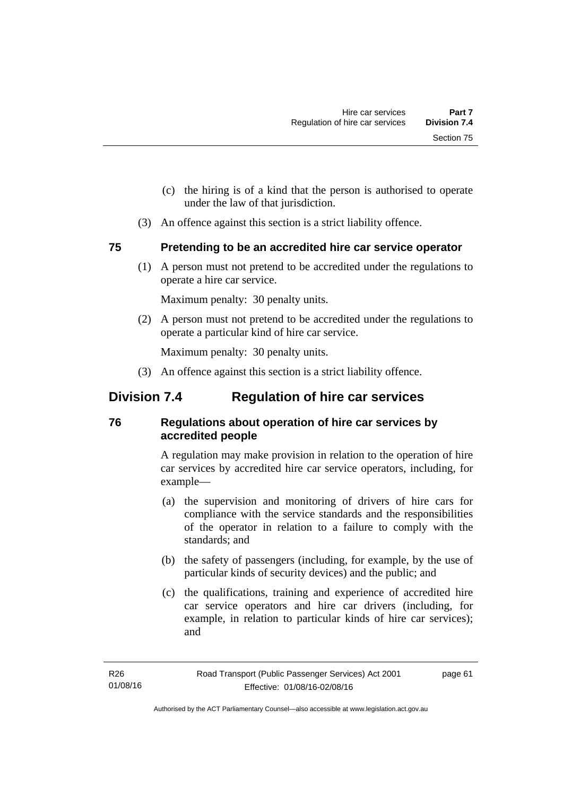- (c) the hiring is of a kind that the person is authorised to operate under the law of that jurisdiction.
- (3) An offence against this section is a strict liability offence.

# **75 Pretending to be an accredited hire car service operator**

(1) A person must not pretend to be accredited under the regulations to operate a hire car service.

Maximum penalty: 30 penalty units.

 (2) A person must not pretend to be accredited under the regulations to operate a particular kind of hire car service.

Maximum penalty: 30 penalty units.

(3) An offence against this section is a strict liability offence.

# **Division 7.4 Regulation of hire car services**

# **76 Regulations about operation of hire car services by accredited people**

A regulation may make provision in relation to the operation of hire car services by accredited hire car service operators, including, for example—

- (a) the supervision and monitoring of drivers of hire cars for compliance with the service standards and the responsibilities of the operator in relation to a failure to comply with the standards; and
- (b) the safety of passengers (including, for example, by the use of particular kinds of security devices) and the public; and
- (c) the qualifications, training and experience of accredited hire car service operators and hire car drivers (including, for example, in relation to particular kinds of hire car services); and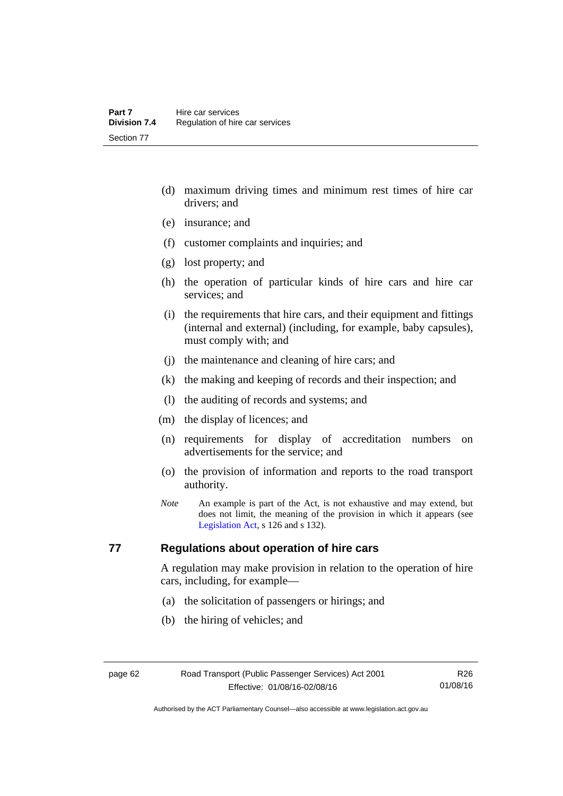- (d) maximum driving times and minimum rest times of hire car drivers; and
- (e) insurance; and
- (f) customer complaints and inquiries; and
- (g) lost property; and
- (h) the operation of particular kinds of hire cars and hire car services; and
- (i) the requirements that hire cars, and their equipment and fittings (internal and external) (including, for example, baby capsules), must comply with; and
- (j) the maintenance and cleaning of hire cars; and
- (k) the making and keeping of records and their inspection; and
- (l) the auditing of records and systems; and
- (m) the display of licences; and
- (n) requirements for display of accreditation numbers on advertisements for the service; and
- (o) the provision of information and reports to the road transport authority.
- *Note* An example is part of the Act, is not exhaustive and may extend, but does not limit, the meaning of the provision in which it appears (see [Legislation Act,](http://www.legislation.act.gov.au/a/2001-14) s 126 and s 132).

# **77 Regulations about operation of hire cars**

A regulation may make provision in relation to the operation of hire cars, including, for example—

- (a) the solicitation of passengers or hirings; and
- (b) the hiring of vehicles; and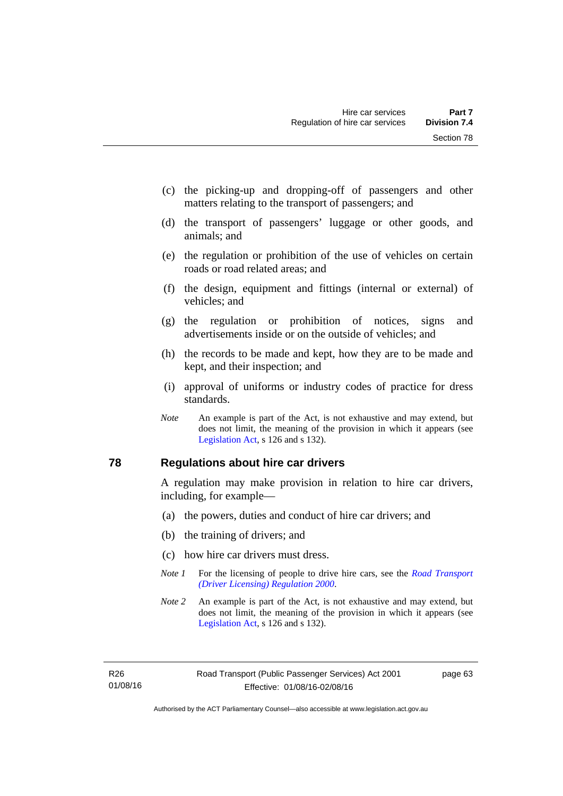- (c) the picking-up and dropping-off of passengers and other matters relating to the transport of passengers; and
- (d) the transport of passengers' luggage or other goods, and animals; and
- (e) the regulation or prohibition of the use of vehicles on certain roads or road related areas; and
- (f) the design, equipment and fittings (internal or external) of vehicles; and
- (g) the regulation or prohibition of notices, signs and advertisements inside or on the outside of vehicles; and
- (h) the records to be made and kept, how they are to be made and kept, and their inspection; and
- (i) approval of uniforms or industry codes of practice for dress standards.
- *Note* An example is part of the Act, is not exhaustive and may extend, but does not limit, the meaning of the provision in which it appears (see [Legislation Act,](http://www.legislation.act.gov.au/a/2001-14) s 126 and s 132).

#### **78 Regulations about hire car drivers**

A regulation may make provision in relation to hire car drivers, including, for example—

- (a) the powers, duties and conduct of hire car drivers; and
- (b) the training of drivers; and
- (c) how hire car drivers must dress.
- *Note 1* For the licensing of people to drive hire cars, see the *Road Transport [\(Driver Licensing\) Regulation 2000](http://www.legislation.act.gov.au/sl/2000-14)*.
- *Note 2* An example is part of the Act, is not exhaustive and may extend, but does not limit, the meaning of the provision in which it appears (see [Legislation Act,](http://www.legislation.act.gov.au/a/2001-14) s 126 and s 132).

R26 01/08/16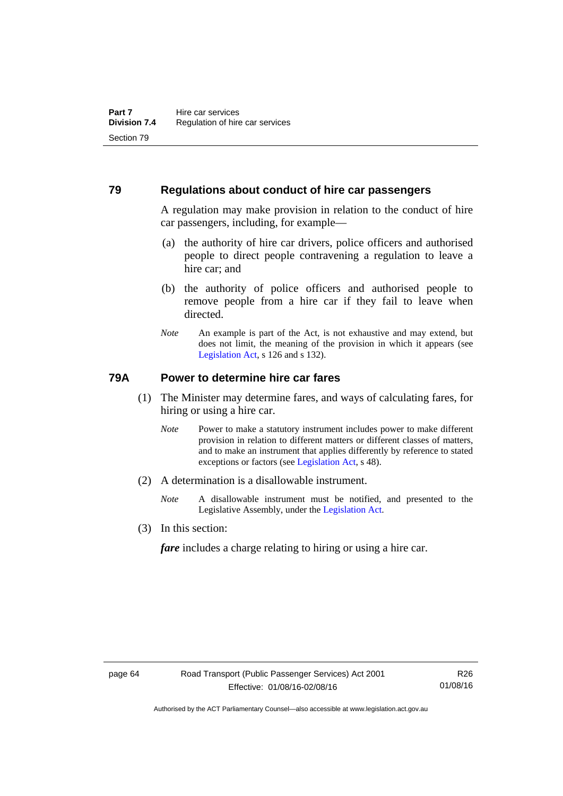#### **79 Regulations about conduct of hire car passengers**

A regulation may make provision in relation to the conduct of hire car passengers, including, for example—

- (a) the authority of hire car drivers, police officers and authorised people to direct people contravening a regulation to leave a hire car; and
- (b) the authority of police officers and authorised people to remove people from a hire car if they fail to leave when directed.
- *Note* An example is part of the Act, is not exhaustive and may extend, but does not limit, the meaning of the provision in which it appears (see [Legislation Act,](http://www.legislation.act.gov.au/a/2001-14) s 126 and s 132).

### **79A Power to determine hire car fares**

- (1) The Minister may determine fares, and ways of calculating fares, for hiring or using a hire car.
	- *Note* Power to make a statutory instrument includes power to make different provision in relation to different matters or different classes of matters, and to make an instrument that applies differently by reference to stated exceptions or factors (see [Legislation Act](http://www.legislation.act.gov.au/a/2001-14), s 48).
- (2) A determination is a disallowable instrument.
	- *Note* A disallowable instrument must be notified, and presented to the Legislative Assembly, under the [Legislation Act.](http://www.legislation.act.gov.au/a/2001-14)
- (3) In this section:

*fare* includes a charge relating to hiring or using a hire car.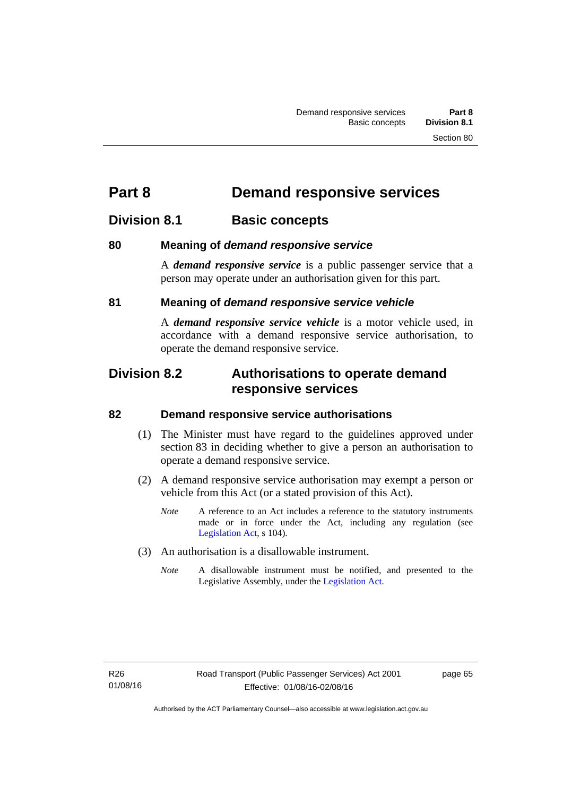# **Part 8 Demand responsive services**

# **Division 8.1 Basic concepts**

### **80 Meaning of** *demand responsive service*

A *demand responsive service* is a public passenger service that a person may operate under an authorisation given for this part.

### **81 Meaning of** *demand responsive service vehicle*

A *demand responsive service vehicle* is a motor vehicle used, in accordance with a demand responsive service authorisation, to operate the demand responsive service.

## **Division 8.2 Authorisations to operate demand responsive services**

#### **82 Demand responsive service authorisations**

- (1) The Minister must have regard to the guidelines approved under section 83 in deciding whether to give a person an authorisation to operate a demand responsive service.
- (2) A demand responsive service authorisation may exempt a person or vehicle from this Act (or a stated provision of this Act).
	- *Note* A reference to an Act includes a reference to the statutory instruments made or in force under the Act, including any regulation (see [Legislation Act,](http://www.legislation.act.gov.au/a/2001-14) s 104).
- (3) An authorisation is a disallowable instrument.
	- *Note* A disallowable instrument must be notified, and presented to the Legislative Assembly, under the [Legislation Act.](http://www.legislation.act.gov.au/a/2001-14)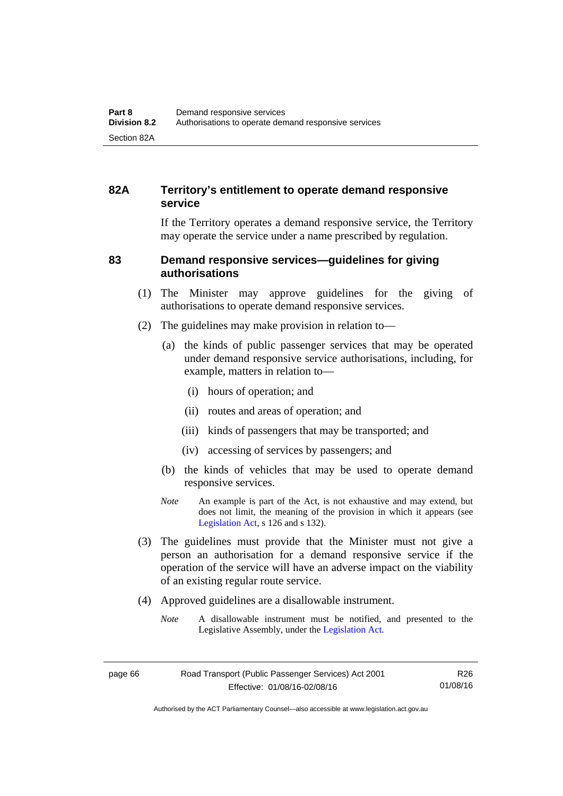## **82A Territory's entitlement to operate demand responsive service**

If the Territory operates a demand responsive service, the Territory may operate the service under a name prescribed by regulation.

#### **83 Demand responsive services—guidelines for giving authorisations**

- (1) The Minister may approve guidelines for the giving of authorisations to operate demand responsive services.
- (2) The guidelines may make provision in relation to—
	- (a) the kinds of public passenger services that may be operated under demand responsive service authorisations, including, for example, matters in relation to—
		- (i) hours of operation; and
		- (ii) routes and areas of operation; and
		- (iii) kinds of passengers that may be transported; and
		- (iv) accessing of services by passengers; and
	- (b) the kinds of vehicles that may be used to operate demand responsive services.
	- *Note* An example is part of the Act, is not exhaustive and may extend, but does not limit, the meaning of the provision in which it appears (see [Legislation Act,](http://www.legislation.act.gov.au/a/2001-14) s 126 and s 132).
- (3) The guidelines must provide that the Minister must not give a person an authorisation for a demand responsive service if the operation of the service will have an adverse impact on the viability of an existing regular route service.
- (4) Approved guidelines are a disallowable instrument.
	- *Note* A disallowable instrument must be notified, and presented to the Legislative Assembly, under the [Legislation Act.](http://www.legislation.act.gov.au/a/2001-14)

Authorised by the ACT Parliamentary Counsel—also accessible at www.legislation.act.gov.au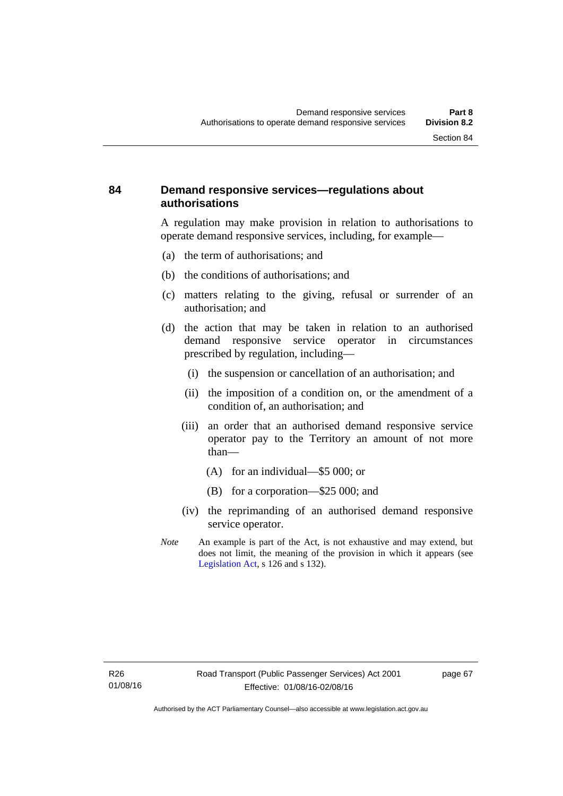#### **84 Demand responsive services—regulations about authorisations**

A regulation may make provision in relation to authorisations to operate demand responsive services, including, for example—

- (a) the term of authorisations; and
- (b) the conditions of authorisations; and
- (c) matters relating to the giving, refusal or surrender of an authorisation; and
- (d) the action that may be taken in relation to an authorised demand responsive service operator in circumstances prescribed by regulation, including—
	- (i) the suspension or cancellation of an authorisation; and
	- (ii) the imposition of a condition on, or the amendment of a condition of, an authorisation; and
	- (iii) an order that an authorised demand responsive service operator pay to the Territory an amount of not more than—
		- (A) for an individual—\$5 000; or
		- (B) for a corporation—\$25 000; and
	- (iv) the reprimanding of an authorised demand responsive service operator.
- *Note* An example is part of the Act, is not exhaustive and may extend, but does not limit, the meaning of the provision in which it appears (see [Legislation Act,](http://www.legislation.act.gov.au/a/2001-14) s 126 and s 132).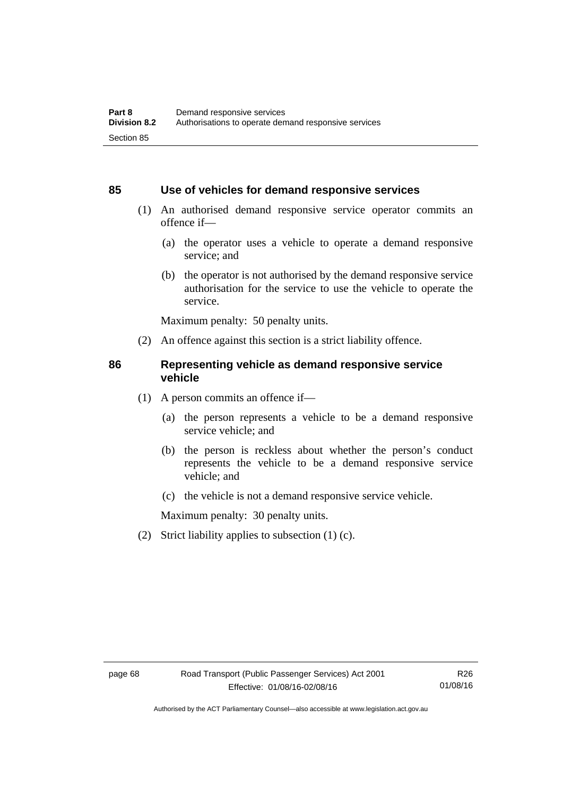#### **85 Use of vehicles for demand responsive services**

- (1) An authorised demand responsive service operator commits an offence if—
	- (a) the operator uses a vehicle to operate a demand responsive service; and
	- (b) the operator is not authorised by the demand responsive service authorisation for the service to use the vehicle to operate the service.

Maximum penalty: 50 penalty units.

(2) An offence against this section is a strict liability offence.

#### **86 Representing vehicle as demand responsive service vehicle**

- (1) A person commits an offence if—
	- (a) the person represents a vehicle to be a demand responsive service vehicle; and
	- (b) the person is reckless about whether the person's conduct represents the vehicle to be a demand responsive service vehicle; and
	- (c) the vehicle is not a demand responsive service vehicle.

Maximum penalty: 30 penalty units.

(2) Strict liability applies to subsection (1) (c).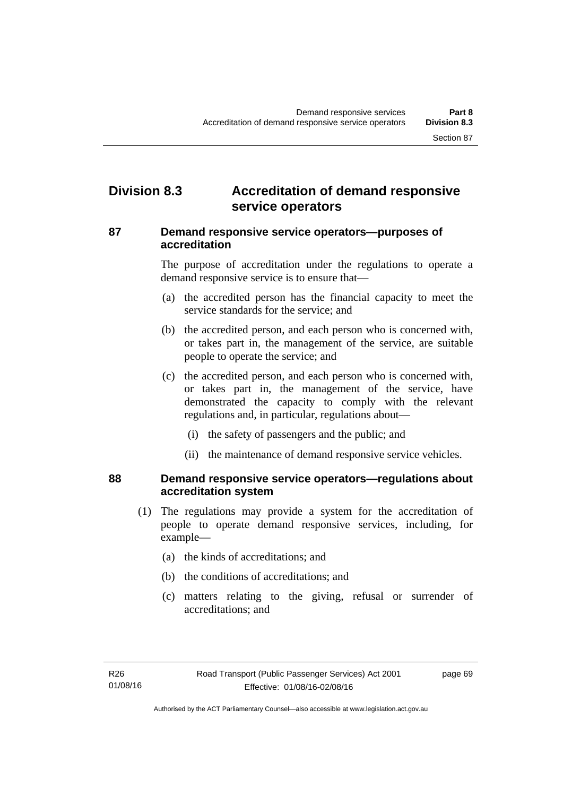# **Division 8.3 Accreditation of demand responsive service operators**

#### **87 Demand responsive service operators—purposes of accreditation**

The purpose of accreditation under the regulations to operate a demand responsive service is to ensure that—

- (a) the accredited person has the financial capacity to meet the service standards for the service; and
- (b) the accredited person, and each person who is concerned with, or takes part in, the management of the service, are suitable people to operate the service; and
- (c) the accredited person, and each person who is concerned with, or takes part in, the management of the service, have demonstrated the capacity to comply with the relevant regulations and, in particular, regulations about—
	- (i) the safety of passengers and the public; and
	- (ii) the maintenance of demand responsive service vehicles.

#### **88 Demand responsive service operators—regulations about accreditation system**

- (1) The regulations may provide a system for the accreditation of people to operate demand responsive services, including, for example—
	- (a) the kinds of accreditations; and
	- (b) the conditions of accreditations; and
	- (c) matters relating to the giving, refusal or surrender of accreditations; and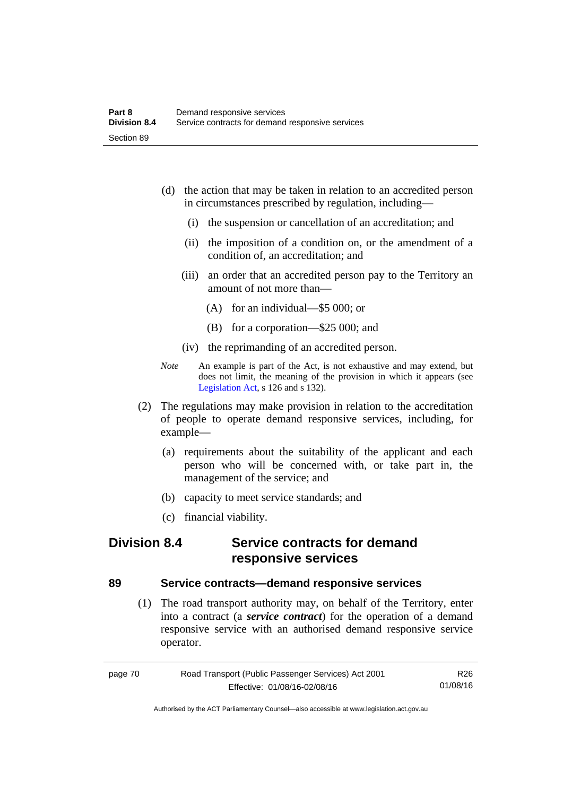- (d) the action that may be taken in relation to an accredited person in circumstances prescribed by regulation, including—
	- (i) the suspension or cancellation of an accreditation; and
	- (ii) the imposition of a condition on, or the amendment of a condition of, an accreditation; and
	- (iii) an order that an accredited person pay to the Territory an amount of not more than—
		- (A) for an individual—\$5 000; or
		- (B) for a corporation—\$25 000; and
	- (iv) the reprimanding of an accredited person.
- *Note* An example is part of the Act, is not exhaustive and may extend, but does not limit, the meaning of the provision in which it appears (see [Legislation Act,](http://www.legislation.act.gov.au/a/2001-14) s 126 and s 132).
- (2) The regulations may make provision in relation to the accreditation of people to operate demand responsive services, including, for example—
	- (a) requirements about the suitability of the applicant and each person who will be concerned with, or take part in, the management of the service; and
	- (b) capacity to meet service standards; and
	- (c) financial viability.

# **Division 8.4 Service contracts for demand responsive services**

#### **89 Service contracts—demand responsive services**

 (1) The road transport authority may, on behalf of the Territory, enter into a contract (a *service contract*) for the operation of a demand responsive service with an authorised demand responsive service operator.

| page 70 | Road Transport (Public Passenger Services) Act 2001 | R26      |
|---------|-----------------------------------------------------|----------|
|         | Effective: 01/08/16-02/08/16                        | 01/08/16 |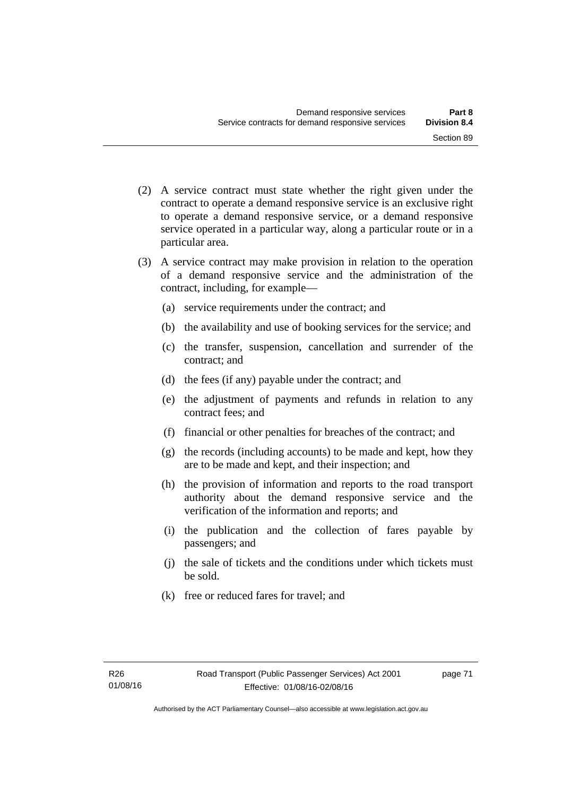- (2) A service contract must state whether the right given under the contract to operate a demand responsive service is an exclusive right to operate a demand responsive service, or a demand responsive service operated in a particular way, along a particular route or in a particular area.
- (3) A service contract may make provision in relation to the operation of a demand responsive service and the administration of the contract, including, for example—
	- (a) service requirements under the contract; and
	- (b) the availability and use of booking services for the service; and
	- (c) the transfer, suspension, cancellation and surrender of the contract; and
	- (d) the fees (if any) payable under the contract; and
	- (e) the adjustment of payments and refunds in relation to any contract fees; and
	- (f) financial or other penalties for breaches of the contract; and
	- (g) the records (including accounts) to be made and kept, how they are to be made and kept, and their inspection; and
	- (h) the provision of information and reports to the road transport authority about the demand responsive service and the verification of the information and reports; and
	- (i) the publication and the collection of fares payable by passengers; and
	- (j) the sale of tickets and the conditions under which tickets must be sold.
	- (k) free or reduced fares for travel; and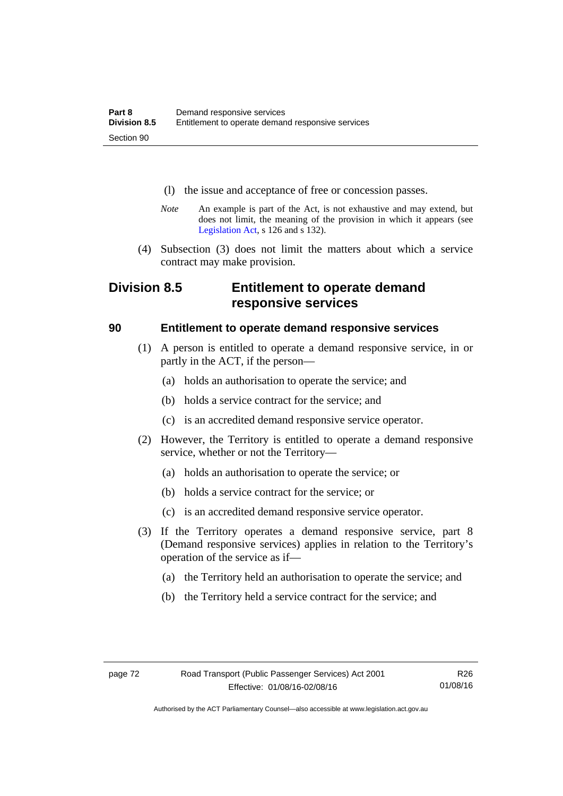- (l) the issue and acceptance of free or concession passes.
- *Note* An example is part of the Act, is not exhaustive and may extend, but does not limit, the meaning of the provision in which it appears (see [Legislation Act,](http://www.legislation.act.gov.au/a/2001-14) s 126 and s 132).
- (4) Subsection (3) does not limit the matters about which a service contract may make provision.

# **Division 8.5 Entitlement to operate demand responsive services**

#### **90 Entitlement to operate demand responsive services**

- (1) A person is entitled to operate a demand responsive service, in or partly in the ACT, if the person—
	- (a) holds an authorisation to operate the service; and
	- (b) holds a service contract for the service; and
	- (c) is an accredited demand responsive service operator.
- (2) However, the Territory is entitled to operate a demand responsive service, whether or not the Territory—
	- (a) holds an authorisation to operate the service; or
	- (b) holds a service contract for the service; or
	- (c) is an accredited demand responsive service operator.
- (3) If the Territory operates a demand responsive service, part 8 (Demand responsive services) applies in relation to the Territory's operation of the service as if—
	- (a) the Territory held an authorisation to operate the service; and
	- (b) the Territory held a service contract for the service; and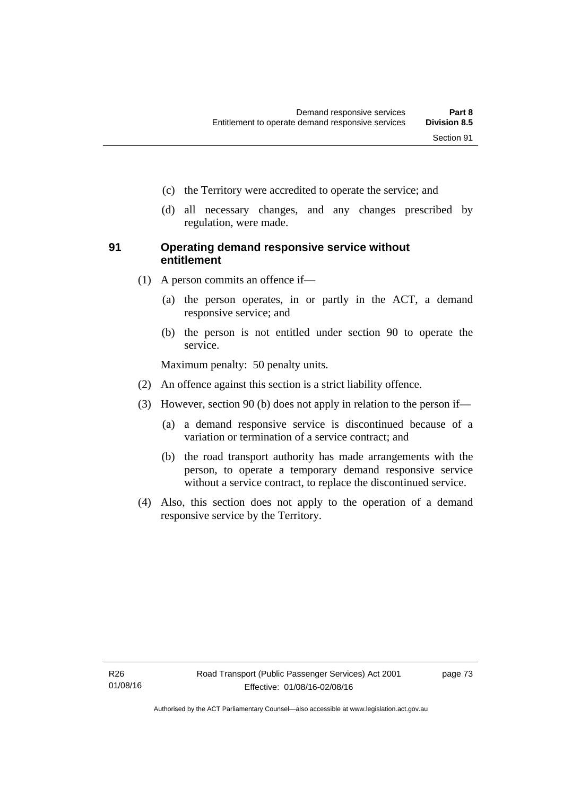- (c) the Territory were accredited to operate the service; and
- (d) all necessary changes, and any changes prescribed by regulation, were made.

#### **91 Operating demand responsive service without entitlement**

- (1) A person commits an offence if—
	- (a) the person operates, in or partly in the ACT, a demand responsive service; and
	- (b) the person is not entitled under section 90 to operate the service.

Maximum penalty: 50 penalty units.

- (2) An offence against this section is a strict liability offence.
- (3) However, section 90 (b) does not apply in relation to the person if—
	- (a) a demand responsive service is discontinued because of a variation or termination of a service contract; and
	- (b) the road transport authority has made arrangements with the person, to operate a temporary demand responsive service without a service contract, to replace the discontinued service.
- (4) Also, this section does not apply to the operation of a demand responsive service by the Territory.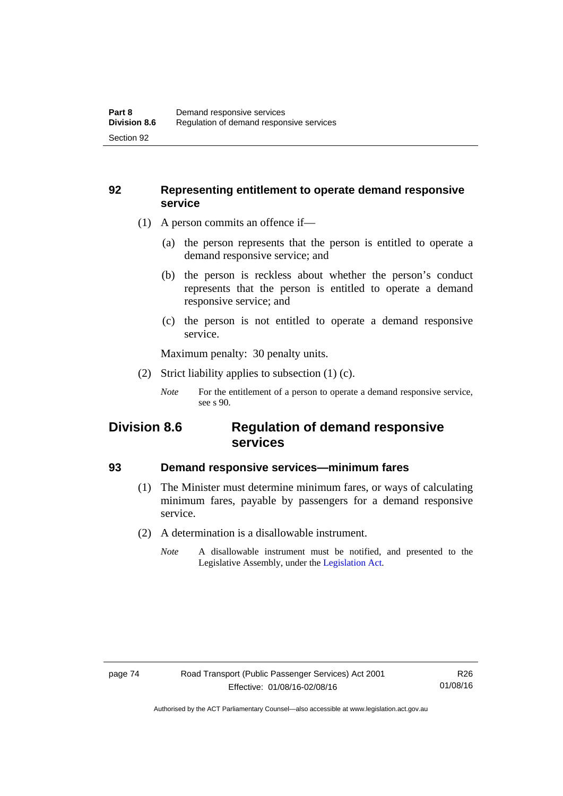#### **92 Representing entitlement to operate demand responsive service**

- (1) A person commits an offence if—
	- (a) the person represents that the person is entitled to operate a demand responsive service; and
	- (b) the person is reckless about whether the person's conduct represents that the person is entitled to operate a demand responsive service; and
	- (c) the person is not entitled to operate a demand responsive service.

Maximum penalty: 30 penalty units.

(2) Strict liability applies to subsection (1) (c).

## **Division 8.6 Regulation of demand responsive services**

#### **93 Demand responsive services—minimum fares**

- (1) The Minister must determine minimum fares, or ways of calculating minimum fares, payable by passengers for a demand responsive service.
- (2) A determination is a disallowable instrument.
	- *Note* A disallowable instrument must be notified, and presented to the Legislative Assembly, under the [Legislation Act.](http://www.legislation.act.gov.au/a/2001-14)

*Note* For the entitlement of a person to operate a demand responsive service, see s 90.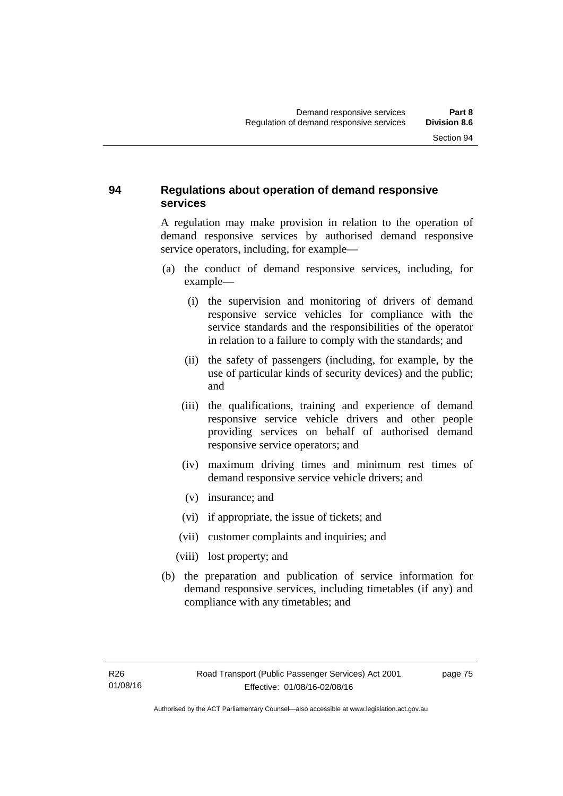### **94 Regulations about operation of demand responsive services**

A regulation may make provision in relation to the operation of demand responsive services by authorised demand responsive service operators, including, for example—

- (a) the conduct of demand responsive services, including, for example—
	- (i) the supervision and monitoring of drivers of demand responsive service vehicles for compliance with the service standards and the responsibilities of the operator in relation to a failure to comply with the standards; and
	- (ii) the safety of passengers (including, for example, by the use of particular kinds of security devices) and the public; and
	- (iii) the qualifications, training and experience of demand responsive service vehicle drivers and other people providing services on behalf of authorised demand responsive service operators; and
	- (iv) maximum driving times and minimum rest times of demand responsive service vehicle drivers; and
	- (v) insurance; and
	- (vi) if appropriate, the issue of tickets; and
	- (vii) customer complaints and inquiries; and
	- (viii) lost property; and
- (b) the preparation and publication of service information for demand responsive services, including timetables (if any) and compliance with any timetables; and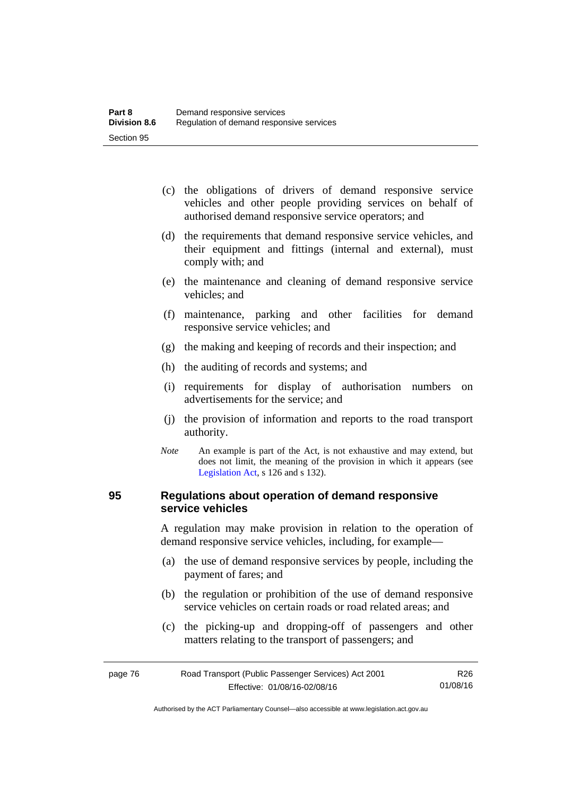- (c) the obligations of drivers of demand responsive service vehicles and other people providing services on behalf of authorised demand responsive service operators; and
- (d) the requirements that demand responsive service vehicles, and their equipment and fittings (internal and external), must comply with; and
- (e) the maintenance and cleaning of demand responsive service vehicles; and
- (f) maintenance, parking and other facilities for demand responsive service vehicles; and
- (g) the making and keeping of records and their inspection; and
- (h) the auditing of records and systems; and
- (i) requirements for display of authorisation numbers on advertisements for the service; and
- (j) the provision of information and reports to the road transport authority.
- *Note* An example is part of the Act, is not exhaustive and may extend, but does not limit, the meaning of the provision in which it appears (see [Legislation Act,](http://www.legislation.act.gov.au/a/2001-14) s 126 and s 132).

#### **95 Regulations about operation of demand responsive service vehicles**

A regulation may make provision in relation to the operation of demand responsive service vehicles, including, for example—

- (a) the use of demand responsive services by people, including the payment of fares; and
- (b) the regulation or prohibition of the use of demand responsive service vehicles on certain roads or road related areas; and
- (c) the picking-up and dropping-off of passengers and other matters relating to the transport of passengers; and

| page 76 | Road Transport (Public Passenger Services) Act 2001 | R26      |
|---------|-----------------------------------------------------|----------|
|         | Effective: 01/08/16-02/08/16                        | 01/08/16 |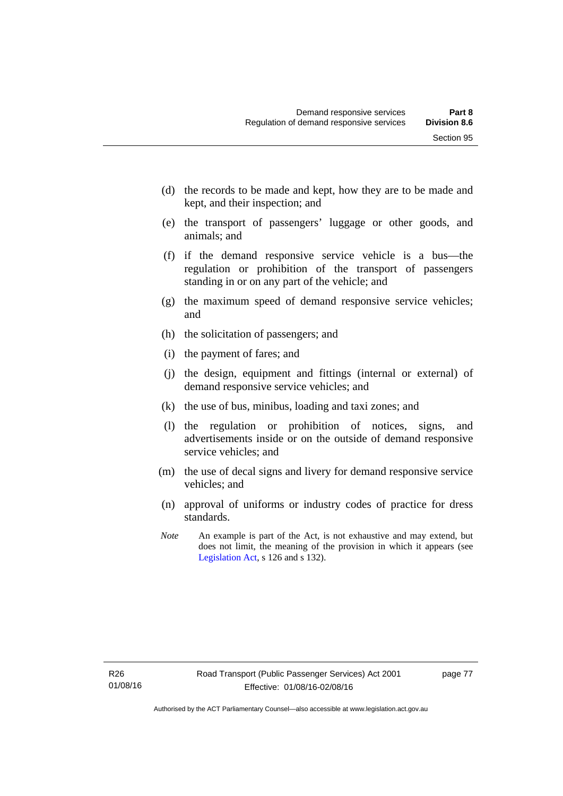- (d) the records to be made and kept, how they are to be made and kept, and their inspection; and
- (e) the transport of passengers' luggage or other goods, and animals; and
- (f) if the demand responsive service vehicle is a bus—the regulation or prohibition of the transport of passengers standing in or on any part of the vehicle; and
- (g) the maximum speed of demand responsive service vehicles; and
- (h) the solicitation of passengers; and
- (i) the payment of fares; and
- (j) the design, equipment and fittings (internal or external) of demand responsive service vehicles; and
- (k) the use of bus, minibus, loading and taxi zones; and
- (l) the regulation or prohibition of notices, signs, and advertisements inside or on the outside of demand responsive service vehicles; and
- (m) the use of decal signs and livery for demand responsive service vehicles; and
- (n) approval of uniforms or industry codes of practice for dress standards.
- *Note* An example is part of the Act, is not exhaustive and may extend, but does not limit, the meaning of the provision in which it appears (see [Legislation Act,](http://www.legislation.act.gov.au/a/2001-14) s 126 and s 132).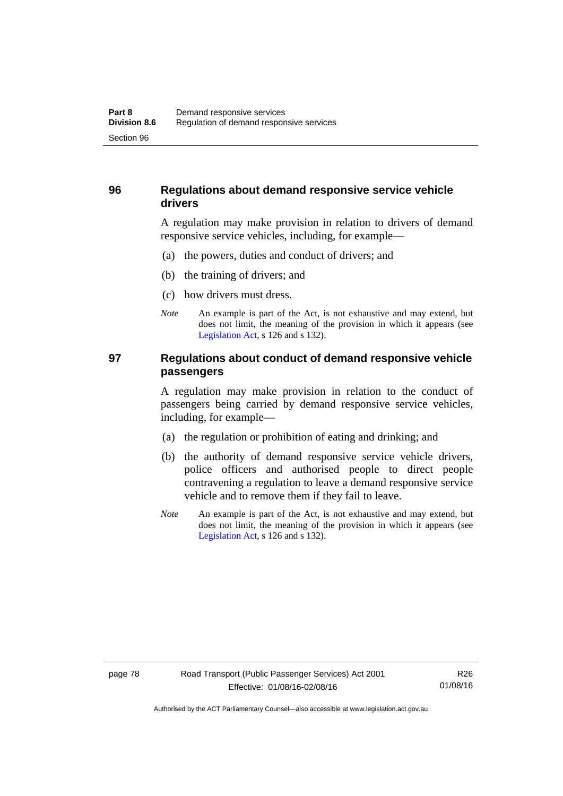### **96 Regulations about demand responsive service vehicle drivers**

A regulation may make provision in relation to drivers of demand responsive service vehicles, including, for example—

- (a) the powers, duties and conduct of drivers; and
- (b) the training of drivers; and
- (c) how drivers must dress.
- *Note* An example is part of the Act, is not exhaustive and may extend, but does not limit, the meaning of the provision in which it appears (see [Legislation Act,](http://www.legislation.act.gov.au/a/2001-14) s 126 and s 132).

#### **97 Regulations about conduct of demand responsive vehicle passengers**

A regulation may make provision in relation to the conduct of passengers being carried by demand responsive service vehicles, including, for example—

- (a) the regulation or prohibition of eating and drinking; and
- (b) the authority of demand responsive service vehicle drivers, police officers and authorised people to direct people contravening a regulation to leave a demand responsive service vehicle and to remove them if they fail to leave.
- *Note* An example is part of the Act, is not exhaustive and may extend, but does not limit, the meaning of the provision in which it appears (see [Legislation Act,](http://www.legislation.act.gov.au/a/2001-14) s 126 and s 132).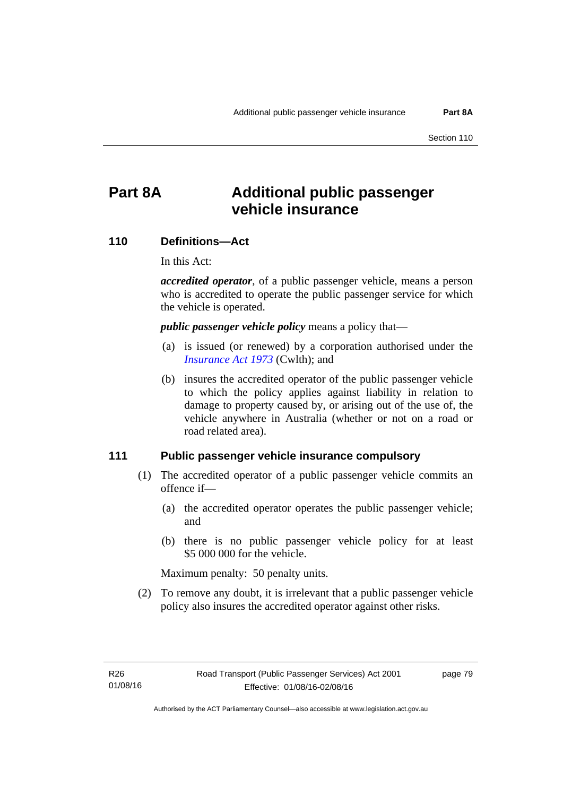# **Part 8A Additional public passenger vehicle insurance**

#### **110 Definitions—Act**

In this Act:

*accredited operator*, of a public passenger vehicle, means a person who is accredited to operate the public passenger service for which the vehicle is operated.

*public passenger vehicle policy* means a policy that—

- (a) is issued (or renewed) by a corporation authorised under the *[Insurance Act 1973](http://www.comlaw.gov.au/Details/C2013C00019)* (Cwlth); and
- (b) insures the accredited operator of the public passenger vehicle to which the policy applies against liability in relation to damage to property caused by, or arising out of the use of, the vehicle anywhere in Australia (whether or not on a road or road related area).

#### **111 Public passenger vehicle insurance compulsory**

- (1) The accredited operator of a public passenger vehicle commits an offence if—
	- (a) the accredited operator operates the public passenger vehicle; and
	- (b) there is no public passenger vehicle policy for at least \$5 000 000 for the vehicle.

Maximum penalty: 50 penalty units.

 (2) To remove any doubt, it is irrelevant that a public passenger vehicle policy also insures the accredited operator against other risks.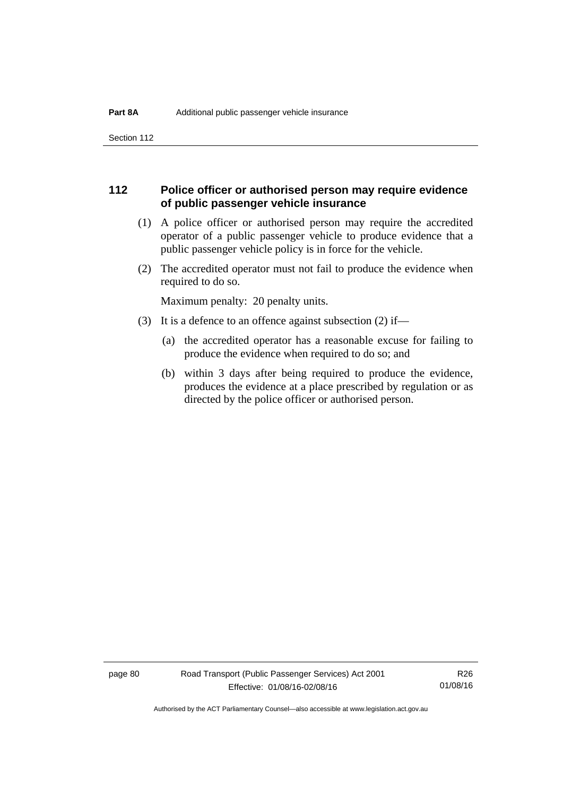Section 112

#### **112 Police officer or authorised person may require evidence of public passenger vehicle insurance**

- (1) A police officer or authorised person may require the accredited operator of a public passenger vehicle to produce evidence that a public passenger vehicle policy is in force for the vehicle.
- (2) The accredited operator must not fail to produce the evidence when required to do so.

Maximum penalty: 20 penalty units.

- (3) It is a defence to an offence against subsection (2) if—
	- (a) the accredited operator has a reasonable excuse for failing to produce the evidence when required to do so; and
	- (b) within 3 days after being required to produce the evidence, produces the evidence at a place prescribed by regulation or as directed by the police officer or authorised person.

page 80 Road Transport (Public Passenger Services) Act 2001 Effective: 01/08/16-02/08/16

R26 01/08/16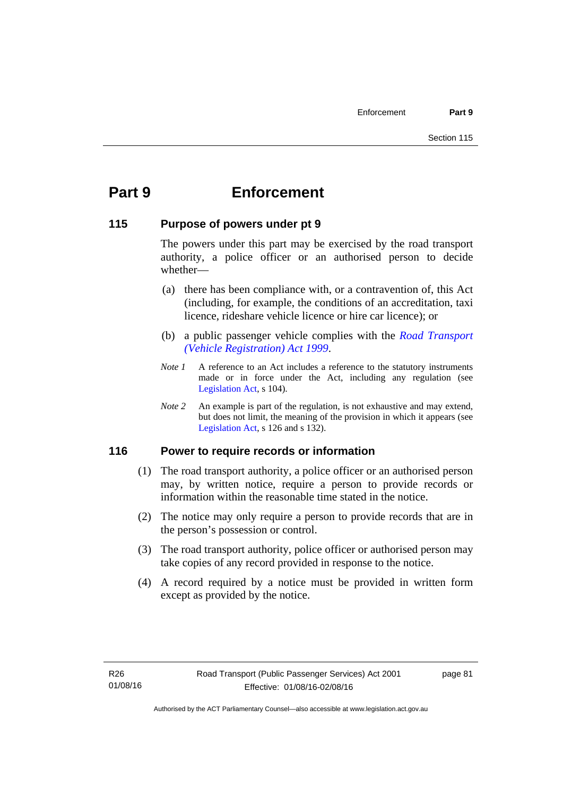# **Part 9 Enforcement**

#### **115 Purpose of powers under pt 9**

The powers under this part may be exercised by the road transport authority, a police officer or an authorised person to decide whether—

- (a) there has been compliance with, or a contravention of, this Act (including, for example, the conditions of an accreditation, taxi licence, rideshare vehicle licence or hire car licence); or
- (b) a public passenger vehicle complies with the *[Road Transport](http://www.legislation.act.gov.au/a/1999-81)  [\(Vehicle Registration\) Act 1999](http://www.legislation.act.gov.au/a/1999-81)*.
- *Note 1* A reference to an Act includes a reference to the statutory instruments made or in force under the Act, including any regulation (see [Legislation Act,](http://www.legislation.act.gov.au/a/2001-14) s 104).
- *Note 2* An example is part of the regulation, is not exhaustive and may extend, but does not limit, the meaning of the provision in which it appears (see [Legislation Act,](http://www.legislation.act.gov.au/a/2001-14) s 126 and s 132).

### **116 Power to require records or information**

- (1) The road transport authority, a police officer or an authorised person may, by written notice, require a person to provide records or information within the reasonable time stated in the notice.
- (2) The notice may only require a person to provide records that are in the person's possession or control.
- (3) The road transport authority, police officer or authorised person may take copies of any record provided in response to the notice.
- (4) A record required by a notice must be provided in written form except as provided by the notice.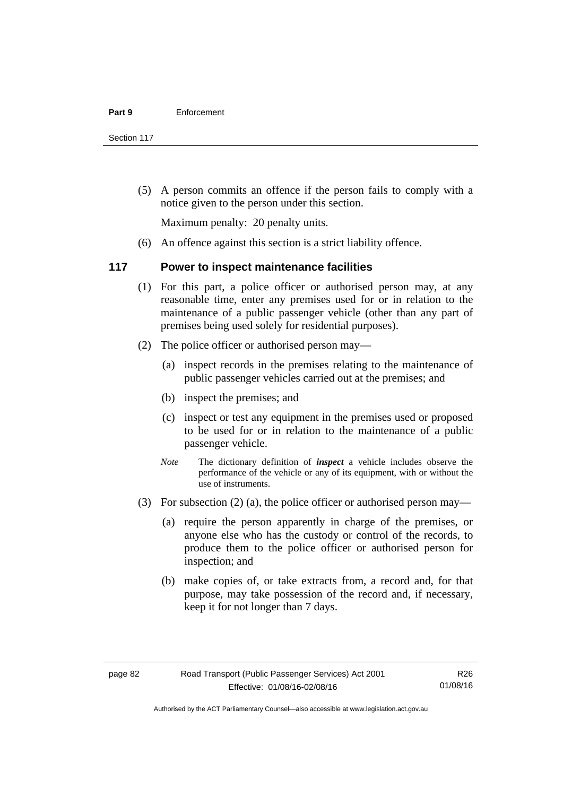Section 117

 (5) A person commits an offence if the person fails to comply with a notice given to the person under this section.

Maximum penalty: 20 penalty units.

(6) An offence against this section is a strict liability offence.

#### **117 Power to inspect maintenance facilities**

- (1) For this part, a police officer or authorised person may, at any reasonable time, enter any premises used for or in relation to the maintenance of a public passenger vehicle (other than any part of premises being used solely for residential purposes).
- (2) The police officer or authorised person may—
	- (a) inspect records in the premises relating to the maintenance of public passenger vehicles carried out at the premises; and
	- (b) inspect the premises; and
	- (c) inspect or test any equipment in the premises used or proposed to be used for or in relation to the maintenance of a public passenger vehicle.
	- *Note* The dictionary definition of *inspect* a vehicle includes observe the performance of the vehicle or any of its equipment, with or without the use of instruments.
- (3) For subsection (2) (a), the police officer or authorised person may—
	- (a) require the person apparently in charge of the premises, or anyone else who has the custody or control of the records, to produce them to the police officer or authorised person for inspection; and
	- (b) make copies of, or take extracts from, a record and, for that purpose, may take possession of the record and, if necessary, keep it for not longer than 7 days.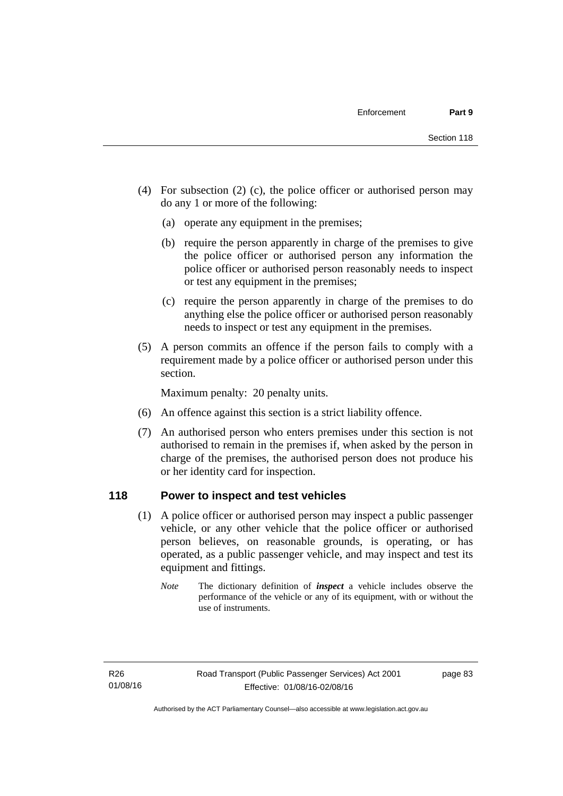- (4) For subsection (2) (c), the police officer or authorised person may do any 1 or more of the following:
	- (a) operate any equipment in the premises;
	- (b) require the person apparently in charge of the premises to give the police officer or authorised person any information the police officer or authorised person reasonably needs to inspect or test any equipment in the premises;
	- (c) require the person apparently in charge of the premises to do anything else the police officer or authorised person reasonably needs to inspect or test any equipment in the premises.
- (5) A person commits an offence if the person fails to comply with a requirement made by a police officer or authorised person under this section.

Maximum penalty: 20 penalty units.

- (6) An offence against this section is a strict liability offence.
- (7) An authorised person who enters premises under this section is not authorised to remain in the premises if, when asked by the person in charge of the premises, the authorised person does not produce his or her identity card for inspection.

#### **118 Power to inspect and test vehicles**

- (1) A police officer or authorised person may inspect a public passenger vehicle, or any other vehicle that the police officer or authorised person believes, on reasonable grounds, is operating, or has operated, as a public passenger vehicle, and may inspect and test its equipment and fittings.
	- *Note* The dictionary definition of *inspect* a vehicle includes observe the performance of the vehicle or any of its equipment, with or without the use of instruments.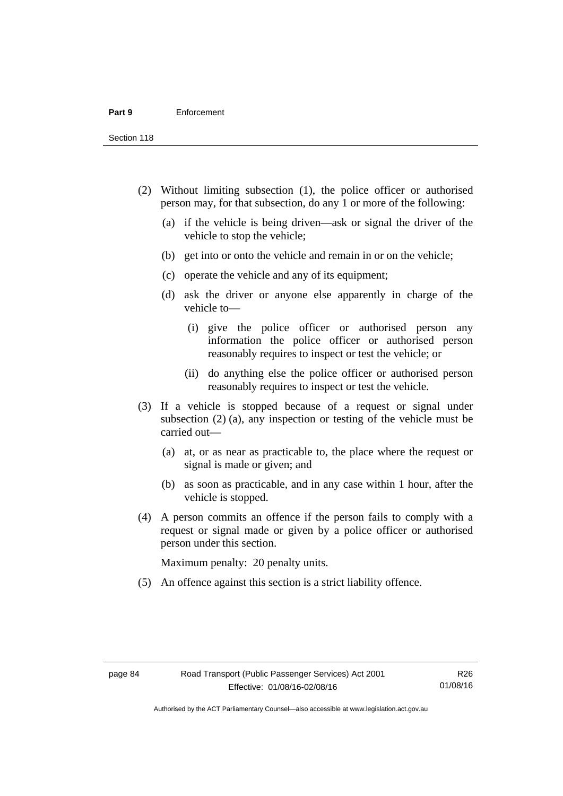Section 118

- (2) Without limiting subsection (1), the police officer or authorised person may, for that subsection, do any 1 or more of the following:
	- (a) if the vehicle is being driven—ask or signal the driver of the vehicle to stop the vehicle;
	- (b) get into or onto the vehicle and remain in or on the vehicle;
	- (c) operate the vehicle and any of its equipment;
	- (d) ask the driver or anyone else apparently in charge of the vehicle to—
		- (i) give the police officer or authorised person any information the police officer or authorised person reasonably requires to inspect or test the vehicle; or
		- (ii) do anything else the police officer or authorised person reasonably requires to inspect or test the vehicle.
- (3) If a vehicle is stopped because of a request or signal under subsection (2) (a), any inspection or testing of the vehicle must be carried out—
	- (a) at, or as near as practicable to, the place where the request or signal is made or given; and
	- (b) as soon as practicable, and in any case within 1 hour, after the vehicle is stopped.
- (4) A person commits an offence if the person fails to comply with a request or signal made or given by a police officer or authorised person under this section.

Maximum penalty: 20 penalty units.

(5) An offence against this section is a strict liability offence.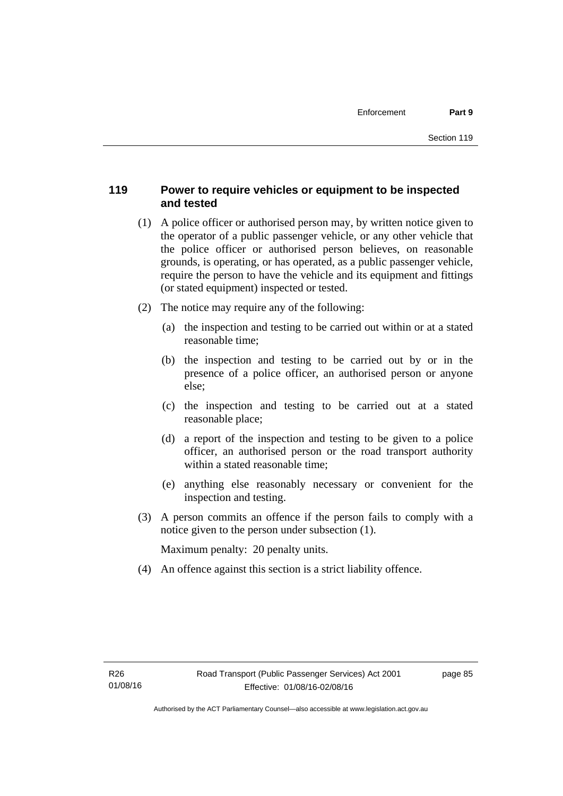## **119 Power to require vehicles or equipment to be inspected and tested**

- (1) A police officer or authorised person may, by written notice given to the operator of a public passenger vehicle, or any other vehicle that the police officer or authorised person believes, on reasonable grounds, is operating, or has operated, as a public passenger vehicle, require the person to have the vehicle and its equipment and fittings (or stated equipment) inspected or tested.
- (2) The notice may require any of the following:
	- (a) the inspection and testing to be carried out within or at a stated reasonable time;
	- (b) the inspection and testing to be carried out by or in the presence of a police officer, an authorised person or anyone else;
	- (c) the inspection and testing to be carried out at a stated reasonable place;
	- (d) a report of the inspection and testing to be given to a police officer, an authorised person or the road transport authority within a stated reasonable time;
	- (e) anything else reasonably necessary or convenient for the inspection and testing.
- (3) A person commits an offence if the person fails to comply with a notice given to the person under subsection (1).

Maximum penalty: 20 penalty units.

(4) An offence against this section is a strict liability offence.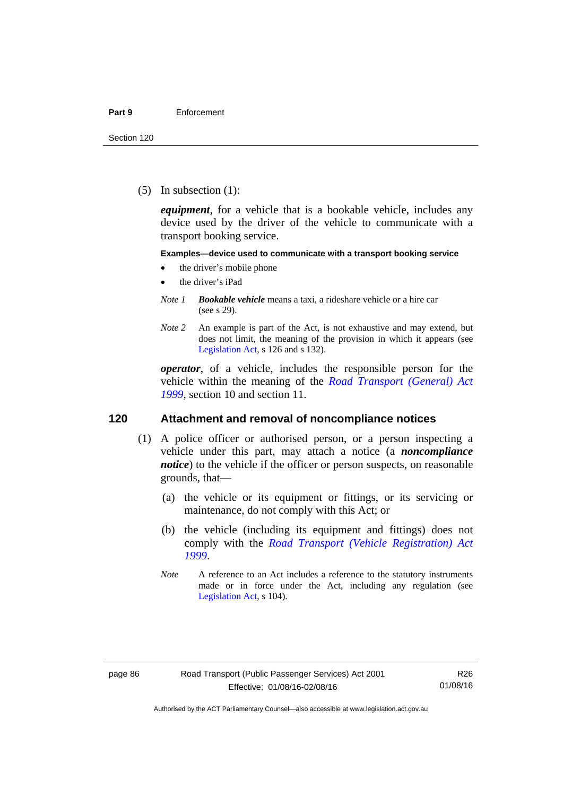(5) In subsection (1):

*equipment*, for a vehicle that is a bookable vehicle, includes any device used by the driver of the vehicle to communicate with a transport booking service.

#### **Examples—device used to communicate with a transport booking service**

- the driver's mobile phone
- the driver's iPad
- *Note 1 Bookable vehicle* means a taxi, a rideshare vehicle or a hire car (see s 29).
- *Note 2* An example is part of the Act, is not exhaustive and may extend, but does not limit, the meaning of the provision in which it appears (see [Legislation Act,](http://www.legislation.act.gov.au/a/2001-14) s 126 and s 132).

*operator*, of a vehicle, includes the responsible person for the vehicle within the meaning of the *[Road Transport \(General\) Act](http://www.legislation.act.gov.au/a/1999-77)  [1999](http://www.legislation.act.gov.au/a/1999-77)*, section 10 and section 11.

#### **120 Attachment and removal of noncompliance notices**

- (1) A police officer or authorised person, or a person inspecting a vehicle under this part, may attach a notice (a *noncompliance notice*) to the vehicle if the officer or person suspects, on reasonable grounds, that—
	- (a) the vehicle or its equipment or fittings, or its servicing or maintenance, do not comply with this Act; or
	- (b) the vehicle (including its equipment and fittings) does not comply with the *[Road Transport \(Vehicle Registration\) Act](http://www.legislation.act.gov.au/a/1999-81)  [1999](http://www.legislation.act.gov.au/a/1999-81)*.
	- *Note* A reference to an Act includes a reference to the statutory instruments made or in force under the Act, including any regulation (see [Legislation Act,](http://www.legislation.act.gov.au/a/2001-14) s 104).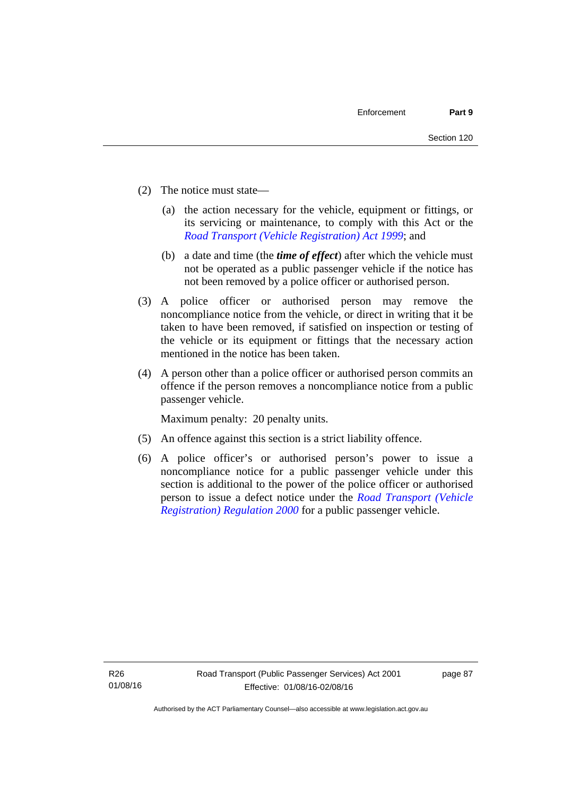- (2) The notice must state—
	- (a) the action necessary for the vehicle, equipment or fittings, or its servicing or maintenance, to comply with this Act or the *[Road Transport \(Vehicle Registration\) Act 1999](http://www.legislation.act.gov.au/a/1999-81)*; and
	- (b) a date and time (the *time of effect*) after which the vehicle must not be operated as a public passenger vehicle if the notice has not been removed by a police officer or authorised person.
- (3) A police officer or authorised person may remove the noncompliance notice from the vehicle, or direct in writing that it be taken to have been removed, if satisfied on inspection or testing of the vehicle or its equipment or fittings that the necessary action mentioned in the notice has been taken.
- (4) A person other than a police officer or authorised person commits an offence if the person removes a noncompliance notice from a public passenger vehicle.

Maximum penalty: 20 penalty units.

- (5) An offence against this section is a strict liability offence.
- (6) A police officer's or authorised person's power to issue a noncompliance notice for a public passenger vehicle under this section is additional to the power of the police officer or authorised person to issue a defect notice under the *[Road Transport \(Vehicle](http://www.legislation.act.gov.au/sl/2000-12)  [Registration\) Regulation 2000](http://www.legislation.act.gov.au/sl/2000-12)* for a public passenger vehicle.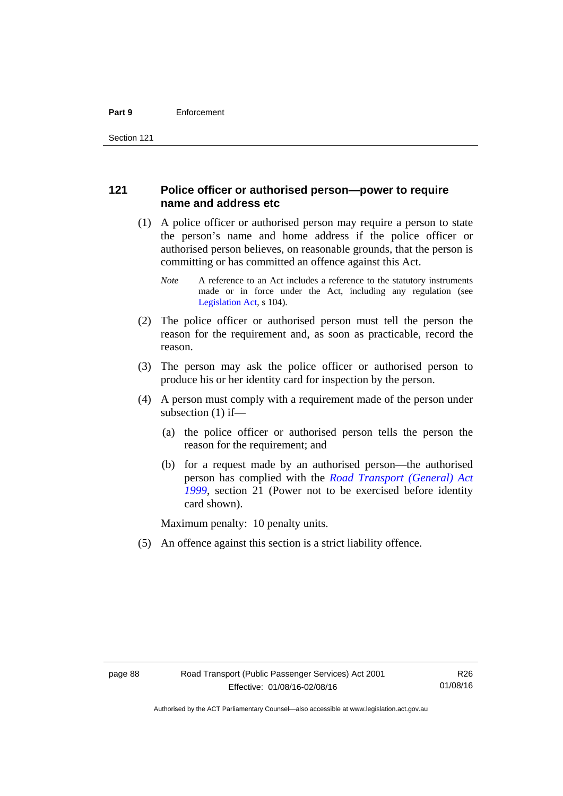#### **121 Police officer or authorised person—power to require name and address etc**

- (1) A police officer or authorised person may require a person to state the person's name and home address if the police officer or authorised person believes, on reasonable grounds, that the person is committing or has committed an offence against this Act.
	- *Note* A reference to an Act includes a reference to the statutory instruments made or in force under the Act, including any regulation (see [Legislation Act,](http://www.legislation.act.gov.au/a/2001-14) s 104).
- (2) The police officer or authorised person must tell the person the reason for the requirement and, as soon as practicable, record the reason.
- (3) The person may ask the police officer or authorised person to produce his or her identity card for inspection by the person.
- (4) A person must comply with a requirement made of the person under subsection (1) if—
	- (a) the police officer or authorised person tells the person the reason for the requirement; and
	- (b) for a request made by an authorised person—the authorised person has complied with the *[Road Transport \(General\) Act](http://www.legislation.act.gov.au/a/1999-77)  [1999](http://www.legislation.act.gov.au/a/1999-77)*, section 21 (Power not to be exercised before identity card shown).

Maximum penalty: 10 penalty units.

(5) An offence against this section is a strict liability offence.

R26 01/08/16

Authorised by the ACT Parliamentary Counsel—also accessible at www.legislation.act.gov.au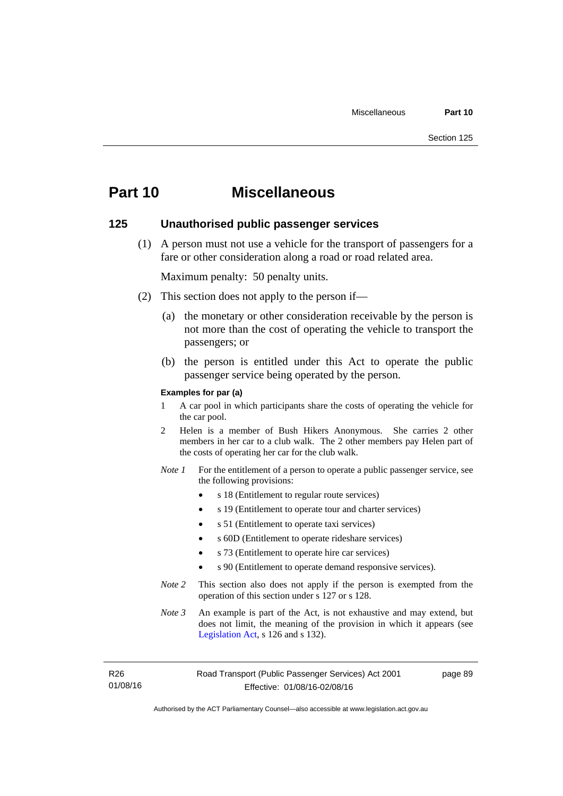# **Part 10 Miscellaneous**

#### **125 Unauthorised public passenger services**

 (1) A person must not use a vehicle for the transport of passengers for a fare or other consideration along a road or road related area.

Maximum penalty: 50 penalty units.

- (2) This section does not apply to the person if—
	- (a) the monetary or other consideration receivable by the person is not more than the cost of operating the vehicle to transport the passengers; or
	- (b) the person is entitled under this Act to operate the public passenger service being operated by the person.

#### **Examples for par (a)**

- 1 A car pool in which participants share the costs of operating the vehicle for the car pool.
- 2 Helen is a member of Bush Hikers Anonymous. She carries 2 other members in her car to a club walk. The 2 other members pay Helen part of the costs of operating her car for the club walk.
- *Note 1* For the entitlement of a person to operate a public passenger service, see the following provisions:
	- s 18 (Entitlement to regular route services)
	- s 19 (Entitlement to operate tour and charter services)
	- s 51 (Entitlement to operate taxi services)
	- s 60D (Entitlement to operate rideshare services)
	- s 73 (Entitlement to operate hire car services)
	- s 90 (Entitlement to operate demand responsive services).
- *Note 2* This section also does not apply if the person is exempted from the operation of this section under s 127 or s 128.
- *Note 3* An example is part of the Act, is not exhaustive and may extend, but does not limit, the meaning of the provision in which it appears (see [Legislation Act,](http://www.legislation.act.gov.au/a/2001-14) s 126 and s 132).

R26 01/08/16 page 89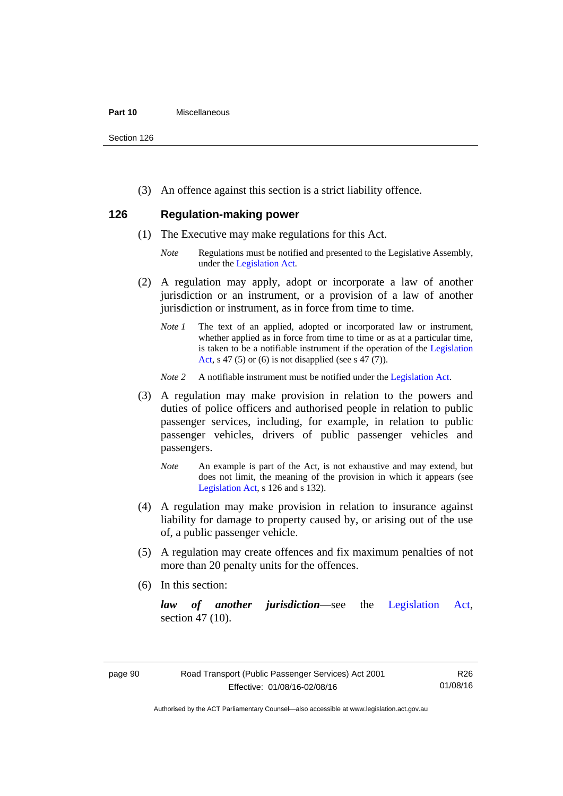#### **Part 10** Miscellaneous

Section 126

(3) An offence against this section is a strict liability offence.

### **126 Regulation-making power**

- (1) The Executive may make regulations for this Act.
	- *Note* Regulations must be notified and presented to the Legislative Assembly, under the [Legislation Act.](http://www.legislation.act.gov.au/a/2001-14)
- (2) A regulation may apply, adopt or incorporate a law of another jurisdiction or an instrument, or a provision of a law of another jurisdiction or instrument, as in force from time to time.
	- *Note 1* The text of an applied, adopted or incorporated law or instrument, whether applied as in force from time to time or as at a particular time, is taken to be a notifiable instrument if the operation of the [Legislation](http://www.legislation.act.gov.au/a/2001-14)  [Act](http://www.legislation.act.gov.au/a/2001-14), s 47 (5) or (6) is not disapplied (see s 47 (7)).
	- *Note 2* A notifiable instrument must be notified under the [Legislation Act](http://www.legislation.act.gov.au/a/2001-14).
- (3) A regulation may make provision in relation to the powers and duties of police officers and authorised people in relation to public passenger services, including, for example, in relation to public passenger vehicles, drivers of public passenger vehicles and passengers.
	- *Note* An example is part of the Act, is not exhaustive and may extend, but does not limit, the meaning of the provision in which it appears (see [Legislation Act,](http://www.legislation.act.gov.au/a/2001-14) s 126 and s 132).
- (4) A regulation may make provision in relation to insurance against liability for damage to property caused by, or arising out of the use of, a public passenger vehicle.
- (5) A regulation may create offences and fix maximum penalties of not more than 20 penalty units for the offences.
- (6) In this section:

*law of another jurisdiction*—see the [Legislation Act](http://www.legislation.act.gov.au/a/2001-14), section 47 (10).

Authorised by the ACT Parliamentary Counsel—also accessible at www.legislation.act.gov.au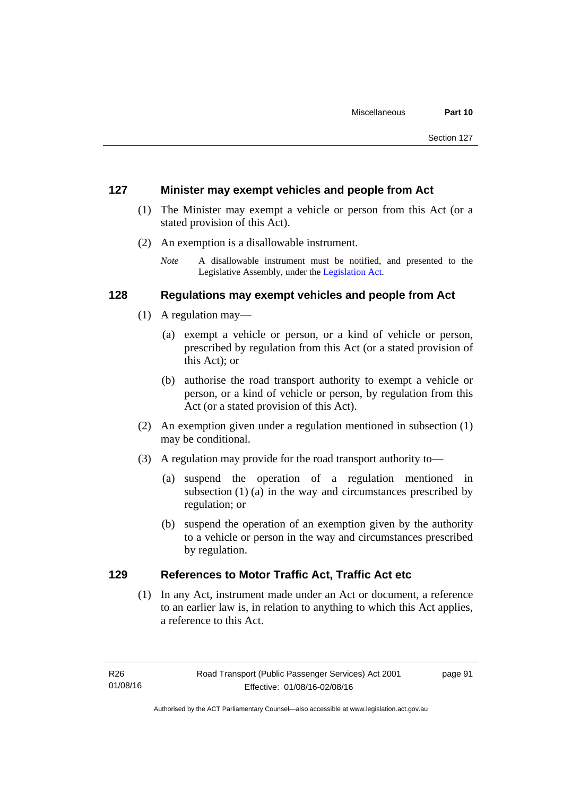#### **127 Minister may exempt vehicles and people from Act**

- (1) The Minister may exempt a vehicle or person from this Act (or a stated provision of this Act).
- (2) An exemption is a disallowable instrument.
	- *Note* A disallowable instrument must be notified, and presented to the Legislative Assembly, under the [Legislation Act.](http://www.legislation.act.gov.au/a/2001-14)

#### **128 Regulations may exempt vehicles and people from Act**

- (1) A regulation may—
	- (a) exempt a vehicle or person, or a kind of vehicle or person, prescribed by regulation from this Act (or a stated provision of this Act); or
	- (b) authorise the road transport authority to exempt a vehicle or person, or a kind of vehicle or person, by regulation from this Act (or a stated provision of this Act).
- (2) An exemption given under a regulation mentioned in subsection (1) may be conditional.
- (3) A regulation may provide for the road transport authority to—
	- (a) suspend the operation of a regulation mentioned in subsection (1) (a) in the way and circumstances prescribed by regulation; or
	- (b) suspend the operation of an exemption given by the authority to a vehicle or person in the way and circumstances prescribed by regulation.

### **129 References to Motor Traffic Act, Traffic Act etc**

(1) In any Act, instrument made under an Act or document, a reference to an earlier law is, in relation to anything to which this Act applies, a reference to this Act.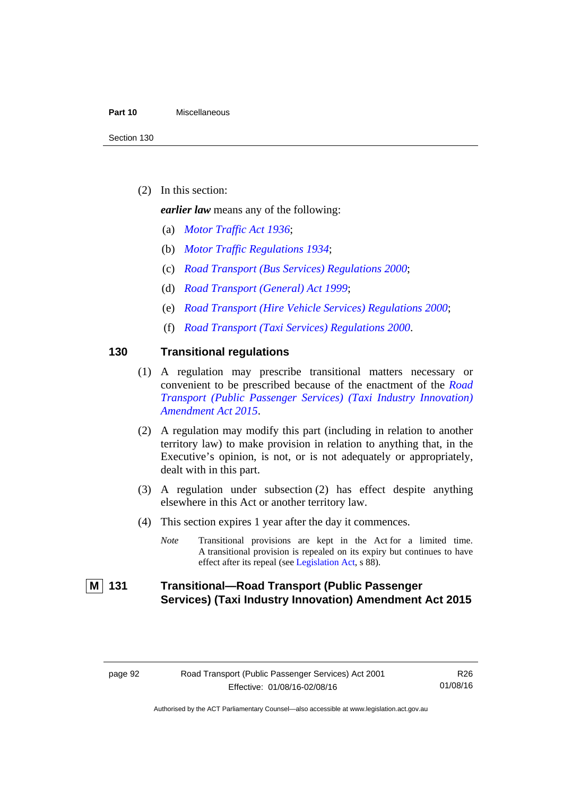#### **Part 10** Miscellaneous

(2) In this section:

*earlier law* means any of the following:

- (a) *[Motor Traffic Act 1936](http://www.legislation.act.gov.au/a/1936-45)*;
- (b) *[Motor Traffic Regulations 1934](http://www.legislation.act.gov.au/sl/1934-6)*;
- (c) *[Road Transport \(Bus Services\) Regulations 2000](http://www.legislation.act.gov.au/sl/2000-9)*;
- (d) *[Road Transport \(General\) Act 1999](http://www.legislation.act.gov.au/a/1999-77)*;
- (e) *[Road Transport \(Hire Vehicle Services\) Regulations 2000](http://www.legislation.act.gov.au/sl/2000-4)*;
- (f) *[Road Transport \(Taxi Services\) Regulations 2000](http://www.legislation.act.gov.au/sl/2000-5)*.

#### **130 Transitional regulations**

- (1) A regulation may prescribe transitional matters necessary or convenient to be prescribed because of the enactment of the *[Road](http://www.legislation.act.gov.au/a/2015-47/default.asp)  [Transport \(Public Passenger Services\) \(Taxi Industry Innovation\)](http://www.legislation.act.gov.au/a/2015-47/default.asp)  [Amendment Act 2015](http://www.legislation.act.gov.au/a/2015-47/default.asp)*.
- (2) A regulation may modify this part (including in relation to another territory law) to make provision in relation to anything that, in the Executive's opinion, is not, or is not adequately or appropriately, dealt with in this part.
- (3) A regulation under subsection (2) has effect despite anything elsewhere in this Act or another territory law.
- (4) This section expires 1 year after the day it commences.
	- *Note* Transitional provisions are kept in the Act for a limited time. A transitional provision is repealed on its expiry but continues to have effect after its repeal (see [Legislation Act,](http://www.legislation.act.gov.au/a/2001-14) s 88).

## **M 131 Transitional—Road Transport (Public Passenger Services) (Taxi Industry Innovation) Amendment Act 2015**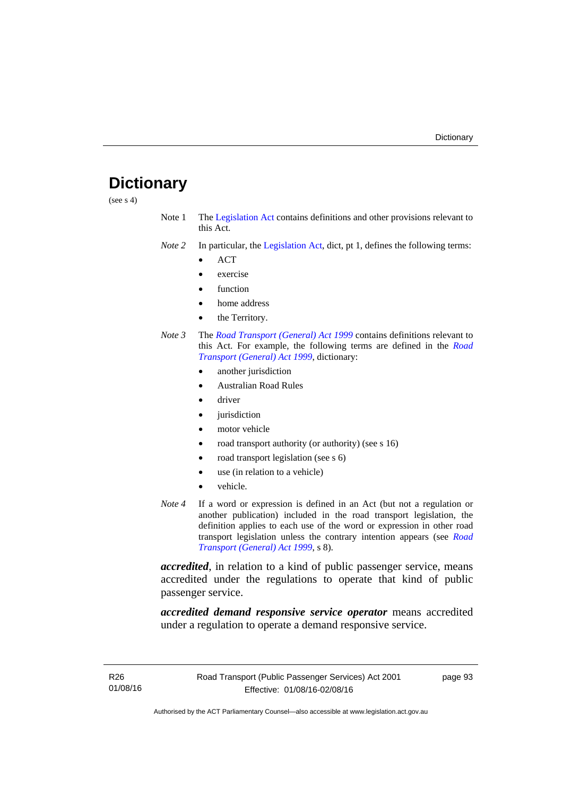# **Dictionary**

(see s 4)

- Note 1 The [Legislation Act](http://www.legislation.act.gov.au/a/2001-14) contains definitions and other provisions relevant to this Act.
- *Note 2* In particular, the [Legislation Act,](http://www.legislation.act.gov.au/a/2001-14) dict, pt 1, defines the following terms:
	- ACT
	- exercise
	- function
	- home address
	- the Territory.
- *Note 3* The *[Road Transport \(General\) Act 1999](http://www.legislation.act.gov.au/a/1999-77)* contains definitions relevant to this Act. For example, the following terms are defined in the *[Road](http://www.legislation.act.gov.au/a/1999-77)  [Transport \(General\) Act 1999](http://www.legislation.act.gov.au/a/1999-77)*, dictionary:
	- another jurisdiction
	- Australian Road Rules
	- driver
	- jurisdiction
	- motor vehicle
	- road transport authority (or authority) (see s 16)
	- road transport legislation (see s 6)
	- use (in relation to a vehicle)
	- vehicle.
- *Note 4* If a word or expression is defined in an Act (but not a regulation or another publication) included in the road transport legislation, the definition applies to each use of the word or expression in other road transport legislation unless the contrary intention appears (see *[Road](http://www.legislation.act.gov.au/a/1999-77)  [Transport \(General\) Act 1999](http://www.legislation.act.gov.au/a/1999-77)*, s 8).

*accredited*, in relation to a kind of public passenger service, means accredited under the regulations to operate that kind of public passenger service.

*accredited demand responsive service operator* means accredited under a regulation to operate a demand responsive service.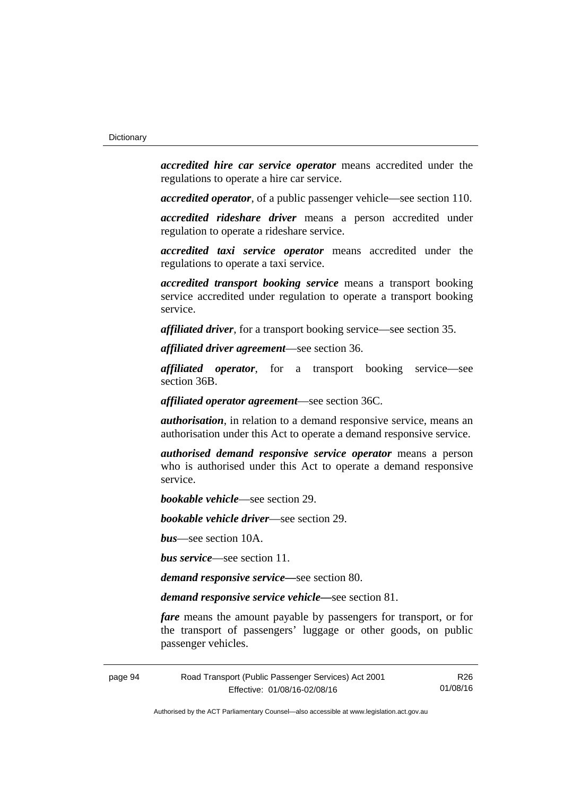*accredited hire car service operator* means accredited under the regulations to operate a hire car service.

*accredited operator*, of a public passenger vehicle—see section 110.

*accredited rideshare driver* means a person accredited under regulation to operate a rideshare service.

*accredited taxi service operator* means accredited under the regulations to operate a taxi service.

*accredited transport booking service* means a transport booking service accredited under regulation to operate a transport booking service.

*affiliated driver*, for a transport booking service—see section 35.

*affiliated driver agreement*—see section 36.

*affiliated operator*, for a transport booking service—see section 36B.

*affiliated operator agreement*—see section 36C.

*authorisation*, in relation to a demand responsive service, means an authorisation under this Act to operate a demand responsive service.

*authorised demand responsive service operator* means a person who is authorised under this Act to operate a demand responsive service.

*bookable vehicle*—see section 29.

*bookable vehicle driver*—see section 29.

*bus*—see section 10A.

*bus service*—see section 11.

*demand responsive service—*see section 80.

*demand responsive service vehicle—*see section 81.

*fare* means the amount payable by passengers for transport, or for the transport of passengers' luggage or other goods, on public passenger vehicles.

page 94 Road Transport (Public Passenger Services) Act 2001 Effective: 01/08/16-02/08/16

R26 01/08/16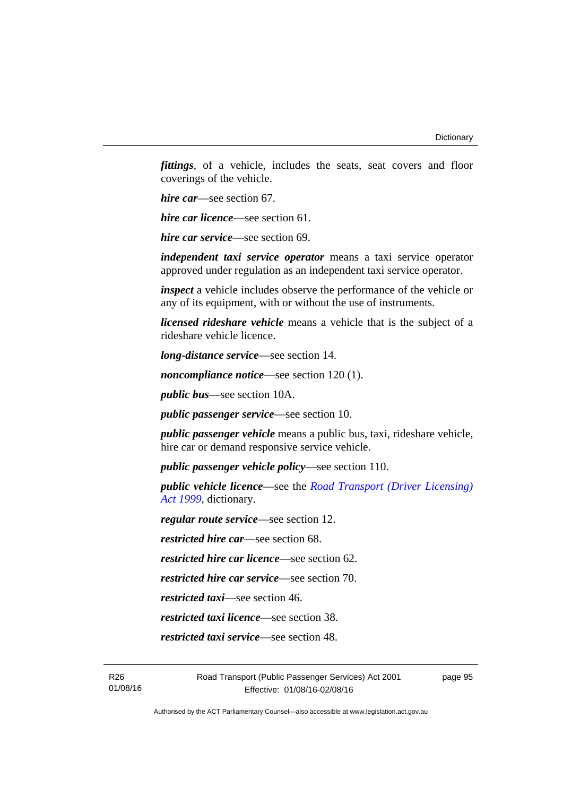*fittings*, of a vehicle, includes the seats, seat covers and floor coverings of the vehicle.

*hire car*—see section 67.

*hire car licence*—see section 61.

*hire car service*—see section 69.

*independent taxi service operator* means a taxi service operator approved under regulation as an independent taxi service operator.

*inspect* a vehicle includes observe the performance of the vehicle or any of its equipment, with or without the use of instruments.

*licensed rideshare vehicle* means a vehicle that is the subject of a rideshare vehicle licence.

*long-distance service*—see section 14.

*noncompliance notice*—see section 120 (1).

*public bus*—see section 10A.

*public passenger service*—see section 10.

*public passenger vehicle* means a public bus, taxi, rideshare vehicle, hire car or demand responsive service vehicle.

*public passenger vehicle policy*—see section 110.

*public vehicle licence*—see the *[Road Transport \(Driver Licensing\)](http://www.legislation.act.gov.au/a/1999-78)  [Act 1999](http://www.legislation.act.gov.au/a/1999-78)*, dictionary.

*regular route service*—see section 12.

*restricted hire car*—see section 68.

*restricted hire car licence*—see section 62.

*restricted hire car service*—see section 70.

*restricted taxi*—see section 46.

*restricted taxi licence*—see section 38.

*restricted taxi service*—see section 48.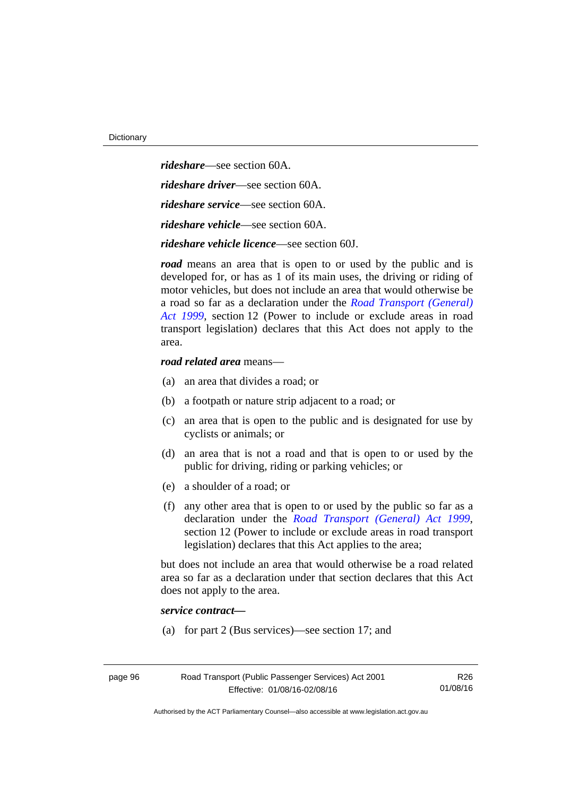*rideshare*—see section 60A. *rideshare driver*—see section 60A. *rideshare service*—see section 60A. *rideshare vehicle*—see section 60A. *rideshare vehicle licence*—see section 60J.

*road* means an area that is open to or used by the public and is developed for, or has as 1 of its main uses, the driving or riding of motor vehicles, but does not include an area that would otherwise be a road so far as a declaration under the *[Road Transport \(General\)](http://www.legislation.act.gov.au/a/1999-77)  [Act 1999](http://www.legislation.act.gov.au/a/1999-77)*, section 12 (Power to include or exclude areas in road transport legislation) declares that this Act does not apply to the area.

#### *road related area* means—

- (a) an area that divides a road; or
- (b) a footpath or nature strip adjacent to a road; or
- (c) an area that is open to the public and is designated for use by cyclists or animals; or
- (d) an area that is not a road and that is open to or used by the public for driving, riding or parking vehicles; or
- (e) a shoulder of a road; or
- (f) any other area that is open to or used by the public so far as a declaration under the *[Road Transport \(General\) Act 1999](http://www.legislation.act.gov.au/a/1999-77)*, section 12 (Power to include or exclude areas in road transport legislation) declares that this Act applies to the area;

but does not include an area that would otherwise be a road related area so far as a declaration under that section declares that this Act does not apply to the area.

#### *service contract—*

(a) for part 2 (Bus services)—see section 17; and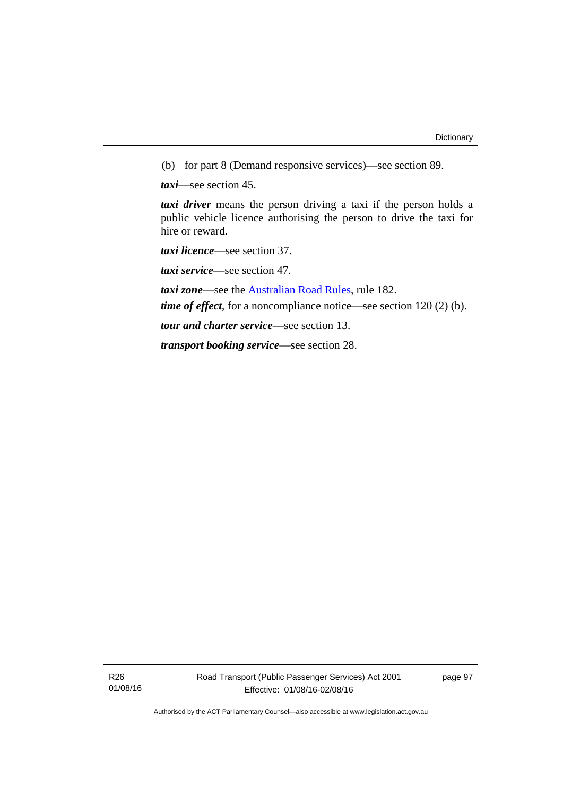(b) for part 8 (Demand responsive services)—see section 89.

*taxi*—see section 45.

*taxi driver* means the person driving a taxi if the person holds a public vehicle licence authorising the person to drive the taxi for hire or reward.

*taxi licence*—see section 37.

*taxi service*—see section 47.

*taxi zone*—see the [Australian Road Rules](http://www.legislation.act.gov.au//ni/db_37271/default.asp), rule 182.

*time of effect*, for a noncompliance notice—see section 120 (2) (b).

*tour and charter service*—see section 13.

*transport booking service*—see section 28.

R26 01/08/16 page 97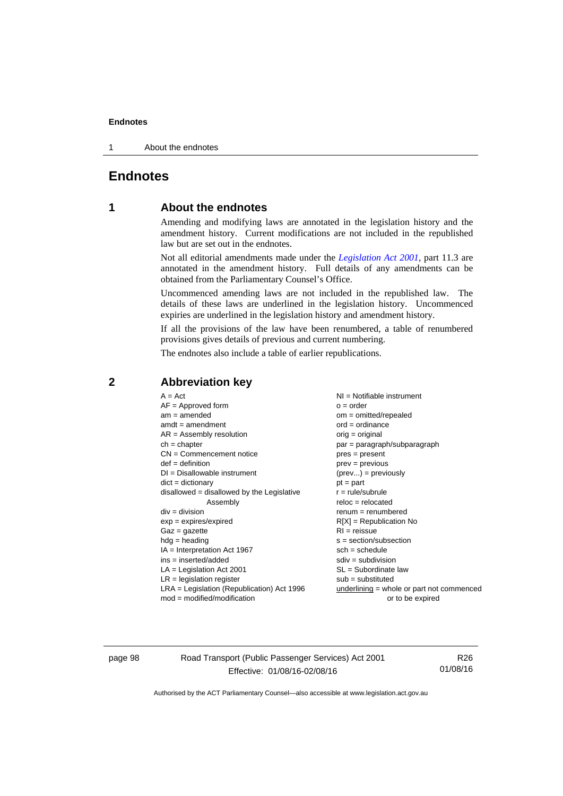#### **Endnotes**

1 About the endnotes

## **Endnotes**

#### **1 About the endnotes**

Amending and modifying laws are annotated in the legislation history and the amendment history. Current modifications are not included in the republished law but are set out in the endnotes.

Not all editorial amendments made under the *[Legislation Act 2001](http://www.legislation.act.gov.au/a/2001-14/default.asp)*, part 11.3 are annotated in the amendment history. Full details of any amendments can be obtained from the Parliamentary Counsel's Office.

Uncommenced amending laws are not included in the republished law. The details of these laws are underlined in the legislation history. Uncommenced expiries are underlined in the legislation history and amendment history.

If all the provisions of the law have been renumbered, a table of renumbered provisions gives details of previous and current numbering.

The endnotes also include a table of earlier republications.

| $A = Act$                                    | NI = Notifiable instrument                  |
|----------------------------------------------|---------------------------------------------|
| $AF =$ Approved form                         | $o = order$                                 |
| $am = amended$                               | $om = omitted/repealed$                     |
| $amdt = amendment$                           | $ord = ordinance$                           |
| $AR = Assembly resolution$                   | $orig = original$                           |
| $ch = chapter$                               | $par = paragraph/subparagraph$              |
| $CN =$ Commencement notice                   | $pres = present$                            |
| $def = definition$                           | $prev = previous$                           |
| $DI = Disallowable instrument$               | $(\text{prev}) = \text{previously}$         |
| $dict = dictionary$                          | $pt = part$                                 |
| disallowed = disallowed by the Legislative   | $r = rule/subrule$                          |
| Assembly                                     | $reloc = relocated$                         |
| $div = division$                             | $remum = renumbered$                        |
| $exp = expires/expired$                      | $R[X]$ = Republication No                   |
| $Gaz = gazette$                              | $RI = reissue$                              |
| $hdg =$ heading                              | $s = section/subsection$                    |
| $IA = Interpretation Act 1967$               | $sch = schedule$                            |
| $ins = inserted/added$                       | $sdiv = subdivision$                        |
| $LA =$ Legislation Act 2001                  | $SL = Subordinate$ law                      |
| $LR =$ legislation register                  | $sub =$ substituted                         |
| $LRA =$ Legislation (Republication) Act 1996 | $underlining = whole or part not commenced$ |
| $mod = modified/modification$                | or to be expired                            |

#### **2 Abbreviation key**

page 98 Road Transport (Public Passenger Services) Act 2001 Effective: 01/08/16-02/08/16

R26 01/08/16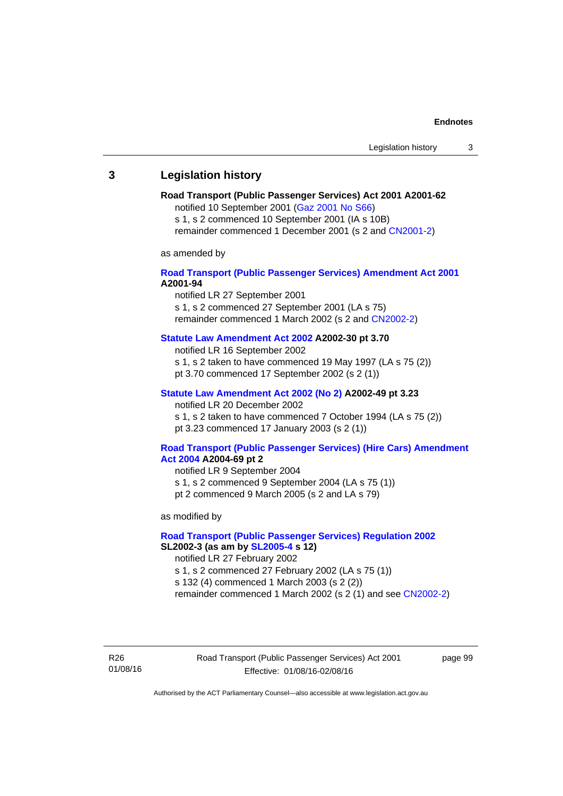# **3 Legislation history**

# **Road Transport (Public Passenger Services) Act 2001 A2001-62**

notified 10 September 2001 [\(Gaz 2001 No S66\)](http://www.legislation.act.gov.au/gaz/2001-S66/default.asp)

s 1, s 2 commenced 10 September 2001 (IA s 10B) remainder commenced 1 December 2001 (s 2 and [CN2001-2\)](http://www.legislation.act.gov.au/cn/2001-2/default.asp)

as amended by

## **[Road Transport \(Public Passenger Services\) Amendment Act 2001](http://www.legislation.act.gov.au/a/2001-94) A2001-94**

notified LR 27 September 2001

s 1, s 2 commenced 27 September 2001 (LA s 75) remainder commenced 1 March 2002 (s 2 and [CN2002-2\)](http://www.legislation.act.gov.au/cn/2002-2/default.asp)

## **[Statute Law Amendment Act 2002](http://www.legislation.act.gov.au/a/2002-30) A2002-30 pt 3.70**

notified LR 16 September 2002

- s 1, s 2 taken to have commenced 19 May 1997 (LA s 75 (2))
- pt 3.70 commenced 17 September 2002 (s 2 (1))

## **[Statute Law Amendment Act 2002 \(No 2\)](http://www.legislation.act.gov.au/a/2002-49) A2002-49 pt 3.23**

notified LR 20 December 2002 s 1, s 2 taken to have commenced 7 October 1994 (LA s 75 (2)) pt 3.23 commenced 17 January 2003 (s 2 (1))

#### **[Road Transport \(Public Passenger Services\) \(Hire Cars\) Amendment](http://www.legislation.act.gov.au/a/2004-69)  [Act 2004](http://www.legislation.act.gov.au/a/2004-69) A2004-69 pt 2**

notified LR 9 September 2004 s 1, s 2 commenced 9 September 2004 (LA s 75 (1)) pt 2 commenced 9 March 2005 (s 2 and LA s 79)

as modified by

#### **[Road Transport \(Public Passenger Services\) Regulation 2002](http://www.legislation.act.gov.au/sl/2002-3) SL2002-3 (as am by [SL2005-4](http://www.legislation.act.gov.au/sl/2005-4) s 12)**

notified LR 27 February 2002

s 1, s 2 commenced 27 February 2002 (LA s 75 (1))

s 132 (4) commenced 1 March 2003 (s 2 (2))

remainder commenced 1 March 2002 (s 2 (1) and see [CN2002-2](http://www.legislation.act.gov.au/cn/2002-2/default.asp))

R26 01/08/16 Road Transport (Public Passenger Services) Act 2001 Effective: 01/08/16-02/08/16

page 99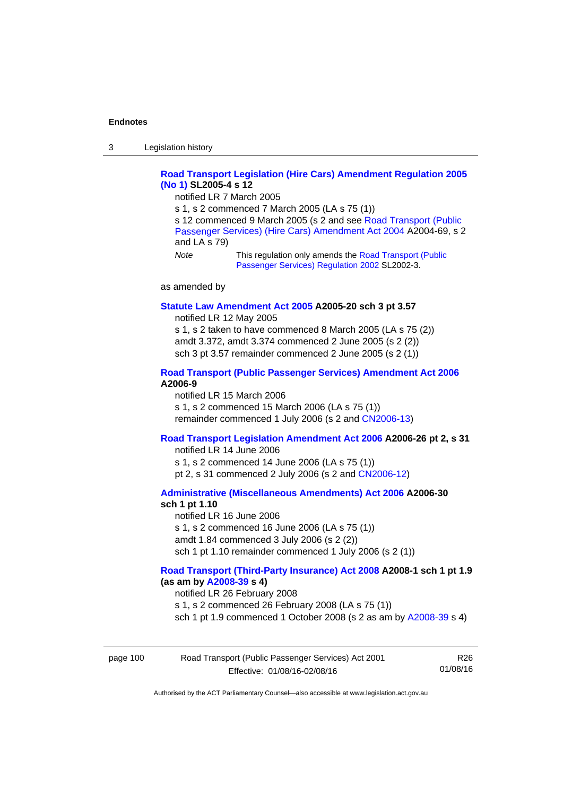3 Legislation history

## **[Road Transport Legislation \(Hire Cars\) Amendment Regulation 2005](http://www.legislation.act.gov.au/sl/2005-4)  [\(No 1\)](http://www.legislation.act.gov.au/sl/2005-4) SL2005-4 s 12**

notified LR 7 March 2005

s 1, s 2 commenced 7 March 2005 (LA s 75 (1))

s 12 commenced 9 March 2005 (s 2 and see [Road Transport \(Public](http://www.legislation.act.gov.au/a/2004-69)  [Passenger Services\) \(Hire Cars\) Amendment Act 2004](http://www.legislation.act.gov.au/a/2004-69) A2004-69, s 2 and LA s 79)

*Note* This regulation only amends the [Road Transport \(Public](http://www.legislation.act.gov.au/sl/2002-3)  [Passenger Services\) Regulation 2002](http://www.legislation.act.gov.au/sl/2002-3) SL2002-3.

as amended by

#### **[Statute Law Amendment Act 2005](http://www.legislation.act.gov.au/a/2005-20) A2005-20 sch 3 pt 3.57**

notified LR 12 May 2005

s 1, s 2 taken to have commenced 8 March 2005 (LA s 75 (2)) amdt 3.372, amdt 3.374 commenced 2 June 2005 (s 2 (2)) sch 3 pt 3.57 remainder commenced 2 June 2005 (s 2 (1))

#### **[Road Transport \(Public Passenger Services\) Amendment Act 2006](http://www.legislation.act.gov.au/a/2006-9) A2006-9**

notified LR 15 March 2006 s 1, s 2 commenced 15 March 2006 (LA s 75 (1)) remainder commenced 1 July 2006 (s 2 and [CN2006-13](http://www.legislation.act.gov.au/cn/2006-13/default.asp))

## **[Road Transport Legislation Amendment Act 2006](http://www.legislation.act.gov.au/a/2006-26) A2006-26 pt 2, s 31**

notified LR 14 June 2006 s 1, s 2 commenced 14 June 2006 (LA s 75 (1)) pt 2, s 31 commenced 2 July 2006 (s 2 and [CN2006-12](http://www.legislation.act.gov.au/cn/2006-12/default.asp))

**[Administrative \(Miscellaneous Amendments\) Act 2006](http://www.legislation.act.gov.au/a/2006-30) A2006-30 sch 1 pt 1.10** 

notified LR 16 June 2006 s 1, s 2 commenced 16 June 2006 (LA s 75 (1)) amdt 1.84 commenced 3 July 2006 (s 2 (2)) sch 1 pt 1.10 remainder commenced 1 July 2006 (s 2 (1))

### **[Road Transport \(Third-Party Insurance\) Act 2008](http://www.legislation.act.gov.au/a/2008-1) A2008-1 sch 1 pt 1.9 (as am by [A2008-39](http://www.legislation.act.gov.au/a/2008-39) s 4)**

notified LR 26 February 2008

s 1, s 2 commenced 26 February 2008 (LA s 75 (1))

sch 1 pt 1.9 commenced 1 October 2008 (s 2 as am by [A2008-39](http://www.legislation.act.gov.au/a/2008-39) s 4)

| page 100 | Road Transport (Public Passenger Services) Act 2001 | R26      |
|----------|-----------------------------------------------------|----------|
|          | Effective: 01/08/16-02/08/16                        | 01/08/16 |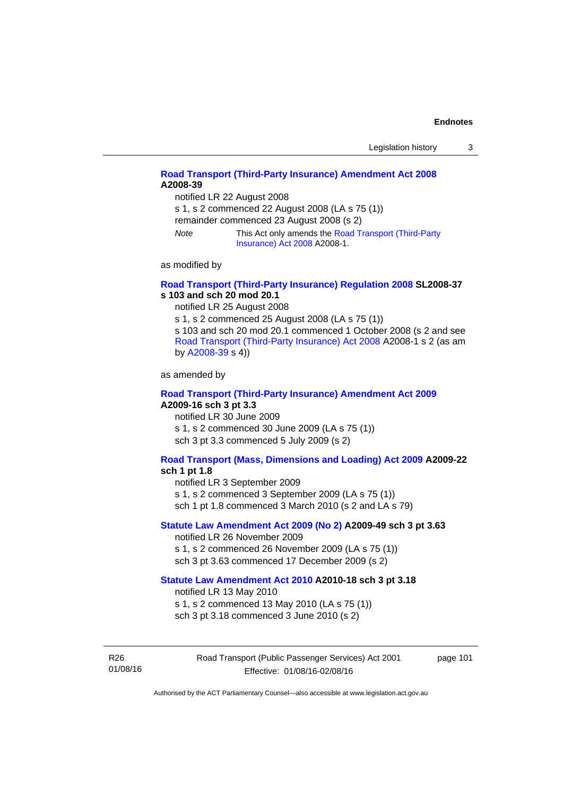# **[Road Transport \(Third-Party Insurance\) Amendment Act 2008](http://www.legislation.act.gov.au/a/2008-39) A2008-39**

notified LR 22 August 2008

s 1, s 2 commenced 22 August 2008 (LA s 75 (1))

remainder commenced 23 August 2008 (s 2)

*Note* This Act only amends the [Road Transport \(Third-Party](http://www.legislation.act.gov.au/a/2008-1)  [Insurance\) Act 2008](http://www.legislation.act.gov.au/a/2008-1) A2008-1.

as modified by

#### **[Road Transport \(Third-Party Insurance\) Regulation 2008](http://www.legislation.act.gov.au/sl/2008-37) SL2008-37 s 103 and sch 20 mod 20.1**

notified LR 25 August 2008

s 1, s 2 commenced 25 August 2008 (LA s 75 (1)) s 103 and sch 20 mod 20.1 commenced 1 October 2008 (s 2 and see [Road Transport \(Third-Party Insurance\) Act 2008](http://www.legislation.act.gov.au/a/2008-1) A2008-1 s 2 (as am by [A2008-39](http://www.legislation.act.gov.au/a/2008-39) s 4))

as amended by

#### **[Road Transport \(Third-Party Insurance\) Amendment Act 2009](http://www.legislation.act.gov.au/a/2009-16) A2009-16 sch 3 pt 3.3**

notified LR 30 June 2009 s 1, s 2 commenced 30 June 2009 (LA s 75 (1)) sch 3 pt 3.3 commenced 5 July 2009 (s 2)

#### **[Road Transport \(Mass, Dimensions and Loading\) Act 2009](http://www.legislation.act.gov.au/a/2009-22/default.asp) A2009-22**

#### **sch 1 pt 1.8**

notified LR 3 September 2009

s 1, s 2 commenced 3 September 2009 (LA s 75 (1))

sch 1 pt 1.8 commenced 3 March 2010 (s 2 and LA s 79)

## **[Statute Law Amendment Act 2009 \(No 2\)](http://www.legislation.act.gov.au/a/2009-49) A2009-49 sch 3 pt 3.63**

notified LR 26 November 2009 s 1, s 2 commenced 26 November 2009 (LA s 75 (1)) sch 3 pt 3.63 commenced 17 December 2009 (s 2)

#### **[Statute Law Amendment Act 2010](http://www.legislation.act.gov.au/a/2010-18) A2010-18 sch 3 pt 3.18**

notified LR 13 May 2010

s 1, s 2 commenced 13 May 2010 (LA s 75 (1))

sch 3 pt 3.18 commenced 3 June 2010 (s 2)

R26 01/08/16 Road Transport (Public Passenger Services) Act 2001 Effective: 01/08/16-02/08/16

page 101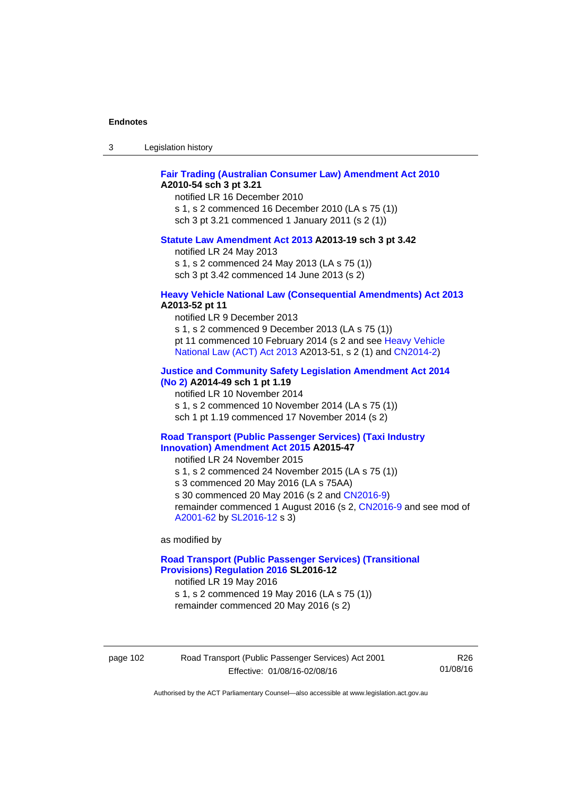| -3 | Legislation history |  |
|----|---------------------|--|
|----|---------------------|--|

## **[Fair Trading \(Australian Consumer Law\) Amendment Act 2010](http://www.legislation.act.gov.au/a/2010-54) A2010-54 sch 3 pt 3.21**

notified LR 16 December 2010 s 1, s 2 commenced 16 December 2010 (LA s 75 (1)) sch 3 pt 3.21 commenced 1 January 2011 (s 2 (1))

#### **[Statute Law Amendment Act 2013](http://www.legislation.act.gov.au/a/2013-19) A2013-19 sch 3 pt 3.42**

notified LR 24 May 2013

s 1, s 2 commenced 24 May 2013 (LA s 75 (1))

sch 3 pt 3.42 commenced 14 June 2013 (s 2)

#### **[Heavy Vehicle National Law \(Consequential Amendments\) Act 2013](http://www.legislation.act.gov.au/a/2013-52) A2013-52 pt 11**

notified LR 9 December 2013

s 1, s 2 commenced 9 December 2013 (LA s 75 (1)) pt 11 commenced 10 February 2014 (s 2 and see [Heavy Vehicle](http://www.legislation.act.gov.au/a/2013-51/default.asp)  [National Law \(ACT\) Act 2013](http://www.legislation.act.gov.au/a/2013-51/default.asp) A2013-51, s 2 (1) and [CN2014-2](http://www.legislation.act.gov.au/cn/2014-2/default.asp))

## **[Justice and Community Safety Legislation Amendment Act 2014](http://www.legislation.act.gov.au/a/2014-49)**

**[\(No 2\)](http://www.legislation.act.gov.au/a/2014-49) A2014-49 sch 1 pt 1.19** 

notified LR 10 November 2014

s 1, s 2 commenced 10 November 2014 (LA s 75 (1))

sch 1 pt 1.19 commenced 17 November 2014 (s 2)

#### **[Road Transport \(Public Passenger Services\) \(Taxi Industry](http://www.legislation.act.gov.au/a/2015-47/default.asp)  [Innovation\) Amendment Act 2015](http://www.legislation.act.gov.au/a/2015-47/default.asp) A2015-47**

notified LR 24 November 2015

s 1, s 2 commenced 24 November 2015 (LA s 75 (1))

s 3 commenced 20 May 2016 (LA s 75AA)

s 30 commenced 20 May 2016 (s 2 and [CN2016-9](http://www.legislation.act.gov.au/cn/2016-9/default.asp))

remainder commenced 1 August 2016 (s 2, [CN2016-9](http://www.legislation.act.gov.au/cn/2016-9/default.asp) and see mod of [A2001-62](http://www.legislation.act.gov.au/a/2001-62/default.asp) by [SL2016-12](http://www.legislation.act.gov.au/sl/2016-12/default.asp) s 3)

as modified by

## **[Road Transport \(Public Passenger Services\) \(Transitional](http://www.legislation.act.gov.au/sl/2016-12/default.asp)  [Provisions\) Regulation 2016](http://www.legislation.act.gov.au/sl/2016-12/default.asp) SL2016-12**

notified LR 19 May 2016 s 1, s 2 commenced 19 May 2016 (LA s 75 (1))

remainder commenced 20 May 2016 (s 2)

page 102 Road Transport (Public Passenger Services) Act 2001 Effective: 01/08/16-02/08/16

R26 01/08/16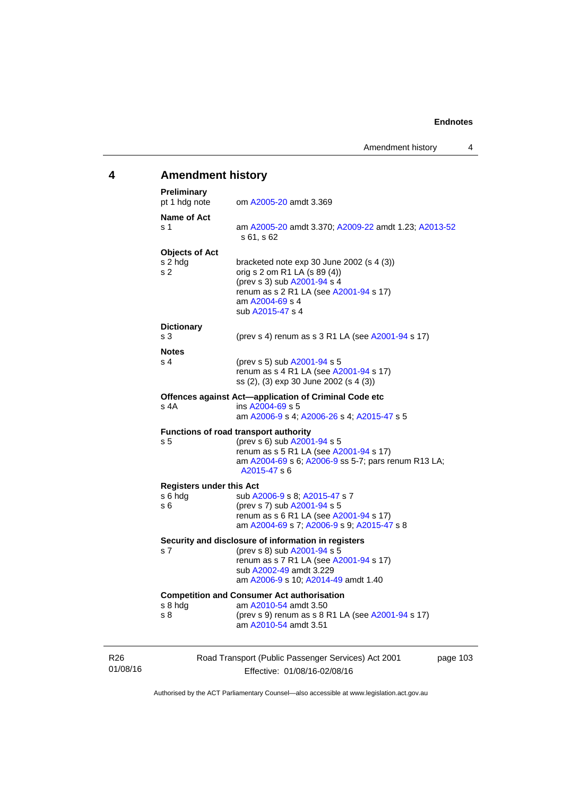# **4 Amendment history**

| <b>Preliminary</b><br>pt 1 hdg note                | om A2005-20 amdt 3.369                                                                                                                                                                         |        |
|----------------------------------------------------|------------------------------------------------------------------------------------------------------------------------------------------------------------------------------------------------|--------|
| Name of Act<br>s 1                                 | am A2005-20 amdt 3.370; A2009-22 amdt 1.23; A2013-52<br>s 61, s 62                                                                                                                             |        |
| <b>Objects of Act</b><br>s 2 hdg<br>s <sub>2</sub> | bracketed note exp 30 June 2002 (s 4 (3))<br>orig s 2 om R1 LA (s 89 (4))<br>(prev s 3) sub A2001-94 s 4<br>renum as s 2 R1 LA (see A2001-94 s 17)<br>am A2004-69 s 4<br>sub A2015-47 s 4      |        |
| <b>Dictionary</b><br>s <sub>3</sub>                | (prev s 4) renum as s 3 R1 LA (see A2001-94 s 17)                                                                                                                                              |        |
| <b>Notes</b><br>s <sub>4</sub>                     | (prev s 5) sub A2001-94 s 5<br>renum as s 4 R1 LA (see A2001-94 s 17)<br>ss (2), (3) exp 30 June 2002 (s 4 (3))                                                                                |        |
| s 4A                                               | Offences against Act-application of Criminal Code etc<br>ins A2004-69 s 5<br>am A2006-9 s 4; A2006-26 s 4; A2015-47 s 5                                                                        |        |
| s <sub>5</sub>                                     | Functions of road transport authority<br>(prev s 6) sub A2001-94 s 5<br>renum as s 5 R1 LA (see A2001-94 s 17)<br>am A2004-69 s 6; A2006-9 ss 5-7; pars renum R13 LA;<br>A2015-47 s 6          |        |
| <b>Registers under this Act</b>                    |                                                                                                                                                                                                |        |
| s 6 hdg<br>s 6                                     | sub A2006-9 s 8; A2015-47 s 7<br>(prev s 7) sub A2001-94 s 5<br>renum as s 6 R1 LA (see A2001-94 s 17)<br>am A2004-69 s 7; A2006-9 s 9; A2015-47 s 8                                           |        |
| s 7                                                | Security and disclosure of information in registers<br>(prev s 8) sub A2001-94 s 5<br>renum as s 7 R1 LA (see A2001-94 s 17)<br>sub A2002-49 amdt 3.229<br>am A2006-9 s 10; A2014-49 amdt 1.40 |        |
| s 8 hdg<br>s 8                                     | <b>Competition and Consumer Act authorisation</b><br>am A2010-54 amdt 3.50<br>(prev s 9) renum as s 8 R1 LA (see A2001-94 s 17)<br>am A2010-54 amdt 3.51                                       |        |
|                                                    | Road Transport (Public Passenger Services) Act 2001                                                                                                                                            | page 1 |

R26 01/08/16

Effective: 01/08/16-02/08/16

03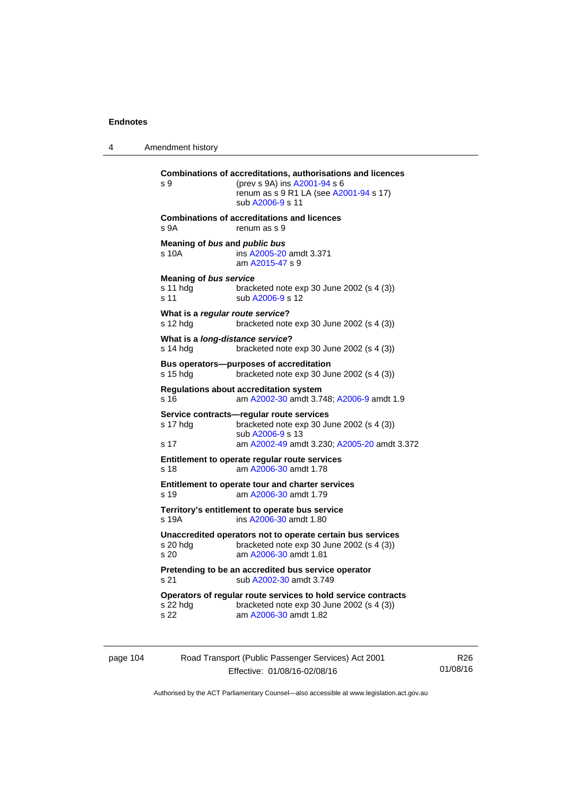4 Amendment history

```
Combinations of accreditations, authorisations and licences 
s 9 (prev s 9A) ins A2001-94 s 6 
                 renum as s 9 R1 LA (see A2001-94 s 17)
                  sub A2006-9 s 11 
Combinations of accreditations and licences 
s 9A renum as s 9
Meaning of bus and public bus
s 10A ins A2005-20 amdt 3.371 
                  am A2015-47 s 9 
Meaning of bus service
s 11 hdg bracketed note exp 30 June 2002 (s 4 (3))
A2006-9 s 12
What is a regular route service? 
s 12 hdg bracketed note exp 30 June 2002 (s 4 (3))
What is a long-distance service? 
s 14 hdg bracketed note exp 30 June 2002 (s 4 (3))
Bus operators—purposes of accreditation 
s 15 hdg bracketed note exp 30 June 2002 (s 4 (3)) 
Regulations about accreditation system 
s 16 am A2002-30 amdt 3.748; A2006-9 amdt 1.9
Service contracts—regular route services 
s 17 hdg bracketed note exp 30 June 2002 (s 4 (3)) 
                  sub A2006-9 s 13 
s 17 am A2002-49 amdt 3.230; A2005-20 amdt 3.372 
Entitlement to operate regular route services 
s 18 am A2006-30 amdt 1.78
Entitlement to operate tour and charter services 
s 19 am A2006-30 amdt 1.79
Territory's entitlement to operate bus service 
s 19A ins A2006-30 amdt 1.80 
Unaccredited operators not to operate certain bus services 
s 20 hdg bracketed note \exp 30 June 2002 (s 4 (3))<br>s 20 am \frac{\text{A2006-30}}{\text{A2006-30}} amdt 1.81
                  A2006-30 amdt 1.81
Pretending to be an accredited bus service operator 
A2002-30 amdt 3.749
Operators of regular route services to hold service contracts 
s 22 hdg bracketed note exp 30 June 2002 (s 4 (3))
s 22 am A2006-30 amdt 1.82
```
page 104 Road Transport (Public Passenger Services) Act 2001 Effective: 01/08/16-02/08/16

R26 01/08/16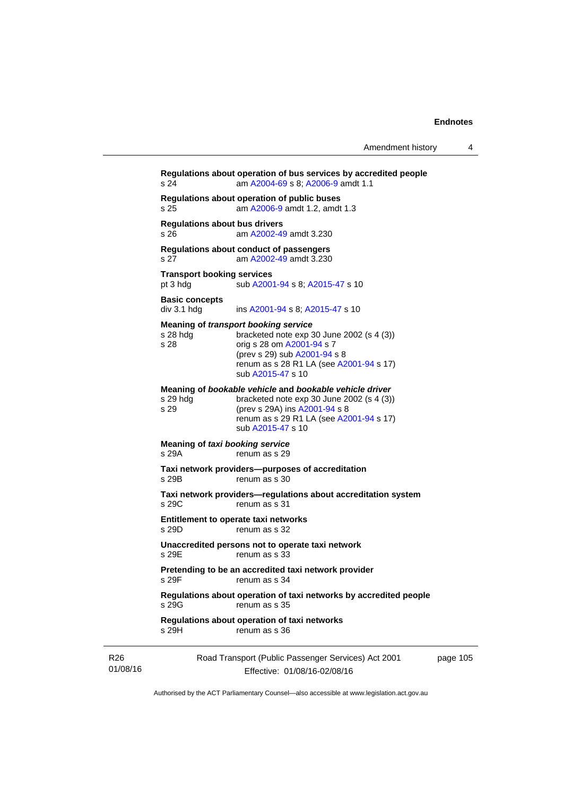|                             | s 24                                          | Regulations about operation of bus services by accredited people<br>am A2004-69 s 8; A2006-9 amdt 1.1                                                                                                            |          |
|-----------------------------|-----------------------------------------------|------------------------------------------------------------------------------------------------------------------------------------------------------------------------------------------------------------------|----------|
|                             | s 25                                          | Regulations about operation of public buses<br>am A2006-9 amdt 1.2, amdt 1.3                                                                                                                                     |          |
|                             | <b>Regulations about bus drivers</b><br>s 26  | am A2002-49 amdt 3.230                                                                                                                                                                                           |          |
|                             | s 27                                          | Regulations about conduct of passengers<br>am A2002-49 amdt 3.230                                                                                                                                                |          |
|                             | <b>Transport booking services</b><br>pt 3 hdg | sub A2001-94 s 8; A2015-47 s 10                                                                                                                                                                                  |          |
|                             | <b>Basic concepts</b><br>div 3.1 hdg          | ins A2001-94 s 8; A2015-47 s 10                                                                                                                                                                                  |          |
|                             | s 28 hdg<br>s 28                              | Meaning of transport booking service<br>bracketed note $exp 30$ June 2002 (s 4 (3))<br>orig s 28 om A2001-94 s 7<br>(prev s 29) sub A2001-94 s 8<br>renum as s 28 R1 LA (see A2001-94 s 17)<br>sub A2015-47 s 10 |          |
|                             | s 29 hda<br>s 29                              | Meaning of bookable vehicle and bookable vehicle driver<br>bracketed note $exp 30$ June 2002 (s 4 (3))<br>(prev s 29A) ins A2001-94 s 8<br>renum as s 29 R1 LA (see A2001-94 s 17)<br>sub A2015-47 s 10          |          |
|                             | Meaning of taxi booking service<br>s 29A      | renum as s 29                                                                                                                                                                                                    |          |
|                             | s 29B                                         | Taxi network providers--purposes of accreditation<br>renum as s 30                                                                                                                                               |          |
|                             | s 29C                                         | Taxi network providers-regulations about accreditation system<br>renum as s 31                                                                                                                                   |          |
|                             | s 29D                                         | Entitlement to operate taxi networks<br>renum as s 32                                                                                                                                                            |          |
|                             | s 29E                                         | Unaccredited persons not to operate taxi network<br>renum as s 33                                                                                                                                                |          |
|                             | s 29F                                         | Pretending to be an accredited taxi network provider<br>renum as s 34                                                                                                                                            |          |
|                             | s 29G                                         | Regulations about operation of taxi networks by accredited people<br>renum as s 35                                                                                                                               |          |
|                             | s 29H                                         | Regulations about operation of taxi networks<br>renum as s 36                                                                                                                                                    |          |
| R <sub>26</sub><br>01/08/16 |                                               | Road Transport (Public Passenger Services) Act 2001<br>Effective: 01/08/16-02/08/16                                                                                                                              | page 105 |

Authorised by the ACT Parliamentary Counsel—also accessible at www.legislation.act.gov.au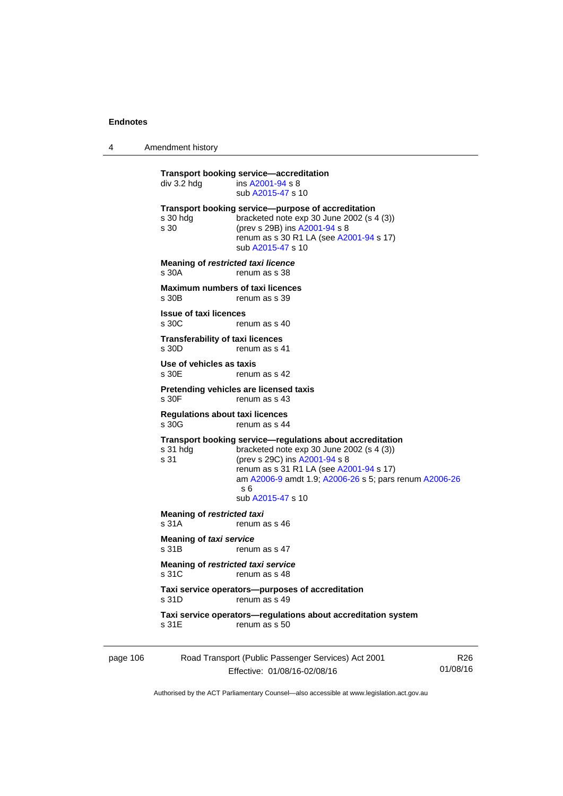4 Amendment history

|          | div 3.2 hdg                                       | Transport booking service—accreditation<br>ins A2001-94 s 8<br>sub A2015-47 s 10                                                                                                                                                                                           |                 |  |
|----------|---------------------------------------------------|----------------------------------------------------------------------------------------------------------------------------------------------------------------------------------------------------------------------------------------------------------------------------|-----------------|--|
|          | $s30$ hdg<br>s 30                                 | Transport booking service--purpose of accreditation<br>bracketed note exp 30 June 2002 (s 4 (3))<br>(prev s 29B) ins A2001-94 s 8<br>renum as s 30 R1 LA (see A2001-94 s 17)<br>sub A2015-47 s 10                                                                          |                 |  |
|          | Meaning of restricted taxi licence<br>s 30A       | renum as s 38                                                                                                                                                                                                                                                              |                 |  |
|          | <b>Maximum numbers of taxi licences</b><br>s 30B  | renum as s 39                                                                                                                                                                                                                                                              |                 |  |
|          | <b>Issue of taxi licences</b><br>s 30C            | renum as s 40                                                                                                                                                                                                                                                              |                 |  |
|          | <b>Transferability of taxi licences</b><br>s 30D  | renum as s 41                                                                                                                                                                                                                                                              |                 |  |
|          | Use of vehicles as taxis<br>s 30E                 | renum as s 42                                                                                                                                                                                                                                                              |                 |  |
|          | s 30F                                             | Pretending vehicles are licensed taxis<br>renum as s 43                                                                                                                                                                                                                    |                 |  |
|          | <b>Regulations about taxi licences</b><br>s 30G   | renum as s 44                                                                                                                                                                                                                                                              |                 |  |
|          | s 31 hdg<br>s 31                                  | Transport booking service-regulations about accreditation<br>bracketed note $exp 30$ June 2002 (s 4 (3))<br>(prev s 29C) ins A2001-94 s 8<br>renum as s 31 R1 LA (see A2001-94 s 17)<br>am A2006-9 amdt 1.9; A2006-26 s 5; pars renum A2006-26<br>s 6<br>sub A2015-47 s 10 |                 |  |
|          | Meaning of restricted taxi<br>s 31A               | renum as s 46                                                                                                                                                                                                                                                              |                 |  |
|          | Meaning of taxi service<br>s 31B<br>renum as s 47 |                                                                                                                                                                                                                                                                            |                 |  |
|          | Meaning of restricted taxi service<br>s 31C       | renum as s 48                                                                                                                                                                                                                                                              |                 |  |
|          | s 31D                                             | Taxi service operators--purposes of accreditation<br>renum as s 49                                                                                                                                                                                                         |                 |  |
|          | s 31E                                             | Taxi service operators-regulations about accreditation system<br>renum as s 50                                                                                                                                                                                             |                 |  |
| page 106 |                                                   | Road Transport (Public Passenger Services) Act 2001                                                                                                                                                                                                                        | R <sub>26</sub> |  |

Effective: 01/08/16-02/08/16

R26 01/08/16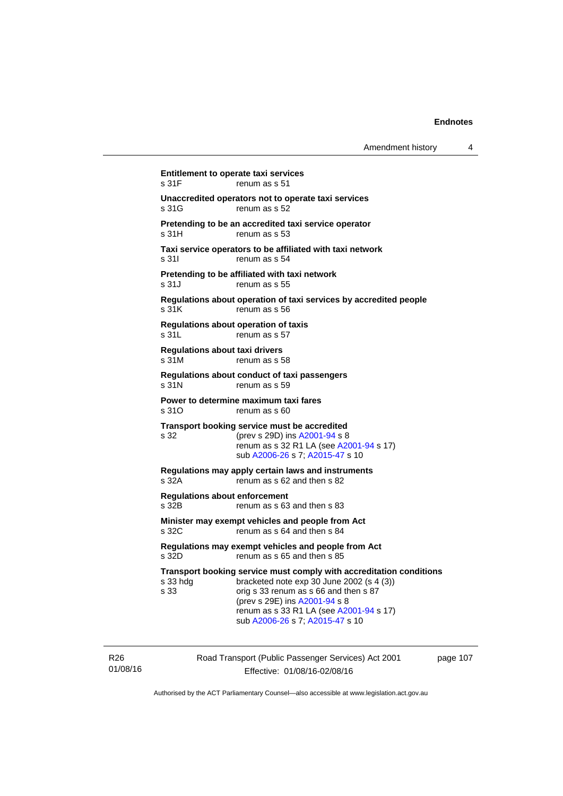| Amendment history |  |  |
|-------------------|--|--|
|-------------------|--|--|

**Entitlement to operate taxi services**  s 31F renum as s 51 **Unaccredited operators not to operate taxi services**  s 31G renum as s 52 **Pretending to be an accredited taxi service operator**  s 31H renum as s 53 **Taxi service operators to be affiliated with taxi network**  s 31I renum as s 54 **Pretending to be affiliated with taxi network**  s 31J renum as s 55 **Regulations about operation of taxi services by accredited people**  s 31K renum as s 56 **Regulations about operation of taxis**  s 31L renum as s 57 **Regulations about taxi drivers**  s 31M renum as s 58 **Regulations about conduct of taxi passengers**  s 31N renum as s 59 **Power to determine maximum taxi fares**  s 310 renum as s 60 **Transport booking service must be accredited**  s 32 (prev s 29D) ins [A2001-94](http://www.legislation.act.gov.au/a/2001-94) s 8 renum as s 32 R1 LA (see [A2001-94](http://www.legislation.act.gov.au/a/2001-94) s 17) sub [A2006-26](http://www.legislation.act.gov.au/a/2006-26) s 7; [A2015-47](http://www.legislation.act.gov.au/a/2015-47) s 10 **Regulations may apply certain laws and instruments**  s 32A renum as s 62 and then s 82 **Regulations about enforcement**  s 32B renum as s 63 and then s 83 **Minister may exempt vehicles and people from Act**  s 32C renum as s 64 and then s 84 **Regulations may exempt vehicles and people from Act**  s 32D renum as s 65 and then s 85 **Transport booking service must comply with accreditation conditions**  s 33 hdg bracketed note exp 30 June 2002 (s 4 (3)) s 33 orig s 33 renum as s 66 and then s 87 (prev s 29E) ins [A2001-94](http://www.legislation.act.gov.au/a/2001-94) s 8 renum as s 33 R1 LA (see [A2001-94](http://www.legislation.act.gov.au/a/2001-94) s 17) sub [A2006-26](http://www.legislation.act.gov.au/a/2006-26) s 7; [A2015-47](http://www.legislation.act.gov.au/a/2015-47) s 10

R26 01/08/16 Road Transport (Public Passenger Services) Act 2001 Effective: 01/08/16-02/08/16

page 107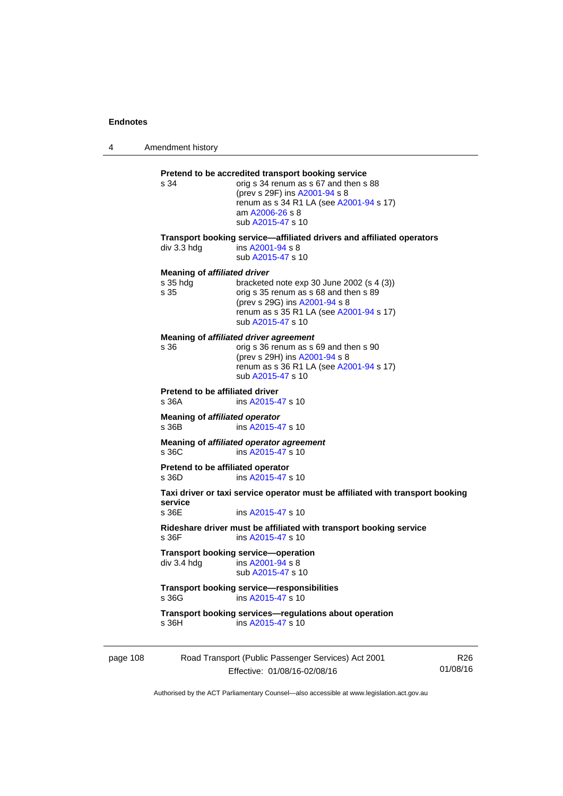4 Amendment history

|          | s 34                                                    | Pretend to be accredited transport booking service<br>orig s 34 renum as s 67 and then s 88<br>(prev s 29F) ins A2001-94 s 8<br>renum as s 34 R1 LA (see A2001-94 s 17)<br>am A2006-26 s 8<br>sub A2015-47 s 10 |                             |
|----------|---------------------------------------------------------|-----------------------------------------------------------------------------------------------------------------------------------------------------------------------------------------------------------------|-----------------------------|
|          | $div$ 3.3 hdg                                           | Transport booking service—affiliated drivers and affiliated operators<br>ins A2001-94 s 8<br>sub A2015-47 s 10                                                                                                  |                             |
|          | <b>Meaning of affiliated driver</b><br>s 35 hdg<br>s 35 | bracketed note $exp 30$ June 2002 (s 4 (3))<br>orig s 35 renum as s 68 and then s 89<br>(prev s 29G) ins A2001-94 s 8<br>renum as s 35 R1 LA (see A2001-94 s 17)<br>sub A2015-47 s 10                           |                             |
|          | s 36                                                    | Meaning of affiliated driver agreement<br>orig s 36 renum as s 69 and then s 90<br>(prev s 29H) ins A2001-94 s 8<br>renum as s 36 R1 LA (see A2001-94 s 17)<br>sub A2015-47 s 10                                |                             |
|          | Pretend to be affiliated driver<br>s 36A                | ins A2015-47 s 10                                                                                                                                                                                               |                             |
|          | Meaning of affiliated operator<br>s 36B                 | ins A2015-47 s 10                                                                                                                                                                                               |                             |
|          | s 36C                                                   | Meaning of affiliated operator agreement<br>ins A2015-47 s 10                                                                                                                                                   |                             |
|          | Pretend to be affiliated operator<br>s 36D              | ins A2015-47 s 10                                                                                                                                                                                               |                             |
|          | service<br>s 36E                                        | Taxi driver or taxi service operator must be affiliated with transport booking<br>ins A2015-47 s 10                                                                                                             |                             |
|          | s 36F                                                   | Rideshare driver must be affiliated with transport booking service<br>ins A2015-47 s 10                                                                                                                         |                             |
|          | div 3.4 hdg                                             | Transport booking service-operation<br>ins A2001-94 s 8<br>sub A2015-47 s 10                                                                                                                                    |                             |
|          | s 36G                                                   | <b>Transport booking service-responsibilities</b><br>ins A2015-47 s 10                                                                                                                                          |                             |
|          | s 36H                                                   | Transport booking services-regulations about operation<br>ins A2015-47 s 10                                                                                                                                     |                             |
| page 108 |                                                         | Road Transport (Public Passenger Services) Act 2001<br>Effective: 01/08/16-02/08/16                                                                                                                             | R <sub>26</sub><br>01/08/16 |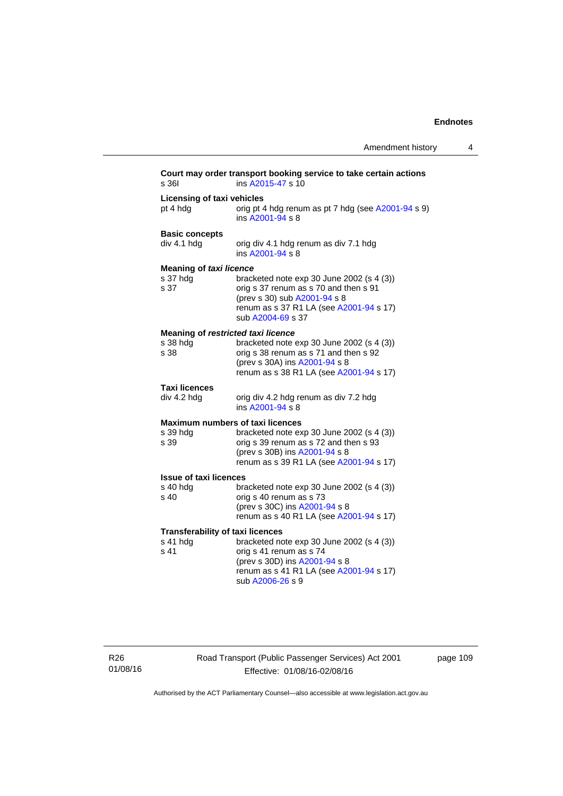| s 361                                                       | Court may order transport booking service to take certain actions<br>ins A2015-47 s 10                                                                                                                    |
|-------------------------------------------------------------|-----------------------------------------------------------------------------------------------------------------------------------------------------------------------------------------------------------|
| <b>Licensing of taxi vehicles</b><br>pt 4 hdg               | orig pt 4 hdg renum as pt 7 hdg (see A2001-94 s 9)<br>ins A2001-94 s 8                                                                                                                                    |
| <b>Basic concepts</b><br>div 4.1 hdg                        | orig div 4.1 hdg renum as div 7.1 hdg<br>ins A2001-94 s 8                                                                                                                                                 |
| <b>Meaning of taxi licence</b><br>s 37 hdg<br>s 37          | bracketed note exp 30 June 2002 (s 4 (3))<br>orig s 37 renum as s 70 and then s 91<br>(prev s 30) sub A2001-94 s 8<br>renum as s 37 R1 LA (see A2001-94 s 17)<br>sub A2004-69 s 37                        |
| Meaning of restricted taxi licence<br>s 38 hdg<br>s 38      | bracketed note exp 30 June 2002 (s 4 (3))<br>orig s 38 renum as s 71 and then s 92<br>(prev s 30A) ins A2001-94 s 8<br>renum as s 38 R1 LA (see A2001-94 s 17)                                            |
| <b>Taxi licences</b><br>div 4.2 hdg                         | orig div 4.2 hdg renum as div 7.2 hdg<br>ins $A2001 - 94$ s $8$                                                                                                                                           |
| s 39 hdg<br>s 39                                            | <b>Maximum numbers of taxi licences</b><br>bracketed note exp 30 June 2002 (s 4 (3))<br>orig s 39 renum as s 72 and then s 93<br>(prev s 30B) ins A2001-94 s 8<br>renum as s 39 R1 LA (see A2001-94 s 17) |
| <b>Issue of taxi licences</b><br>s 40 hdg<br>s 40           | bracketed note $exp 30$ June 2002 (s 4 (3))<br>orig s 40 renum as s 73<br>(prev s 30C) ins A2001-94 s 8<br>renum as s 40 R1 LA (see A2001-94 s 17)                                                        |
| <b>Transferability of taxi licences</b><br>s 41 hdg<br>s 41 | bracketed note exp 30 June 2002 (s 4 (3))<br>orig s 41 renum as s 74<br>(prev s 30D) ins A2001-94 s 8<br>renum as s 41 R1 LA (see A2001-94 s 17)<br>sub A2006-26 s 9                                      |

R26 01/08/16 Road Transport (Public Passenger Services) Act 2001 Effective: 01/08/16-02/08/16

page 109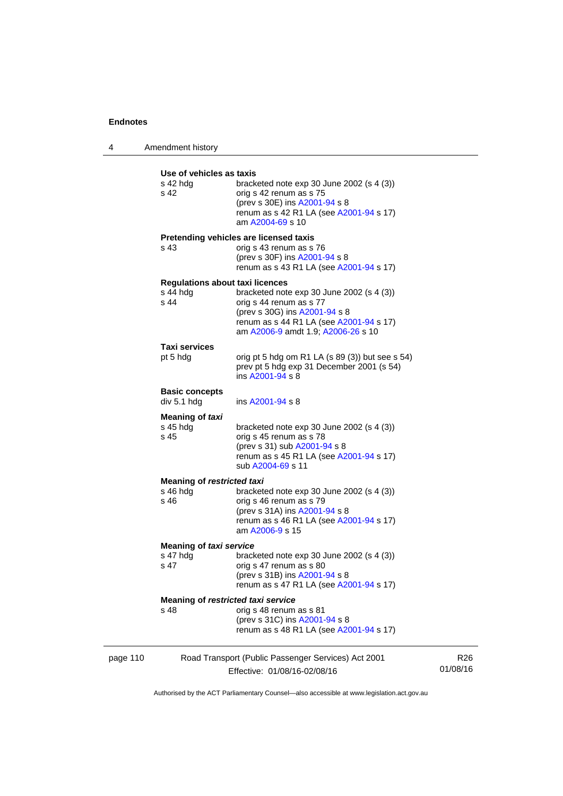4 Amendment history **Use of vehicles as taxis** 

|          | งจะ บฺ ง๛ฺแษ๛ง ๔๑ เ๔៱เจ<br>s 42 hdg<br>s 42                  | bracketed note $exp 30$ June 2002 (s 4 (3))<br>orig s 42 renum as s 75<br>(prev s 30E) ins A2001-94 s 8<br>renum as s 42 R1 LA (see A2001-94 s 17)<br>am A2004-69 s 10                   |                 |
|----------|--------------------------------------------------------------|------------------------------------------------------------------------------------------------------------------------------------------------------------------------------------------|-----------------|
|          | s 43                                                         | Pretending vehicles are licensed taxis<br>orig s 43 renum as s 76<br>(prev s 30F) ins A2001-94 s 8<br>renum as s 43 R1 LA (see A2001-94 s 17)                                            |                 |
|          | <b>Regulations about taxi licences</b><br>$s$ 44 hdg<br>s 44 | bracketed note $exp 30$ June 2002 (s 4 (3))<br>orig s 44 renum as s 77<br>(prev s 30G) ins A2001-94 s 8<br>renum as s 44 R1 LA (see A2001-94 s 17)<br>am A2006-9 amdt 1.9; A2006-26 s 10 |                 |
|          | <b>Taxi services</b><br>pt 5 hdg                             | orig pt 5 hdg om R1 LA $(s 89 (3))$ but see s 54)<br>prev pt 5 hdg exp 31 December 2001 (s 54)<br>ins A2001-94 s 8                                                                       |                 |
|          | <b>Basic concepts</b><br>div 5.1 hdg                         | ins A2001-94 s 8                                                                                                                                                                         |                 |
|          | <b>Meaning of taxi</b><br>s 45 hdg<br>s 45                   | bracketed note $exp 30$ June 2002 (s 4 (3))<br>orig s 45 renum as s 78<br>(prev s 31) sub A2001-94 s 8<br>renum as s 45 R1 LA (see A2001-94 s 17)<br>sub A2004-69 s 11                   |                 |
|          | <b>Meaning of restricted taxi</b><br>$s$ 46 hdg<br>s 46      | bracketed note $exp 30$ June 2002 (s 4 (3))<br>orig s 46 renum as s 79<br>(prev s 31A) ins A2001-94 s 8<br>renum as s 46 R1 LA (see A2001-94 s 17)<br>am A2006-9 s 15                    |                 |
|          | <b>Meaning of taxi service</b><br>s 47 hdg<br>s 47           | bracketed note exp 30 June 2002 (s 4 (3))<br>orig s 47 renum as s 80<br>(prev s 31B) ins A2001-94 s 8<br>renum as s 47 R1 LA (see A2001-94 s 17)                                         |                 |
|          | Meaning of restricted taxi service<br>s 48                   | orig s 48 renum as s 81<br>(prev s 31C) ins A2001-94 s 8<br>renum as s 48 R1 LA (see A2001-94 s 17)                                                                                      |                 |
| page 110 |                                                              | Road Transport (Public Passenger Services) Act 2001<br>Effective: 01/08/16-02/08/16                                                                                                      | R26<br>01/08/16 |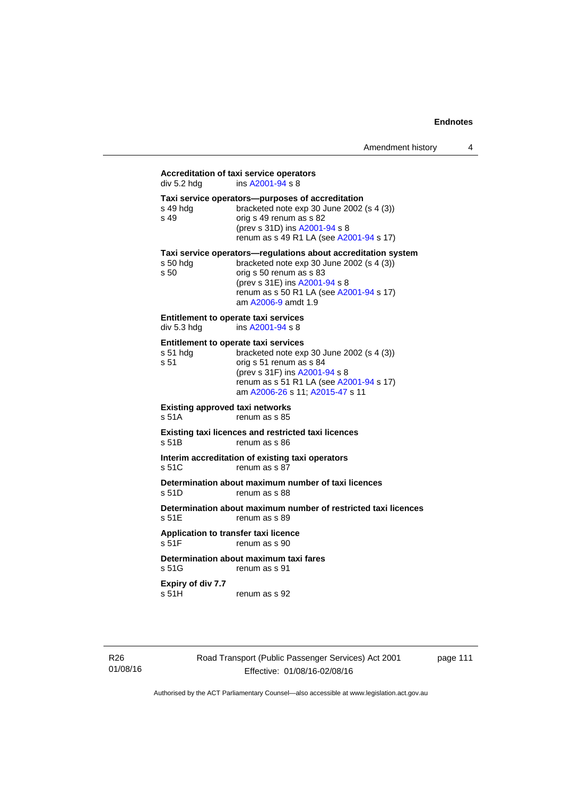# **Accreditation of taxi service operators**

| div 5.2 hdg                                                     | Accreditation of taxi service operators<br>ins A2001-94 s 8                                                                                                                                                                              |
|-----------------------------------------------------------------|------------------------------------------------------------------------------------------------------------------------------------------------------------------------------------------------------------------------------------------|
| s 49 hdg<br>$s$ 49                                              | Taxi service operators--purposes of accreditation<br>bracketed note exp 30 June 2002 (s 4 (3))<br>orig s 49 renum as s 82<br>(prev s 31D) ins A2001-94 s 8<br>renum as s 49 R1 LA (see A2001-94 s 17)                                    |
| s 50 hdg<br>s <sub>50</sub>                                     | Taxi service operators—regulations about accreditation system<br>bracketed note exp 30 June 2002 (s 4 (3))<br>orig s 50 renum as s 83<br>(prev s 31E) ins A2001-94 s 8<br>renum as s 50 R1 LA (see A2001-94 s 17)<br>am A2006-9 amdt 1.9 |
| Entitlement to operate taxi services<br>div 5.3 hdg             | ins A2001-94 s 8                                                                                                                                                                                                                         |
| <b>Entitlement to operate taxi services</b><br>s 51 hdg<br>s 51 | bracketed note exp 30 June 2002 (s 4 (3))<br>orig s 51 renum as s 84<br>(prev s 31F) ins A2001-94 s 8<br>renum as s 51 R1 LA (see A2001-94 s 17)<br>am A2006-26 s 11; A2015-47 s 11                                                      |
| <b>Existing approved taxi networks</b><br>s <sub>51A</sub>      | renum as s 85                                                                                                                                                                                                                            |
| s 51B                                                           | <b>Existing taxi licences and restricted taxi licences</b><br>renum as s 86                                                                                                                                                              |
| s 51C                                                           | Interim accreditation of existing taxi operators<br>renum as s 87                                                                                                                                                                        |
| s 51D                                                           | Determination about maximum number of taxi licences<br>renum as s 88                                                                                                                                                                     |
| s 51E                                                           | Determination about maximum number of restricted taxi licences<br>renum as s 89                                                                                                                                                          |
| Application to transfer taxi licence<br>s <sub>51F</sub>        | renum as s 90                                                                                                                                                                                                                            |
| s 51G                                                           | Determination about maximum taxi fares<br>renum as s 91                                                                                                                                                                                  |
|                                                                 |                                                                                                                                                                                                                                          |

**Expiry of div 7.7**  s 51H renum as s 92

R26 01/08/16 Road Transport (Public Passenger Services) Act 2001 Effective: 01/08/16-02/08/16

page 111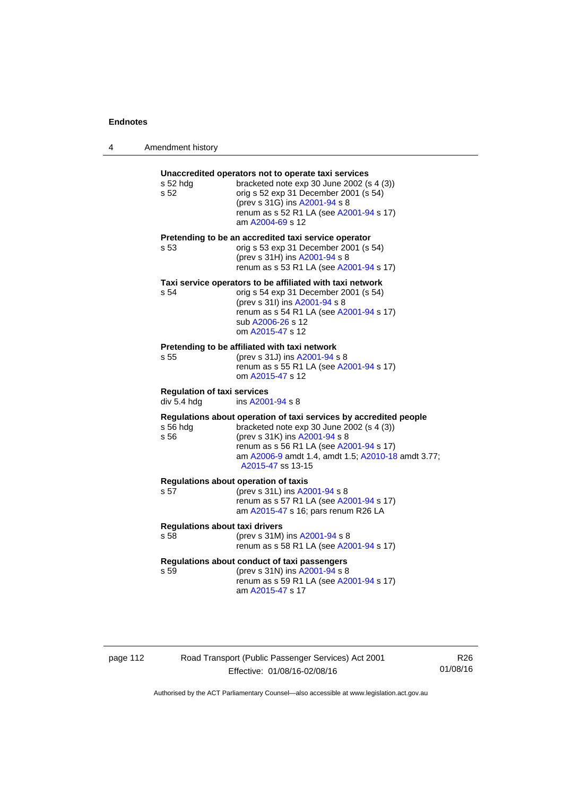$\overline{\phantom{0}}$ 

| 4 | Amendment history |  |
|---|-------------------|--|
|---|-------------------|--|

| s 52 hdg<br>s 52                                  | Unaccredited operators not to operate taxi services<br>bracketed note exp 30 June 2002 (s 4 (3))<br>orig s 52 exp 31 December 2001 (s 54)<br>(prev s 31G) ins A2001-94 s 8<br>renum as s 52 R1 LA (see A2001-94 s 17)<br>am A2004-69 s 12                             |
|---------------------------------------------------|-----------------------------------------------------------------------------------------------------------------------------------------------------------------------------------------------------------------------------------------------------------------------|
| s 53                                              | Pretending to be an accredited taxi service operator<br>orig s 53 exp 31 December 2001 (s 54)<br>(prev s 31H) ins A2001-94 s 8<br>renum as s 53 R1 LA (see A2001-94 s 17)                                                                                             |
| s 54                                              | Taxi service operators to be affiliated with taxi network<br>orig s 54 exp 31 December 2001 (s 54)<br>(prev s 31l) ins A2001-94 s 8<br>renum as s 54 R1 LA (see A2001-94 s 17)<br>sub A2006-26 s 12<br>om A2015-47 s 12                                               |
| s 55                                              | Pretending to be affiliated with taxi network<br>(prev s 31J) ins A2001-94 s 8<br>renum as s 55 R1 LA (see A2001-94 s 17)<br>om A2015-47 s 12                                                                                                                         |
| <b>Regulation of taxi services</b><br>div 5.4 hdg | ins A2001-94 s 8                                                                                                                                                                                                                                                      |
| s 56 hdg<br>s 56                                  | Regulations about operation of taxi services by accredited people<br>bracketed note exp 30 June 2002 (s 4 (3))<br>(prev s 31K) ins A2001-94 s 8<br>renum as s 56 R1 LA (see A2001-94 s 17)<br>am A2006-9 amdt 1.4, amdt 1.5; A2010-18 amdt 3.77;<br>A2015-47 ss 13-15 |
| s 57                                              | Regulations about operation of taxis<br>(prev s 31L) ins A2001-94 s 8<br>renum as s 57 R1 LA (see A2001-94 s 17)<br>am A2015-47 s 16; pars renum R26 LA                                                                                                               |
| <b>Regulations about taxi drivers</b><br>s 58     | (prev s 31M) ins A2001-94 s 8<br>renum as s 58 R1 LA (see A2001-94 s 17)                                                                                                                                                                                              |
| s 59                                              | Regulations about conduct of taxi passengers<br>(prev s 31N) ins A2001-94 s 8<br>renum as s 59 R1 LA (see A2001-94 s 17)<br>am A2015-47 s 17                                                                                                                          |

page 112 Road Transport (Public Passenger Services) Act 2001 Effective: 01/08/16-02/08/16

R26 01/08/16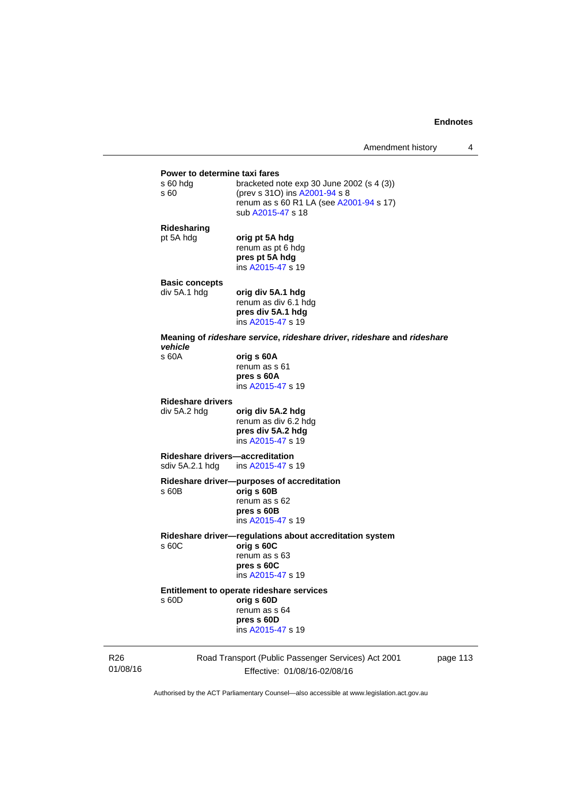## **Power to determine taxi fares**<br>s 60 hdg bracketed n bracketed note exp 30 June 2002 (s  $4$  (3)) s 60 (prev s 31O) ins [A2001-94](http://www.legislation.act.gov.au/a/2001-94) s 8 renum as s 60 R1 LA (see [A2001-94](http://www.legislation.act.gov.au/a/2001-94) s 17) sub [A2015-47](http://www.legislation.act.gov.au/a/2015-47) s 18 **Ridesharing**  pt 5A hdg **orig pt 5A hdg** renum as pt 6 hdg **pres pt 5A hdg**  ins [A2015-47](http://www.legislation.act.gov.au/a/2015-47) s 19 **Basic concepts**  div 5A.1 hdg **orig div 5A.1 hdg**  renum as div 6.1 hdg **pres div 5A.1 hdg**  ins [A2015-47](http://www.legislation.act.gov.au/a/2015-47) s 19 **Meaning of** *rideshare service***,** *rideshare driver***,** *rideshare* **and** *rideshare vehicle*  s 60A **orig s 60A**  renum as s 61 **pres s 60A**  ins [A2015-47](http://www.legislation.act.gov.au/a/2015-47) s 19 **Rideshare drivers**  div 5A.2 hdg **orig div 5A.2 hdg**  renum as div 6.2 hdg **pres div 5A.2 hdg**  ins [A2015-47](http://www.legislation.act.gov.au/a/2015-47) s 19 **Rideshare drivers—accreditation**  sdiv 5A.2.1 hdg ins [A2015-47](http://www.legislation.act.gov.au/a/2015-47) s 19 **Rideshare driver—purposes of accreditation** s 60B **orig s 60B**  renum as s 62 **pres s 60B**  ins [A2015-47](http://www.legislation.act.gov.au/a/2015-47) s 19 **Rideshare driver—regulations about accreditation system**  s 60C **orig s 60C**  renum as s 63 **pres s 60C**  ins [A2015-47](http://www.legislation.act.gov.au/a/2015-47) s 19 **Entitlement to operate rideshare services**  s 60D **orig s 60D**  renum as s 64 **pres s 60D**  ins [A2015-47](http://www.legislation.act.gov.au/a/2015-47) s 19

R26 01/08/16 Road Transport (Public Passenger Services) Act 2001 Effective: 01/08/16-02/08/16

page 113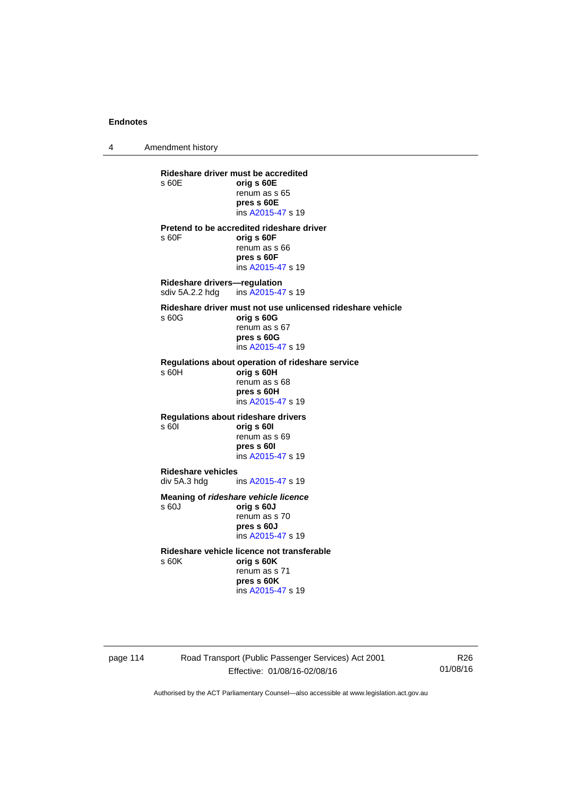4 Amendment history

**Rideshare driver must be accredited**  s 60E **orig s 60E**  renum as s 65 **pres s 60E**  ins [A2015-47](http://www.legislation.act.gov.au/a/2015-47) s 19 **Pretend to be accredited rideshare driver**  s 60F **orig s 60F**  renum as s 66 **pres s 60F**  ins [A2015-47](http://www.legislation.act.gov.au/a/2015-47) s 19 **Rideshare drivers—regulation**  sdiv 5A.2.2 hdg ins [A2015-47](http://www.legislation.act.gov.au/a/2015-47) s 19 **Rideshare driver must not use unlicensed rideshare vehicle** s 60G **orig s 60G**  renum as s 67 **pres s 60G**  ins [A2015-47](http://www.legislation.act.gov.au/a/2015-47) s 19 **Regulations about operation of rideshare service** s 60H **orig s 60H**  renum as s 68 **pres s 60H**  ins [A2015-47](http://www.legislation.act.gov.au/a/2015-47) s 19 **Regulations about rideshare drivers** s 60I **orig s 60I**  renum as s 69 **pres s 60I**  ins [A2015-47](http://www.legislation.act.gov.au/a/2015-47) s 19 **Rideshare vehicles**  ins [A2015-47](http://www.legislation.act.gov.au/a/2015-47) s 19 **Meaning of** *rideshare vehicle licence*  s 60J **orig s 60J**  renum as s 70 **pres s 60J**  ins [A2015-47](http://www.legislation.act.gov.au/a/2015-47) s 19 **Rideshare vehicle licence not transferable**  s 60K **orig s 60K**  renum as s 71 **pres s 60K**  ins [A2015-47](http://www.legislation.act.gov.au/a/2015-47) s 19

page 114 Road Transport (Public Passenger Services) Act 2001 Effective: 01/08/16-02/08/16

R26 01/08/16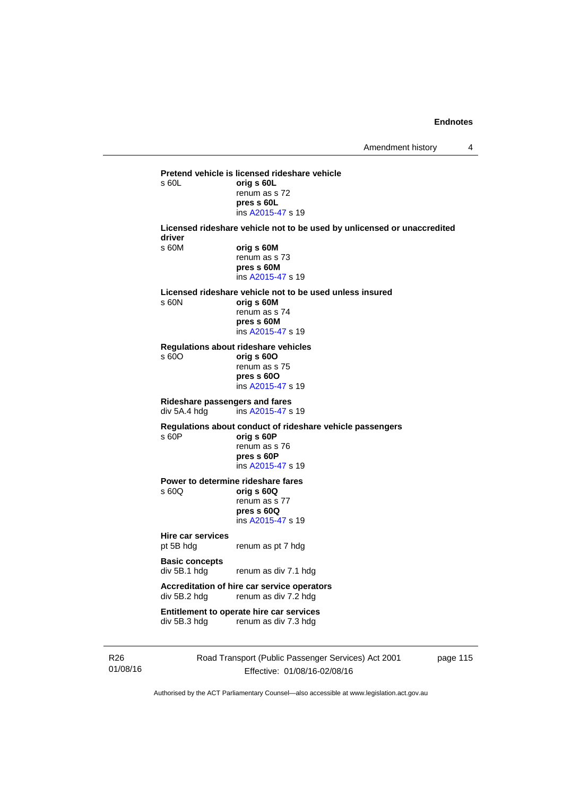**Pretend vehicle is licensed rideshare vehicle**  s 60L **orig s 60L**  renum as s 72 **pres s 60L**  ins [A2015-47](http://www.legislation.act.gov.au/a/2015-47) s 19 **Licensed rideshare vehicle not to be used by unlicensed or unaccredited driver**  s 60M **orig s 60M**  renum as s 73 **pres s 60M**  ins [A2015-47](http://www.legislation.act.gov.au/a/2015-47) s 19 **Licensed rideshare vehicle not to be used unless insured**  s 60N **orig s 60M**  renum as s 74 **pres s 60M**  ins [A2015-47](http://www.legislation.act.gov.au/a/2015-47) s 19 **Regulations about rideshare vehicles**  s 60O **orig s 60O**  renum as s 75 **pres s 60O**  ins [A2015-47](http://www.legislation.act.gov.au/a/2015-47) s 19 **Rideshare passengers and fares**   $ins A2015-47 s 19$  $ins A2015-47 s 19$  $ins A2015-47 s 19$ **Regulations about conduct of rideshare vehicle passengers**  s 60P **orig s 60P**  renum as s 76 **pres s 60P**  ins [A2015-47](http://www.legislation.act.gov.au/a/2015-47) s 19 **Power to determine rideshare fares**<br>  $\frac{60Q}{q}$  orig **s** 60Q s 60Q **orig s 60Q**  renum as s 77 **pres s 60Q**  ins [A2015-47](http://www.legislation.act.gov.au/a/2015-47) s 19 **Hire car services**  pt 5B hdg renum as pt 7 hdg **Basic concepts**  div 5B.1 hdg renum as div 7.1 hdg **Accreditation of hire car service operators**  div 5B.2 hdg renum as div 7.2 hdg **Entitlement to operate hire car services**  div 5B.3 hdg renum as div 7.3 hdg

R26 01/08/16 Road Transport (Public Passenger Services) Act 2001 Effective: 01/08/16-02/08/16

page 115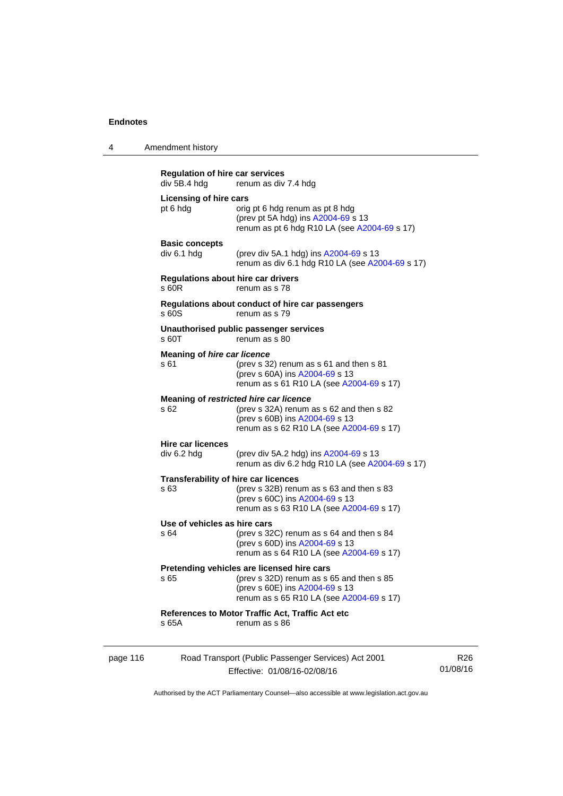| 4 | Amendment history |  |
|---|-------------------|--|
|   |                   |  |

| <b>Regulation of hire car services</b><br>div 5B.4 hdg | renum as div 7.4 hdg                                                                                                                                                  |
|--------------------------------------------------------|-----------------------------------------------------------------------------------------------------------------------------------------------------------------------|
| <b>Licensing of hire cars</b><br>pt 6 hdg              | orig pt 6 hdg renum as pt 8 hdg<br>(prev pt 5A hdg) ins A2004-69 s 13<br>renum as pt 6 hdg R10 LA (see A2004-69 s 17)                                                 |
| <b>Basic concepts</b><br>div 6.1 hdg                   | (prev div 5A.1 hdg) ins A2004-69 s 13<br>renum as div 6.1 hdg R10 LA (see A2004-69 s 17)                                                                              |
| s 60R                                                  | <b>Regulations about hire car drivers</b><br>renum as s 78                                                                                                            |
| s 60S                                                  | Regulations about conduct of hire car passengers<br>renum as s 79                                                                                                     |
| s60T                                                   | Unauthorised public passenger services<br>renum as s 80                                                                                                               |
| <b>Meaning of hire car licence</b><br>s 61             | (prev s 32) renum as s 61 and then s 81<br>(prev s 60A) ins A2004-69 s 13<br>renum as s 61 R10 LA (see A2004-69 s 17)                                                 |
| s 62                                                   | Meaning of restricted hire car licence<br>(prev s 32A) renum as s 62 and then s 82<br>(prev s 60B) ins A2004-69 s 13<br>renum as s 62 R10 LA (see A2004-69 s 17)      |
| <b>Hire car licences</b><br>div 6.2 hdg                | (prev div 5A.2 hdg) ins A2004-69 s 13<br>renum as div 6.2 hdg R10 LA (see A2004-69 s 17)                                                                              |
| s 63                                                   | <b>Transferability of hire car licences</b><br>(prev s 32B) renum as s 63 and then s 83<br>(prev s 60C) ins A2004-69 s 13<br>renum as s 63 R10 LA (see A2004-69 s 17) |
| Use of vehicles as hire cars<br>s 64                   | (prev s 32C) renum as s 64 and then s 84<br>(prev s 60D) ins A2004-69 s 13<br>renum as s 64 R10 LA (see A2004-69 s 17)                                                |
| s 65                                                   | Pretending vehicles are licensed hire cars<br>(prev s 32D) renum as s 65 and then s 85<br>(prev s 60E) ins A2004-69 s 13<br>renum as s 65 R10 LA (see A2004-69 s 17)  |
|                                                        | References to Motor Traffic Act, Traffic Act etc                                                                                                                      |

page 116 Road Transport (Public Passenger Services) Act 2001 Effective: 01/08/16-02/08/16 R26 01/08/16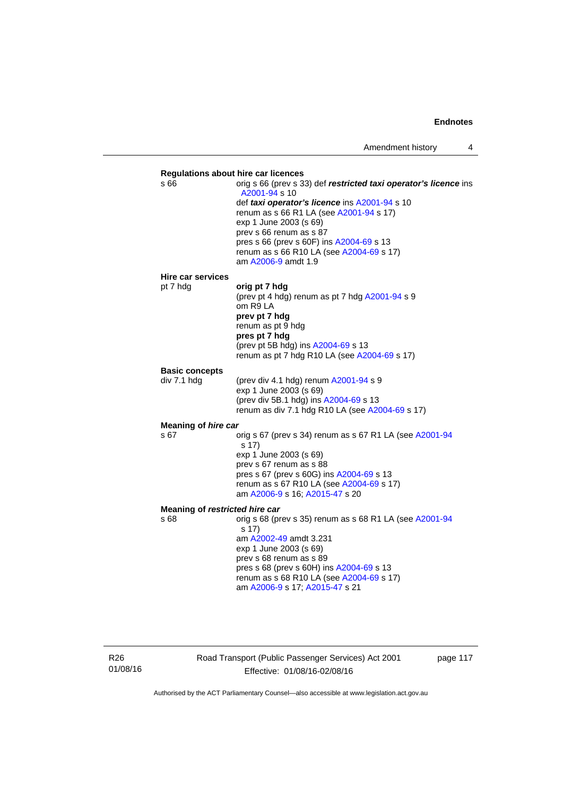

R26 01/08/16 Road Transport (Public Passenger Services) Act 2001 Effective: 01/08/16-02/08/16

page 117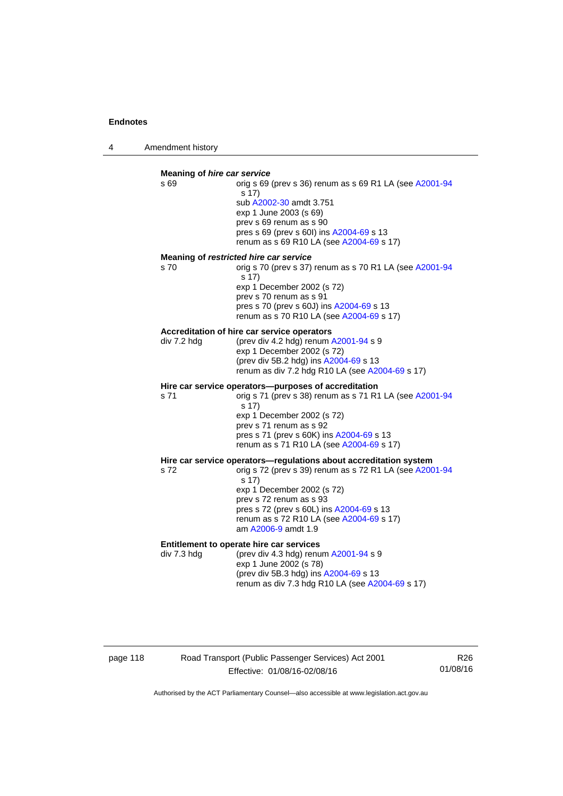4 Amendment history

#### **Meaning of** *hire car service*  s 69 orig s 69 (prev s 36) renum as s 69 R1 LA (see [A2001-94](http://www.legislation.act.gov.au/a/2001-94) s 17) sub [A2002-30](http://www.legislation.act.gov.au/a/2002-30) amdt 3.751 exp 1 June 2003 (s 69) prev s 69 renum as s 90 pres s 69 (prev s 60I) ins [A2004-69](http://www.legislation.act.gov.au/a/2004-69) s 13 renum as s 69 R10 LA (see [A2004-69](http://www.legislation.act.gov.au/a/2004-69) s 17) **Meaning of** *restricted hire car service*  s 70 orig s 70 (prev s 37) renum as s 70 R1 LA (see [A2001-94](http://www.legislation.act.gov.au/a/2001-94) s 17) exp 1 December 2002 (s 72) prev s 70 renum as s 91 pres s 70 (prev s 60J) ins [A2004-69](http://www.legislation.act.gov.au/a/2004-69) s 13 renum as s 70 R10 LA (see [A2004-69](http://www.legislation.act.gov.au/a/2004-69) s 17) **Accreditation of hire car service operators**  div 7.2 hdg (prev div 4.2 hdg) renum [A2001-94](http://www.legislation.act.gov.au/a/2001-94) s 9 exp 1 December 2002 (s 72) (prev div 5B.2 hdg) ins [A2004-69](http://www.legislation.act.gov.au/a/2004-69) s 13 renum as div 7.2 hdg R10 LA (see [A2004-69](http://www.legislation.act.gov.au/a/2004-69) s 17) **Hire car service operators—purposes of accreditation**  s 71 orig s 71 (prev s 38) renum as s 71 R1 LA (see [A2001-94](http://www.legislation.act.gov.au/a/2001-94) s 17) exp 1 December 2002 (s 72) prev s 71 renum as s 92 pres s 71 (prev s 60K) ins [A2004-69](http://www.legislation.act.gov.au/a/2004-69) s 13 renum as s 71 R10 LA (see [A2004-69](http://www.legislation.act.gov.au/a/2004-69) s 17) **Hire car service operators—regulations about accreditation system s 72**<br>s 72<br>**compared 39** renum as s 72 R1 LA (see A200 orig s 72 (prev s 39) renum as s 72 R1 LA (see [A2001-94](http://www.legislation.act.gov.au/a/2001-94) s 17) exp 1 December 2002 (s 72) prev s 72 renum as s 93 pres s 72 (prev s 60L) ins [A2004-69](http://www.legislation.act.gov.au/a/2004-69) s 13 renum as s 72 R10 LA (see [A2004-69](http://www.legislation.act.gov.au/a/2004-69) s 17) am [A2006-9](http://www.legislation.act.gov.au/a/2006-9) amdt 1.9 **Entitlement to operate hire car services**  div 7.3 hdg (prev div 4.3 hdg) renum [A2001-94](http://www.legislation.act.gov.au/a/2001-94) s 9 exp 1 June 2002 (s 78) (prev div 5B.3 hdg) ins [A2004-69](http://www.legislation.act.gov.au/a/2004-69) s 13 renum as div 7.3 hdg R10 LA (see [A2004-69](http://www.legislation.act.gov.au/a/2004-69) s 17)

# page 118 Road Transport (Public Passenger Services) Act 2001 Effective: 01/08/16-02/08/16

R26 01/08/16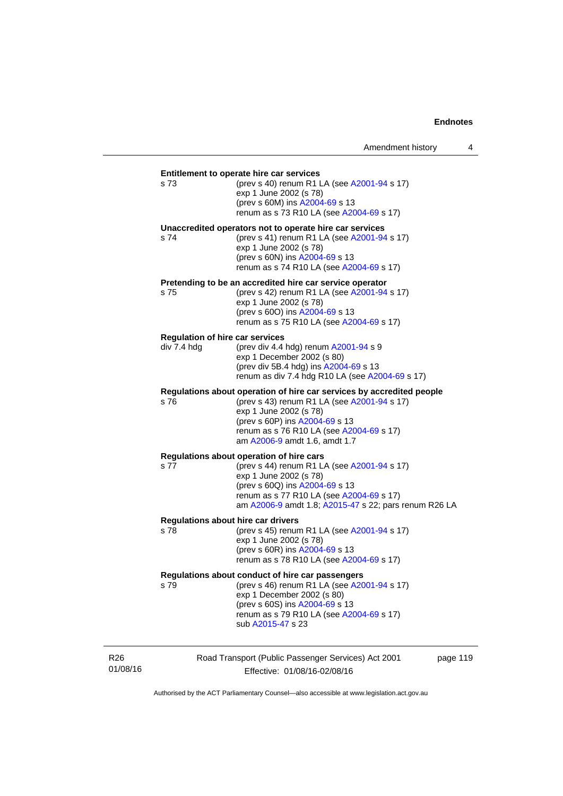| s 73        | (prev s 40) renum R1 LA (see A2001-94 s 17)<br>exp 1 June 2002 (s 78)<br>(prev s 60M) ins A2004-69 s 13<br>renum as s 73 R10 LA (see A2004-69 s 17)                                                                                                           |
|-------------|---------------------------------------------------------------------------------------------------------------------------------------------------------------------------------------------------------------------------------------------------------------|
| s 74        | Unaccredited operators not to operate hire car services<br>(prev s 41) renum R1 LA (see A2001-94 s 17)<br>exp 1 June 2002 (s 78)<br>(prev s 60N) ins A2004-69 s 13<br>renum as s 74 R10 LA (see A2004-69 s 17)                                                |
| s 75        | Pretending to be an accredited hire car service operator<br>(prev s 42) renum R1 LA (see A2001-94 s 17)<br>exp 1 June 2002 (s 78)<br>(prev s 60O) ins A2004-69 s 13<br>renum as s 75 R10 LA (see A2004-69 s 17)                                               |
| div 7.4 hdg | <b>Regulation of hire car services</b><br>(prev div 4.4 hdg) renum A2001-94 s 9<br>exp 1 December 2002 (s 80)<br>(prev div 5B.4 hdg) ins A2004-69 s 13<br>renum as div 7.4 hdg R10 LA (see A2004-69 s 17)                                                     |
| s 76        | Regulations about operation of hire car services by accredited people<br>(prev s 43) renum R1 LA (see A2001-94 s 17)<br>exp 1 June 2002 (s 78)<br>(prev s 60P) ins A2004-69 s 13<br>renum as s 76 R10 LA (see A2004-69 s 17)<br>am A2006-9 amdt 1.6, amdt 1.7 |
| s 77        | Regulations about operation of hire cars<br>(prev s 44) renum R1 LA (see A2001-94 s 17)<br>exp 1 June 2002 (s 78)<br>(prev s 60Q) ins A2004-69 s 13<br>renum as s 77 R10 LA (see A2004-69 s 17)<br>am A2006-9 amdt 1.8; A2015-47 s 22; pars renum R26 LA      |
| s 78        | <b>Regulations about hire car drivers</b><br>(prev s 45) renum R1 LA (see A2001-94 s 17)<br>exp 1 June 2002 (s 78)<br>(prev s 60R) ins A2004-69 s 13<br>renum as s 78 R10 LA (see A2004-69 s 17)                                                              |
| s 79        | Regulations about conduct of hire car passengers<br>(prev s 46) renum R1 LA (see A2001-94 s 17)<br>exp 1 December 2002 (s 80)<br>(prev s 60S) ins A2004-69 s 13<br>renum as s 79 R10 LA (see A2004-69 s 17)<br>sub A2015-47 s 23                              |

R26 01/08/16 Road Transport (Public Passenger Services) Act 2001 Effective: 01/08/16-02/08/16

page 119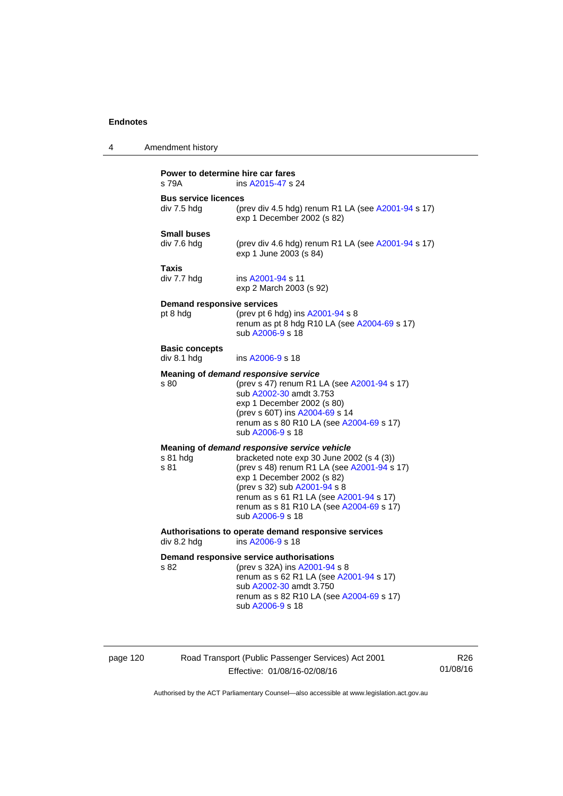| 4 | Amendment history                             |                                                                                                                                                                                                                                                                                                                   |  |  |  |  |
|---|-----------------------------------------------|-------------------------------------------------------------------------------------------------------------------------------------------------------------------------------------------------------------------------------------------------------------------------------------------------------------------|--|--|--|--|
|   | s 79A                                         | Power to determine hire car fares<br>ins A2015-47 s 24                                                                                                                                                                                                                                                            |  |  |  |  |
|   | <b>Bus service licences</b><br>div 7.5 hdg    | (prev div 4.5 hdg) renum R1 LA (see A2001-94 s 17)<br>exp 1 December 2002 (s 82)                                                                                                                                                                                                                                  |  |  |  |  |
|   | <b>Small buses</b><br>div 7.6 hdg             | (prev div 4.6 hdg) renum R1 LA (see A2001-94 s 17)<br>exp 1 June 2003 (s 84)                                                                                                                                                                                                                                      |  |  |  |  |
|   | Taxis<br>div 7.7 hdg                          | ins A2001-94 s 11<br>exp 2 March 2003 (s 92)                                                                                                                                                                                                                                                                      |  |  |  |  |
|   | <b>Demand responsive services</b><br>pt 8 hdg | (prev pt 6 hdg) ins A2001-94 s 8<br>renum as pt 8 hdg R10 LA (see A2004-69 s 17)<br>sub A2006-9 s 18                                                                                                                                                                                                              |  |  |  |  |
|   | <b>Basic concepts</b><br>div 8.1 hdg          | ins A2006-9 s 18                                                                                                                                                                                                                                                                                                  |  |  |  |  |
|   | s 80                                          | Meaning of demand responsive service<br>(prev s 47) renum R1 LA (see A2001-94 s 17)<br>sub A2002-30 amdt 3.753<br>exp 1 December 2002 (s 80)<br>(prev s 60T) ins A2004-69 s 14<br>renum as s 80 R10 LA (see A2004-69 s 17)<br>sub A2006-9 s 18                                                                    |  |  |  |  |
|   | s 81 hdg<br>s 81                              | Meaning of demand responsive service vehicle<br>bracketed note exp 30 June 2002 (s 4 (3))<br>(prev s 48) renum R1 LA (see A2001-94 s 17)<br>exp 1 December 2002 (s 82)<br>(prev s 32) sub A2001-94 s 8<br>renum as s 61 R1 LA (see A2001-94 s 17)<br>renum as s 81 R10 LA (see A2004-69 s 17)<br>sub A2006-9 s 18 |  |  |  |  |
|   | div 8.2 hdg                                   | Authorisations to operate demand responsive services<br>ins A2006-9 s 18                                                                                                                                                                                                                                          |  |  |  |  |
|   | s 82                                          | Demand responsive service authorisations<br>(prev s 32A) ins A2001-94 s 8<br>renum as s 62 R1 LA (see A2001-94 s 17)<br>sub A2002-30 amdt 3.750<br>renum as s 82 R10 LA (see A2004-69 s 17)<br>sub A2006-9 s 18                                                                                                   |  |  |  |  |

page 120 Road Transport (Public Passenger Services) Act 2001 Effective: 01/08/16-02/08/16

R26 01/08/16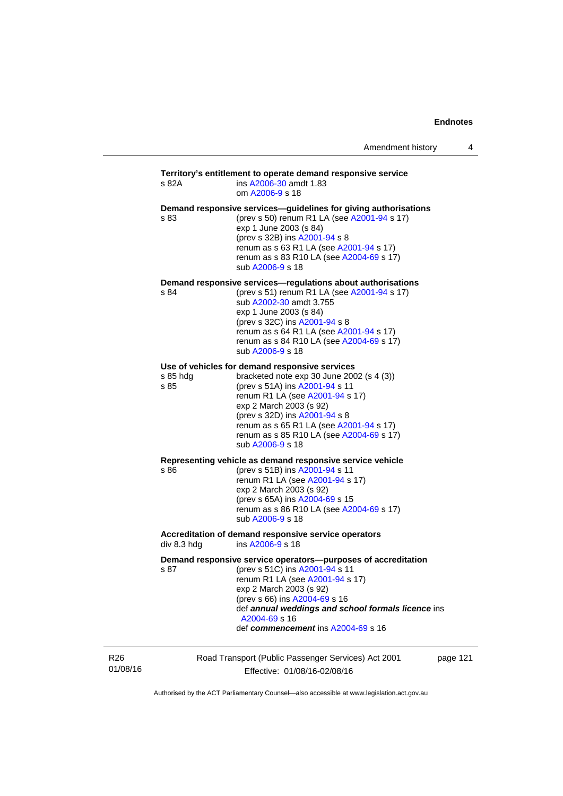### Road Transport (Public Passenger Services) Act 2001 page 121 **Territory's entitlement to operate demand responsive service**  s 82A ins [A2006-30](http://www.legislation.act.gov.au/a/2006-30) amdt 1.83 om [A2006-9](http://www.legislation.act.gov.au/a/2006-9) s 18 **Demand responsive services—guidelines for giving authorisations**  s 83 (prev s 50) renum R1 LA (see [A2001-94](http://www.legislation.act.gov.au/a/2001-94) s 17) exp 1 June 2003 (s 84) (prev s 32B) ins [A2001-94](http://www.legislation.act.gov.au/a/2001-94) s 8 renum as s 63 R1 LA (see [A2001-94](http://www.legislation.act.gov.au/a/2001-94) s 17) renum as s 83 R10 LA (see [A2004-69](http://www.legislation.act.gov.au/a/2004-69) s 17) sub [A2006-9](http://www.legislation.act.gov.au/a/2006-9) s 18 **Demand responsive services—regulations about authorisations**  s 84 (prev s 51) renum R1 LA (see [A2001-94](http://www.legislation.act.gov.au/a/2001-94) s 17) sub [A2002-30](http://www.legislation.act.gov.au/a/2002-30) amdt 3.755 exp 1 June 2003 (s 84) (prev s 32C) ins [A2001-94](http://www.legislation.act.gov.au/a/2001-94) s 8 renum as s 64 R1 LA (see [A2001-94](http://www.legislation.act.gov.au/a/2001-94) s 17) renum as s 84 R10 LA (see [A2004-69](http://www.legislation.act.gov.au/a/2004-69) s 17) sub [A2006-9](http://www.legislation.act.gov.au/a/2006-9) s 18 **Use of vehicles for demand responsive services**  s 85 hdg bracketed note exp 30 June 2002 (s 4 (3)) s 85 (prev s 51A) ins [A2001-94](http://www.legislation.act.gov.au/a/2001-94) s 11 renum R1 LA (see [A2001-94](http://www.legislation.act.gov.au/a/2001-94) s 17) exp 2 March 2003 (s 92) (prev s 32D) ins [A2001-94](http://www.legislation.act.gov.au/a/2001-94) s 8 renum as s 65 R1 LA (see [A2001-94](http://www.legislation.act.gov.au/a/2001-94) s 17) renum as s 85 R10 LA (see [A2004-69](http://www.legislation.act.gov.au/a/2004-69) s 17) sub [A2006-9](http://www.legislation.act.gov.au/a/2006-9) s 18 **Representing vehicle as demand responsive service vehicle**  (prev s 51B) ins [A2001-94](http://www.legislation.act.gov.au/a/2001-94) s 11 renum R1 LA (see [A2001-94](http://www.legislation.act.gov.au/a/2001-94) s 17) exp 2 March 2003 (s 92) (prev s 65A) ins [A2004-69](http://www.legislation.act.gov.au/a/2004-69) s 15 renum as s 86 R10 LA (see [A2004-69](http://www.legislation.act.gov.au/a/2004-69) s 17) sub [A2006-9](http://www.legislation.act.gov.au/a/2006-9) s 18 Accreditation of demand responsive service operators<br>div 8.3 hdg ins A2006-9 s 18 ins [A2006-9](http://www.legislation.act.gov.au/a/2006-9) s 18 **Demand responsive service operators—purposes of accreditation**  s 87 (prev s 51C) ins [A2001-94](http://www.legislation.act.gov.au/a/2001-94) s 11 renum R1 LA (see [A2001-94](http://www.legislation.act.gov.au/a/2001-94) s 17) exp 2 March 2003 (s 92) (prev s 66) ins [A2004-69](http://www.legislation.act.gov.au/a/2004-69) s 16 def *annual weddings and school formals licence* ins [A2004-69](http://www.legislation.act.gov.au/a/2004-69) s 16 def *commencement* ins [A2004-69](http://www.legislation.act.gov.au/a/2004-69) s 16

R26 01/08/16

Effective: 01/08/16-02/08/16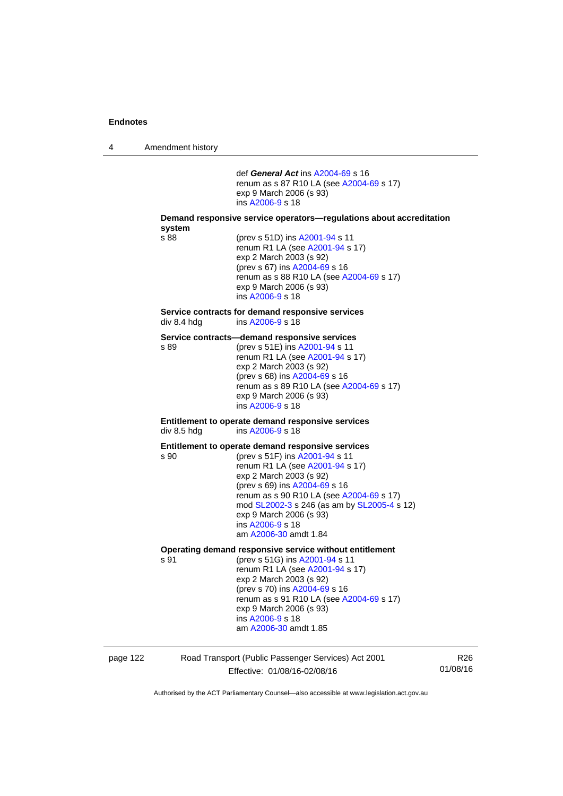4 Amendment history

|             | def General Act ins A2004-69 s 16<br>renum as s 87 R10 LA (see A2004-69 s 17)<br>exp 9 March 2006 (s 93)<br>ins A2006-9 s 18                                                                                                                                                                                                                          |
|-------------|-------------------------------------------------------------------------------------------------------------------------------------------------------------------------------------------------------------------------------------------------------------------------------------------------------------------------------------------------------|
| system      | Demand responsive service operators—regulations about accreditation                                                                                                                                                                                                                                                                                   |
| s 88        | (prev s 51D) ins A2001-94 s 11<br>renum R1 LA (see A2001-94 s 17)<br>exp 2 March 2003 (s 92)<br>(prev s 67) ins A2004-69 s 16<br>renum as s 88 R10 LA (see A2004-69 s 17)<br>exp 9 March 2006 (s 93)<br>ins A2006-9 s 18                                                                                                                              |
| div 8.4 hdg | Service contracts for demand responsive services<br>ins A2006-9 s 18                                                                                                                                                                                                                                                                                  |
| s 89        | Service contracts—demand responsive services<br>(prev s 51E) ins A2001-94 s 11<br>renum R1 LA (see A2001-94 s 17)<br>exp 2 March 2003 (s 92)<br>(prev s 68) ins A2004-69 s 16<br>renum as s 89 R10 LA (see A2004-69 s 17)<br>exp 9 March 2006 (s 93)<br>ins A2006-9 s 18                                                                              |
| div 8.5 hdg | Entitlement to operate demand responsive services<br>ins A2006-9 s 18                                                                                                                                                                                                                                                                                 |
| s 90        | Entitlement to operate demand responsive services<br>(prev s 51F) ins A2001-94 s 11<br>renum R1 LA (see A2001-94 s 17)<br>exp 2 March 2003 (s 92)<br>(prev s 69) ins A2004-69 s 16<br>renum as s 90 R10 LA (see A2004-69 s 17)<br>mod SL2002-3 s 246 (as am by SL2005-4 s 12)<br>exp 9 March 2006 (s 93)<br>ins A2006-9 s 18<br>am A2006-30 amdt 1.84 |
| s 91        | Operating demand responsive service without entitlement<br>(prev s 51G) ins A2001-94 s 11<br>renum R1 LA (see A2001-94 s 17)<br>exp 2 March 2003 (s 92)<br>(prev s 70) ins A2004-69 s 16<br>renum as s 91 R10 LA (see A2004-69 s 17)<br>exp 9 March 2006 (s 93)<br>ins A2006-9 s 18<br>am A2006-30 amdt 1.85                                          |

page 122 Road Transport (Public Passenger Services) Act 2001 Effective: 01/08/16-02/08/16

R26 01/08/16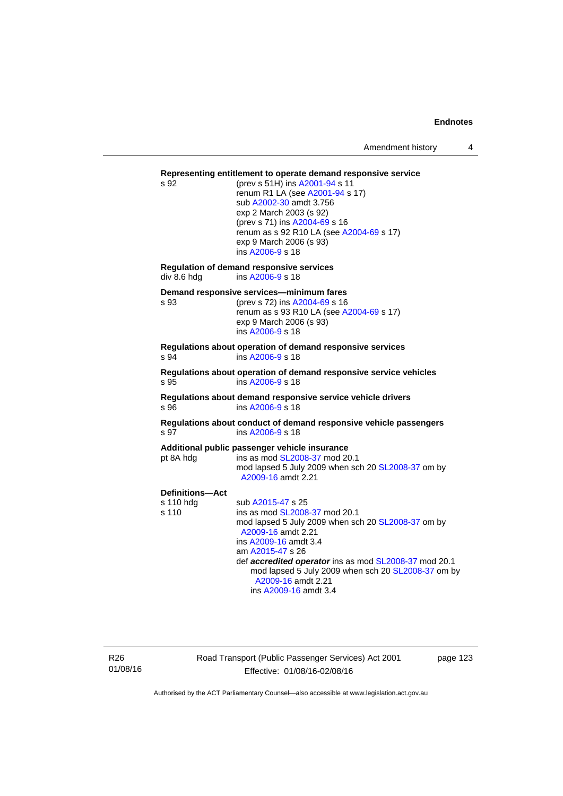## **Representing entitlement to operate demand responsive service**  s 92 (prev s 51H) ins [A2001-94](http://www.legislation.act.gov.au/a/2001-94) s 11 renum R1 LA (see [A2001-94](http://www.legislation.act.gov.au/a/2001-94) s 17) sub [A2002-30](http://www.legislation.act.gov.au/a/2002-30) amdt 3.756 exp 2 March 2003 (s 92) (prev s 71) ins [A2004-69](http://www.legislation.act.gov.au/a/2004-69) s 16 renum as s 92 R10 LA (see [A2004-69](http://www.legislation.act.gov.au/a/2004-69) s 17) exp 9 March 2006 (s 93) ins [A2006-9](http://www.legislation.act.gov.au/a/2006-9) s 18 **Regulation of demand responsive services**  ins [A2006-9](http://www.legislation.act.gov.au/a/2006-9) s 18 **Demand responsive services—minimum fares**  s 93 (prev s 72) ins [A2004-69](http://www.legislation.act.gov.au/a/2004-69) s 16 renum as s 93 R10 LA (see [A2004-69](http://www.legislation.act.gov.au/a/2004-69) s 17) exp 9 March 2006 (s 93) ins [A2006-9](http://www.legislation.act.gov.au/a/2006-9) s 18 **Regulations about operation of demand responsive services**  s 94 ins [A2006-9](http://www.legislation.act.gov.au/a/2006-9) s 18 **Regulations about operation of demand responsive service vehicles**  ins [A2006-9](http://www.legislation.act.gov.au/a/2006-9) s 18 **Regulations about demand responsive service vehicle drivers**  s 96 ins [A2006-9](http://www.legislation.act.gov.au/a/2006-9) s 18 **Regulations about conduct of demand responsive vehicle passengers**  s 97 ins [A2006-9](http://www.legislation.act.gov.au/a/2006-9) s 18 **Additional public passenger vehicle insurance**  pt 8A hdg ins as mod [SL2008-37](http://www.legislation.act.gov.au/sl/2008-37) mod 20.1 mod lapsed 5 July 2009 when sch 20 [SL2008-37](http://www.legislation.act.gov.au/sl/2008-37) om by [A2009-16](http://www.legislation.act.gov.au/a/2009-16) amdt 2.21 **Definitions—Act**  s 110 hdg sub [A2015-47](http://www.legislation.act.gov.au/a/2015-47) s 25<br>s 110 ins as mod SL2008 ins as mod [SL2008-37](http://www.legislation.act.gov.au/sl/2008-37) mod 20.1 mod lapsed 5 July 2009 when sch 20 [SL2008-37](http://www.legislation.act.gov.au/sl/2008-37) om by [A2009-16](http://www.legislation.act.gov.au/a/2009-16) amdt 2.21 ins [A2009-16](http://www.legislation.act.gov.au/a/2009-16) amdt 3.4 am [A2015-47](http://www.legislation.act.gov.au/a/2015-47) s 26 def *accredited operator* ins as mod [SL2008-37](http://www.legislation.act.gov.au/sl/2008-37) mod 20.1 mod lapsed 5 July 2009 when sch 20 [SL2008-37](http://www.legislation.act.gov.au/sl/2008-37) om by [A2009-16](http://www.legislation.act.gov.au/a/2009-16) amdt 2.21 ins [A2009-16](http://www.legislation.act.gov.au/a/2009-16) amdt 3.4

R26 01/08/16 Road Transport (Public Passenger Services) Act 2001 Effective: 01/08/16-02/08/16

page 123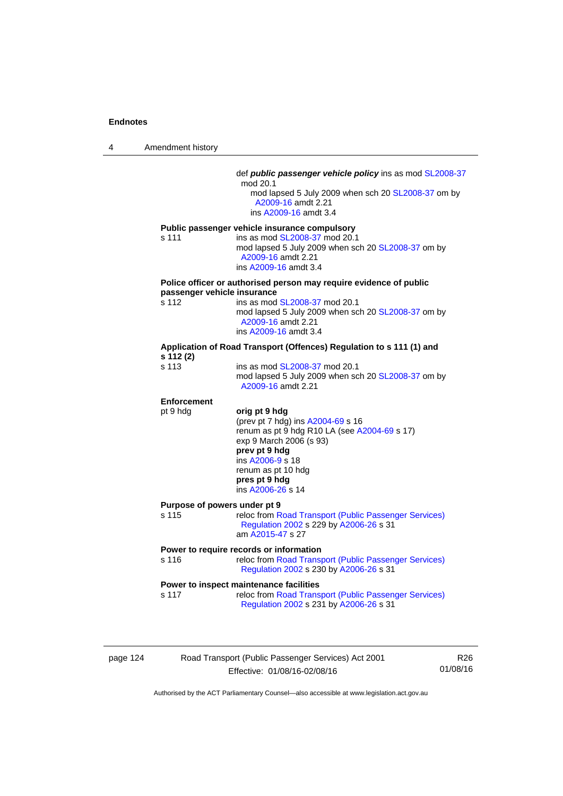4 Amendment history

|                    | def <i>public passenger vehicle policy</i> ins as mod SL2008-37<br>mod 20.1<br>mod lapsed 5 July 2009 when sch 20 SL2008-37 om by<br>A2009-16 amdt 2.21<br>ins A2009-16 amdt 3.4                                                        |
|--------------------|-----------------------------------------------------------------------------------------------------------------------------------------------------------------------------------------------------------------------------------------|
| s 111              | Public passenger vehicle insurance compulsory<br>ins as mod SL2008-37 mod 20.1<br>mod lapsed 5 July 2009 when sch 20 SL2008-37 om by<br>A2009-16 amdt 2.21<br>ins A2009-16 amdt 3.4                                                     |
| s 112              | Police officer or authorised person may require evidence of public<br>passenger vehicle insurance<br>ins as mod SL2008-37 mod 20.1<br>mod lapsed 5 July 2009 when sch 20 SL2008-37 om by<br>A2009-16 amdt 2.21<br>ins A2009-16 amdt 3.4 |
| s 112 (2)          | Application of Road Transport (Offences) Regulation to s 111 (1) and                                                                                                                                                                    |
| s 113              | ins as mod SL2008-37 mod 20.1<br>mod lapsed 5 July 2009 when sch 20 SL2008-37 om by<br>A2009-16 amdt 2.21                                                                                                                               |
| <b>Enforcement</b> |                                                                                                                                                                                                                                         |
| pt 9 hdg           | orig pt 9 hdg<br>(prev pt 7 hdg) ins A2004-69 s 16<br>renum as pt 9 hdg R10 LA (see A2004-69 s 17)<br>exp 9 March 2006 (s 93)<br>prev pt 9 hdg<br>ins A2006-9 s 18<br>renum as pt 10 hdg<br>pres pt 9 hdg<br>ins A2006-26 s 14          |
| s 115              | Purpose of powers under pt 9<br>reloc from Road Transport (Public Passenger Services)<br>Regulation 2002 s 229 by A2006-26 s 31<br>am A2015-47 s 27                                                                                     |
| s 116              | Power to require records or information<br>reloc from Road Transport (Public Passenger Services)<br>Regulation 2002 s 230 by A2006-26 s 31                                                                                              |
| s 117              | Power to inspect maintenance facilities<br>reloc from Road Transport (Public Passenger Services)                                                                                                                                        |

page 124 Road Transport (Public Passenger Services) Act 2001 Effective: 01/08/16-02/08/16

R26 01/08/16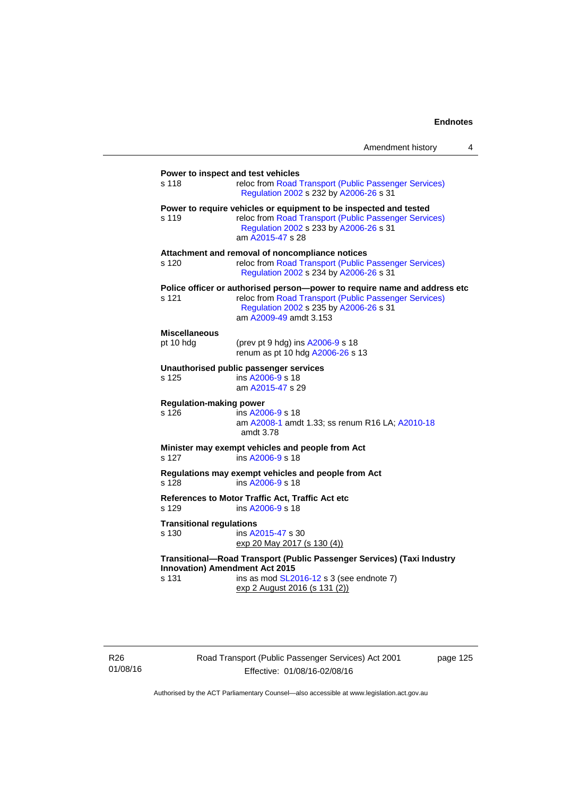|                                                                               | Amendment history                                                                                                                                                                                      | 4 |  |  |
|-------------------------------------------------------------------------------|--------------------------------------------------------------------------------------------------------------------------------------------------------------------------------------------------------|---|--|--|
| Power to inspect and test vehicles<br>s 118                                   | reloc from Road Transport (Public Passenger Services)<br>Regulation 2002 s 232 by A2006-26 s 31                                                                                                        |   |  |  |
| s 119                                                                         | Power to require vehicles or equipment to be inspected and tested<br>reloc from Road Transport (Public Passenger Services)<br>Regulation 2002 s 233 by A2006-26 s 31<br>am A2015-47 s 28               |   |  |  |
| s 120                                                                         | Attachment and removal of noncompliance notices<br>reloc from Road Transport (Public Passenger Services)<br>Regulation 2002 s 234 by A2006-26 s 31                                                     |   |  |  |
| s 121                                                                         | Police officer or authorised person-power to require name and address etc<br>reloc from Road Transport (Public Passenger Services)<br>Regulation 2002 s 235 by A2006-26 s 31<br>am A2009-49 amdt 3.153 |   |  |  |
| <b>Miscellaneous</b>                                                          |                                                                                                                                                                                                        |   |  |  |
| pt 10 hdg                                                                     | (prev pt 9 hdg) ins A2006-9 s 18<br>renum as pt 10 hdg A2006-26 s 13                                                                                                                                   |   |  |  |
| s 125                                                                         | Unauthorised public passenger services<br>ins A2006-9 s 18<br>am A2015-47 s 29                                                                                                                         |   |  |  |
| <b>Regulation-making power</b><br>s 126                                       | ins A2006-9 s 18<br>am A2008-1 amdt 1.33; ss renum R16 LA; A2010-18<br>amdt 3.78                                                                                                                       |   |  |  |
| Minister may exempt vehicles and people from Act<br>ins A2006-9 s 18<br>s 127 |                                                                                                                                                                                                        |   |  |  |
| s 128                                                                         | Regulations may exempt vehicles and people from Act<br>ins A2006-9 s 18                                                                                                                                |   |  |  |
| s 129                                                                         | References to Motor Traffic Act, Traffic Act etc<br>ins A2006-9 s 18                                                                                                                                   |   |  |  |
| <b>Transitional regulations</b><br>s 130                                      | ins A2015-47 s 30<br>exp 20 May 2017 (s 130 (4))                                                                                                                                                       |   |  |  |
| Transitional-Road Transport (Public Passenger Services) (Taxi Industry        |                                                                                                                                                                                                        |   |  |  |
| <b>Innovation) Amendment Act 2015</b><br>s 131                                | ins as mod SL2016-12 s 3 (see endnote 7)<br>exp 2 August 2016 (s 131 (2))                                                                                                                              |   |  |  |

R26 01/08/16 Road Transport (Public Passenger Services) Act 2001 Effective: 01/08/16-02/08/16

page 125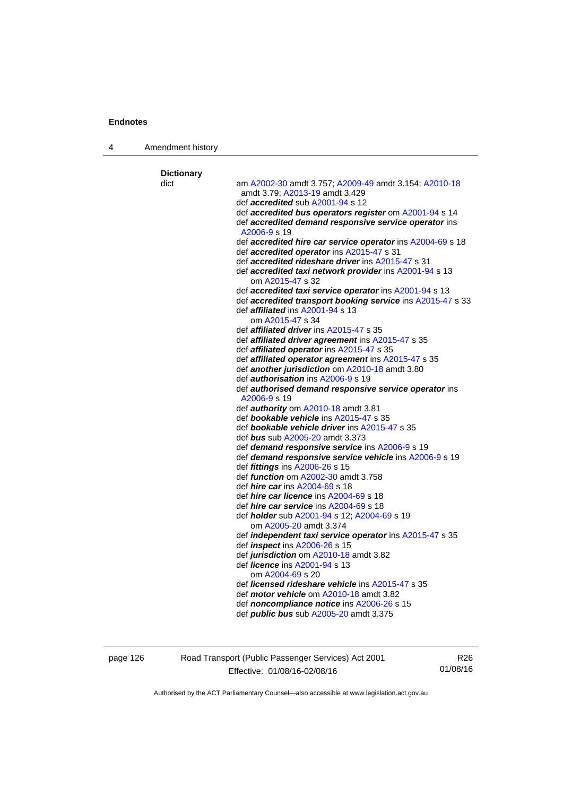4 Amendment history

| <b>Dictionary</b> |                                                                                                                      |
|-------------------|----------------------------------------------------------------------------------------------------------------------|
| dict              | am A2002-30 amdt 3.757; A2009-49 amdt 3.154; A2010-18                                                                |
|                   | amdt 3.79, A2013-19 amdt 3.429                                                                                       |
|                   | def <b>accredited</b> sub A2001-94 s 12                                                                              |
|                   | def accredited bus operators register om A2001-94 s 14<br>def accredited demand responsive service operator ins      |
|                   | A2006-9 s 19                                                                                                         |
|                   | def accredited hire car service operator ins A2004-69 s 18                                                           |
|                   | def accredited operator ins A2015-47 s 31                                                                            |
|                   | def <b>accredited rideshare driver</b> ins A2015-47 s 31                                                             |
|                   | def <b>accredited taxi network provider</b> ins A2001-94 s 13                                                        |
|                   | om A2015-47 s 32                                                                                                     |
|                   | def accredited taxi service operator ins A2001-94 s 13<br>def accredited transport booking service ins A2015-47 s 33 |
|                   | def <i>affiliated</i> ins A2001-94 s 13                                                                              |
|                   | om A2015-47 s 34                                                                                                     |
|                   | def <b>affiliated driver</b> ins A2015-47 s 35                                                                       |
|                   | def affiliated driver agreement ins A2015-47 s 35                                                                    |
|                   | def <b>affiliated operator</b> ins A2015-47 s 35                                                                     |
|                   | def affiliated operator agreement ins A2015-47 s 35                                                                  |
|                   | def another jurisdiction om A2010-18 amdt 3.80                                                                       |
|                   | def <i>authorisation</i> ins A2006-9 s 19<br>def authorised demand responsive service operator ins                   |
|                   | A2006-9 s 19                                                                                                         |
|                   | def authority om A2010-18 amdt 3.81                                                                                  |
|                   | def bookable vehicle ins A2015-47 s 35                                                                               |
|                   | def bookable vehicle driver ins A2015-47 s 35                                                                        |
|                   | def bus sub A2005-20 amdt 3.373                                                                                      |
|                   | def demand responsive service ins A2006-9 s 19                                                                       |
|                   | def demand responsive service vehicle ins A2006-9 s 19                                                               |
|                   | def fittings ins A2006-26 s 15<br>def <i>function</i> om A2002-30 amdt 3.758                                         |
|                   | def <i>hire car</i> ins A2004-69 s 18                                                                                |
|                   | def <i>hire car licence</i> ins A2004-69 s 18                                                                        |
|                   | def <i>hire car service</i> ins A2004-69 s 18                                                                        |
|                   | def <i>holder</i> sub A2001-94 s 12; A2004-69 s 19                                                                   |
|                   | om A2005-20 amdt 3.374                                                                                               |
|                   | def independent taxi service operator ins A2015-47 s 35                                                              |
|                   | def <i>inspect</i> ins A2006-26 s 15                                                                                 |
|                   | def jurisdiction om A2010-18 amdt 3.82<br>def licence ins A2001-94 s 13                                              |
|                   | om A2004-69 s 20                                                                                                     |
|                   | def licensed rideshare vehicle ins A2015-47 s 35                                                                     |
|                   | def motor vehicle om A2010-18 amdt 3.82                                                                              |
|                   |                                                                                                                      |
|                   | def <i>noncompliance notice</i> ins A2006-26 s 15                                                                    |

page 126 Road Transport (Public Passenger Services) Act 2001 Effective: 01/08/16-02/08/16

R26 01/08/16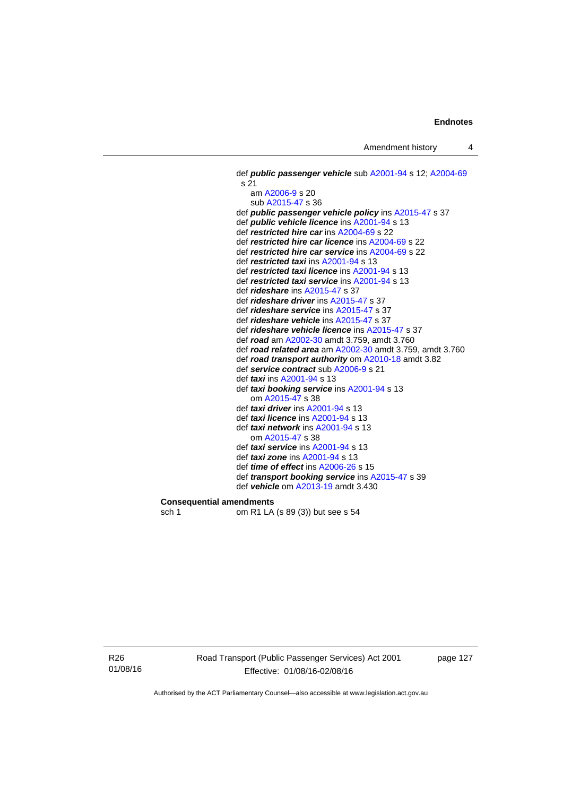```
 def public passenger vehicle sub A2001-94 s 12; A2004-69
 s 21 
    am A2006-9 s 20 
    sub A2015-47 s 36 
 def public passenger vehicle policy ins A2015-47 s 37 
 def public vehicle licence ins A2001-94 s 13 
 def restricted hire car ins A2004-69 s 22 
 def restricted hire car licence ins A2004-69 s 22 
 def restricted hire car service ins A2004-69 s 22 
 def restricted taxi ins A2001-94 s 13 
 def restricted taxi licence ins A2001-94 s 13 
 def restricted taxi service ins A2001-94 s 13 
 def rideshare ins A2015-47 s 37 
 def rideshare driver ins A2015-47 s 37 
 def rideshare service ins A2015-47 s 37 
 def rideshare vehicle ins A2015-47 s 37 
 def rideshare vehicle licence ins A2015-47 s 37 
 def road am A2002-30 amdt 3.759, amdt 3.760 
 def road related area am A2002-30 amdt 3.759, amdt 3.760 
 def road transport authority om A2010-18 amdt 3.82
 def service contract sub A2006-9 s 21 
 def taxi ins A2001-94 s 13 
 def taxi booking service ins A2001-94 s 13 
    om A2015-47 s 38 
 def taxi driver ins A2001-94 s 13 
 def taxi licence ins A2001-94 s 13 
 def taxi network ins A2001-94 s 13 
    om A2015-47 s 38 
 def taxi service ins A2001-94 s 13 
 def taxi zone ins A2001-94 s 13 
 def time of effect ins A2006-26 s 15 
 def transport booking service ins A2015-47 s 39 
 def vehicle om A2013-19 amdt 3.430
```
**Consequential amendments**  sch 1 om R1 LA (s 89 (3)) but see s 54

R26 01/08/16 Road Transport (Public Passenger Services) Act 2001 Effective: 01/08/16-02/08/16

page 127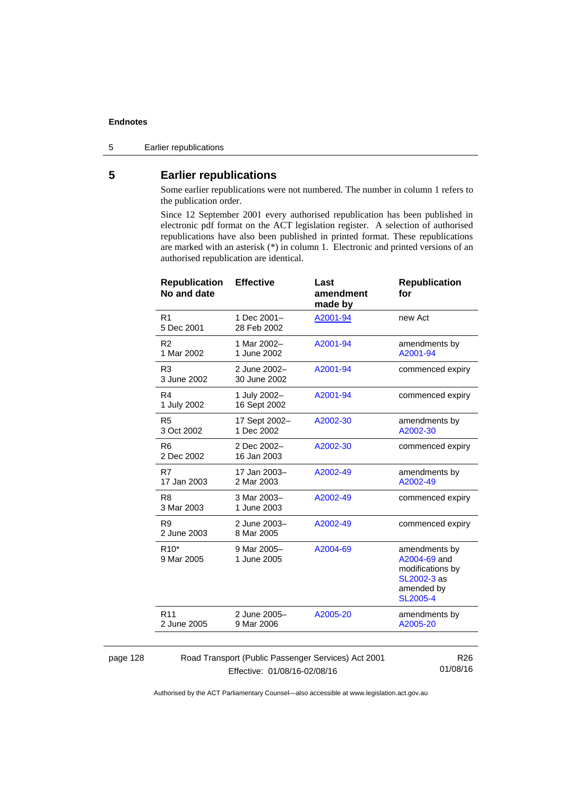5 Earlier republications

# **5 Earlier republications**

Some earlier republications were not numbered. The number in column 1 refers to the publication order.

Since 12 September 2001 every authorised republication has been published in electronic pdf format on the ACT legislation register. A selection of authorised republications have also been published in printed format. These republications are marked with an asterisk (\*) in column 1. Electronic and printed versions of an authorised republication are identical.

| <b>Republication</b><br>No and date                                    | <b>Effective</b>             | Last<br>amendment<br>made by | <b>Republication</b><br>for                                                                       |
|------------------------------------------------------------------------|------------------------------|------------------------------|---------------------------------------------------------------------------------------------------|
| R <sub>1</sub><br>5 Dec 2001                                           | 1 Dec 2001-<br>28 Feb 2002   | A2001-94                     | new Act                                                                                           |
| R <sub>2</sub><br>1 Mar 2002                                           | 1 Mar 2002-<br>1 June 2002   | A2001-94                     | amendments by<br>A2001-94                                                                         |
| R <sub>3</sub><br>3 June 2002                                          | 2 June 2002-<br>30 June 2002 | A2001-94                     | commenced expiry                                                                                  |
| R4<br>1 July 2002                                                      | 1 July 2002-<br>16 Sept 2002 | A2001-94                     | commenced expiry                                                                                  |
| R <sub>5</sub><br>3 Oct 2002                                           | 17 Sept 2002-<br>1 Dec 2002  | A2002-30                     | amendments by<br>A2002-30                                                                         |
| R <sub>6</sub><br>2 Dec 2002                                           | 2 Dec 2002-<br>16 Jan 2003   | A2002-30                     | commenced expiry                                                                                  |
| R7<br>17 Jan 2003                                                      | 17 Jan 2003-<br>2 Mar 2003   | A2002-49                     | amendments by<br>A2002-49                                                                         |
| R <sub>8</sub><br>3 Mar 2003                                           | 3 Mar 2003-<br>1 June 2003   | A2002-49                     | commenced expiry                                                                                  |
| R <sub>9</sub><br>2 June 2003                                          | 2 June 2003-<br>8 Mar 2005   | A2002-49                     | commenced expiry                                                                                  |
| R <sub>10</sub> *<br>9 Mar 2005                                        | 9 Mar 2005-<br>1 June 2005   | A2004-69                     | amendments by<br>A2004-69 and<br>modifications by<br>SL2002-3 as<br>amended by<br><b>SL2005-4</b> |
| R <sub>11</sub><br>2 June 2005                                         | 2 June 2005-<br>9 Mar 2006   | A2005-20                     | amendments by<br>A2005-20                                                                         |
|                                                                        |                              |                              |                                                                                                   |
| Road Transport (Public Passenger Services) Act 2001<br>R <sub>26</sub> |                              |                              |                                                                                                   |

#### page 128

Effective: 01/08/16-02/08/16

01/08/16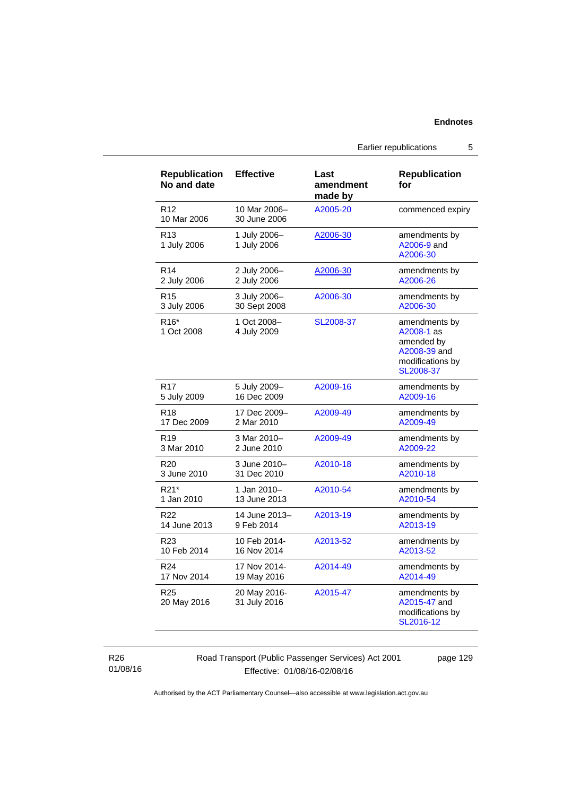Road Transport (Public Passenger Services) Act 2001

Effective: 01/08/16-02/08/16

page 129

Authorised by the ACT Parliamentary Counsel—also accessible at www.legislation.act.gov.au

Earlier republications 5

| <b>Republication</b><br>No and date | <b>Effective</b>             | Last<br>amendment<br>made by | <b>Republication</b><br>for                                                                |
|-------------------------------------|------------------------------|------------------------------|--------------------------------------------------------------------------------------------|
| R <sub>12</sub><br>10 Mar 2006      | 10 Mar 2006-<br>30 June 2006 | A2005-20                     | commenced expiry                                                                           |
| R <sub>13</sub><br>1 July 2006      | 1 July 2006-<br>1 July 2006  | A2006-30                     | amendments by<br>A2006-9 and<br>A2006-30                                                   |
| R <sub>14</sub>                     | 2 July 2006-                 | A2006-30                     | amendments by                                                                              |
| 2 July 2006                         | 2 July 2006                  |                              | A2006-26                                                                                   |
| R <sub>15</sub>                     | 3 July 2006-                 | A2006-30                     | amendments by                                                                              |
| 3 July 2006                         | 30 Sept 2008                 |                              | A2006-30                                                                                   |
| R <sub>16</sub> *<br>1 Oct 2008     | 1 Oct 2008-<br>4 July 2009   | SL2008-37                    | amendments by<br>A2008-1 as<br>amended by<br>A2008-39 and<br>modifications by<br>SL2008-37 |
| R <sub>17</sub>                     | 5 July 2009-                 | A2009-16                     | amendments by                                                                              |
| 5 July 2009                         | 16 Dec 2009                  |                              | A2009-16                                                                                   |
| R <sub>18</sub>                     | 17 Dec 2009-                 | A2009-49                     | amendments by                                                                              |
| 17 Dec 2009                         | 2 Mar 2010                   |                              | A2009-49                                                                                   |
| R <sub>19</sub>                     | 3 Mar 2010-                  | A2009-49                     | amendments by                                                                              |
| 3 Mar 2010                          | 2 June 2010                  |                              | A2009-22                                                                                   |
| R <sub>20</sub>                     | 3 June 2010-                 | A2010-18                     | amendments by                                                                              |
| 3 June 2010                         | 31 Dec 2010                  |                              | A2010-18                                                                                   |
| R <sub>21</sub> *                   | 1 Jan 2010-                  | A2010-54                     | amendments by                                                                              |
| 1 Jan 2010                          | 13 June 2013                 |                              | A2010-54                                                                                   |
| R <sub>22</sub>                     | 14 June 2013-                | A2013-19                     | amendments by                                                                              |
| 14 June 2013                        | 9 Feb 2014                   |                              | A2013-19                                                                                   |
| R <sub>23</sub>                     | 10 Feb 2014-                 | A2013-52                     | amendments by                                                                              |
| 10 Feb 2014                         | 16 Nov 2014                  |                              | A2013-52                                                                                   |
| R <sub>24</sub>                     | 17 Nov 2014-                 | A2014-49                     | amendments by                                                                              |
| 17 Nov 2014                         | 19 May 2016                  |                              | A2014-49                                                                                   |
| R <sub>25</sub><br>20 May 2016      | 20 May 2016-<br>31 July 2016 | A2015-47                     | amendments by<br>A2015-47 and<br>modifications by<br>SL2016-12                             |